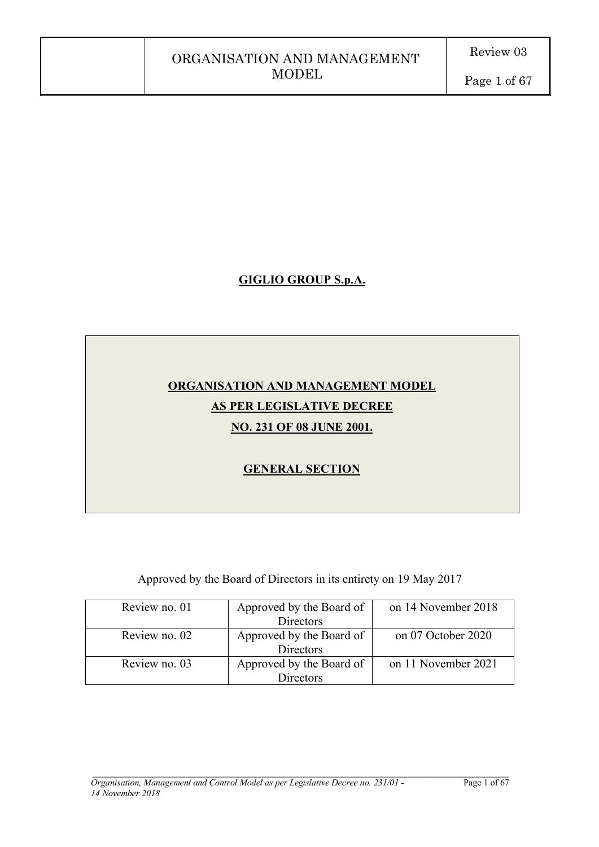# **GIGLIO GROUP S.p.A.**

# **ORGANISATION AND MANAGEMENT MODEL AS PER LEGISLATIVE DECREE NO. 231 OF 08 JUNE 2001.**

# **GENERAL SECTION**

Approved by the Board of Directors in its entirety on 19 May 2017

| Review no. 01 | Approved by the Board of | on 14 November 2018 |
|---------------|--------------------------|---------------------|
|               | <b>Directors</b>         |                     |
| Review no. 02 | Approved by the Board of | on 07 October 2020  |
|               | Directors                |                     |
| Review no. 03 | Approved by the Board of | on 11 November 2021 |
|               | <b>Directors</b>         |                     |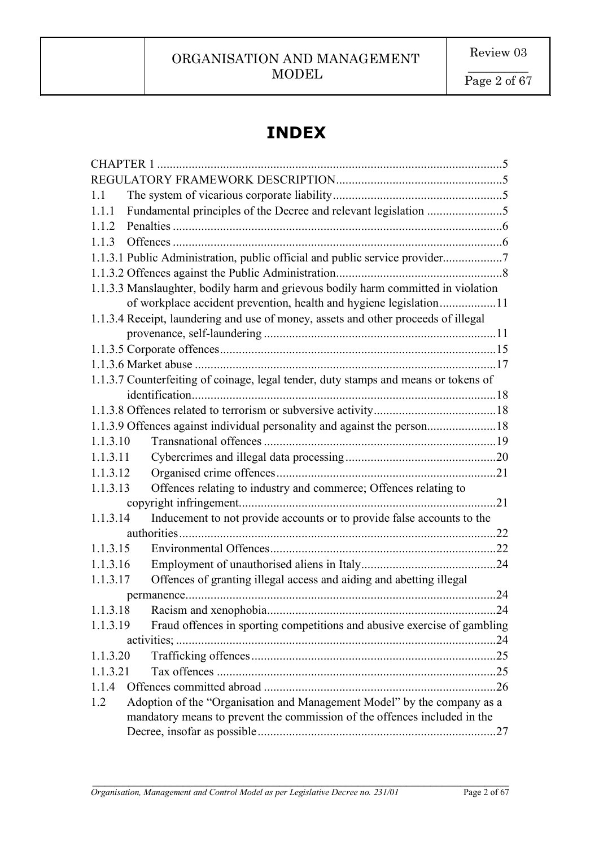**\_\_\_\_\_\_\_\_\_\_** Page 2 of 67

# **INDEX**

|          | <b>CHAPTER 1</b>                                                                    |     |
|----------|-------------------------------------------------------------------------------------|-----|
|          |                                                                                     |     |
| 1.1      |                                                                                     |     |
| 1.1.1    |                                                                                     |     |
| 1.1.2    |                                                                                     |     |
| 1.1.3    |                                                                                     |     |
|          | 1.1.3.1 Public Administration, public official and public service provider7         |     |
|          |                                                                                     |     |
|          | 1.1.3.3 Manslaughter, bodily harm and grievous bodily harm committed in violation   |     |
|          | of workplace accident prevention, health and hygiene legislation11                  |     |
|          | 1.1.3.4 Receipt, laundering and use of money, assets and other proceeds of illegal  |     |
|          |                                                                                     |     |
|          |                                                                                     |     |
|          |                                                                                     |     |
|          | 1.1.3.7 Counterfeiting of coinage, legal tender, duty stamps and means or tokens of |     |
|          |                                                                                     |     |
|          |                                                                                     |     |
|          | 1.1.3.9 Offences against individual personality and against the person18            |     |
| 1.1.3.10 |                                                                                     |     |
| 1.1.3.11 |                                                                                     |     |
| 1.1.3.12 |                                                                                     |     |
| 1.1.3.13 | Offences relating to industry and commerce; Offences relating to                    |     |
|          | $\dots 21$                                                                          |     |
| 1.1.3.14 | Inducement to not provide accounts or to provide false accounts to the              |     |
|          |                                                                                     |     |
| 1.1.3.15 |                                                                                     |     |
| 1.1.3.16 |                                                                                     |     |
| 1.1.3.17 | Offences of granting illegal access and aiding and abetting illegal                 |     |
|          |                                                                                     | .24 |
| 1.1.3.18 |                                                                                     |     |
| 1.1.3.19 | Fraud offences in sporting competitions and abusive exercise of gambling            |     |
|          |                                                                                     |     |
| 1.1.3.20 |                                                                                     |     |
| 1.1.3.21 |                                                                                     |     |
| 1.1.4    |                                                                                     |     |
| 1.2      | Adoption of the "Organisation and Management Model" by the company as a             |     |
|          | mandatory means to prevent the commission of the offences included in the           |     |
|          |                                                                                     |     |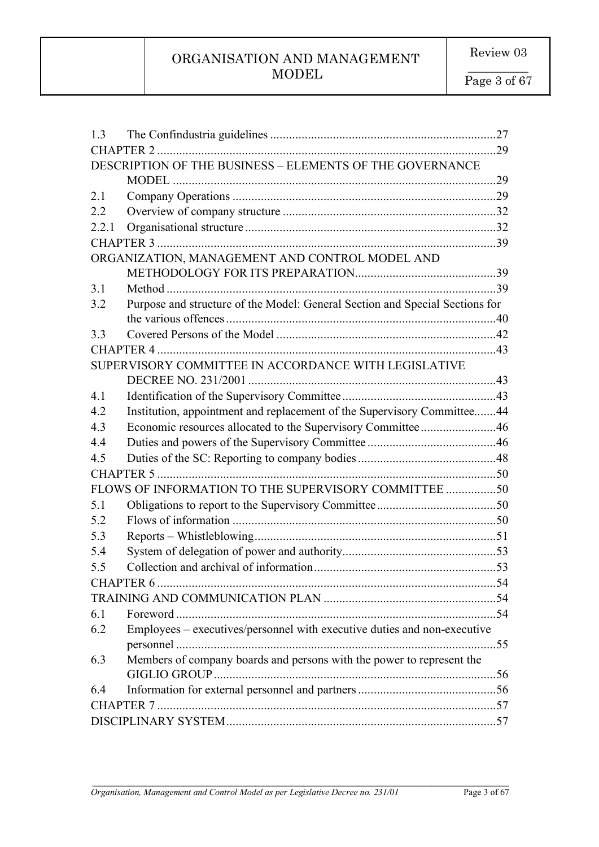| 13                                                                                  |     |  |
|-------------------------------------------------------------------------------------|-----|--|
|                                                                                     |     |  |
| DESCRIPTION OF THE BUSINESS - ELEMENTS OF THE GOVERNANCE                            |     |  |
|                                                                                     | .29 |  |
| 2.1                                                                                 |     |  |
| 2.2                                                                                 |     |  |
| 2.2.1                                                                               |     |  |
|                                                                                     |     |  |
| ORGANIZATION, MANAGEMENT AND CONTROL MODEL AND                                      |     |  |
|                                                                                     |     |  |
| 3.1                                                                                 |     |  |
| Purpose and structure of the Model: General Section and Special Sections for<br>3.2 |     |  |
|                                                                                     |     |  |
| 3.3                                                                                 |     |  |
|                                                                                     |     |  |
| SUPERVISORY COMMITTEE IN ACCORDANCE WITH LEGISLATIVE                                |     |  |
|                                                                                     |     |  |
| 4.1                                                                                 |     |  |
| Institution, appointment and replacement of the Supervisory Committee44<br>4.2      |     |  |
| Economic resources allocated to the Supervisory Committee46<br>4.3                  |     |  |
| 4.4                                                                                 |     |  |
| 4.5                                                                                 |     |  |
|                                                                                     |     |  |
| FLOWS OF INFORMATION TO THE SUPERVISORY COMMITTEE 50                                |     |  |
| 5.1                                                                                 |     |  |
| 5.2                                                                                 |     |  |
| 5.3                                                                                 |     |  |
| 5.4                                                                                 |     |  |
| 5.5                                                                                 |     |  |
|                                                                                     |     |  |
|                                                                                     |     |  |
| 6.1                                                                                 |     |  |
| Employees – executives/personnel with executive duties and non-executive<br>6.2     |     |  |
|                                                                                     |     |  |
| Members of company boards and persons with the power to represent the<br>6.3        |     |  |
|                                                                                     |     |  |
| 6.4                                                                                 |     |  |
|                                                                                     |     |  |
|                                                                                     |     |  |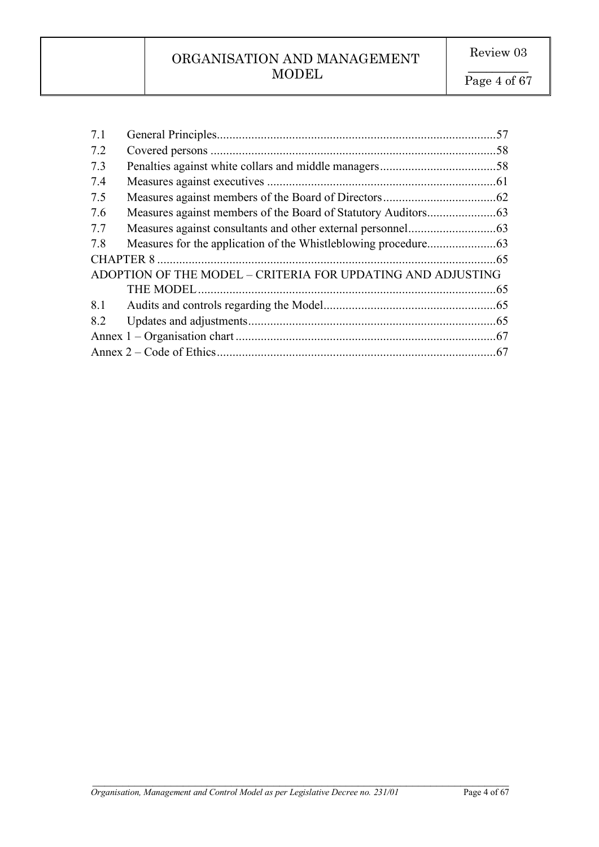| 7.1 |                                                             | .57 |
|-----|-------------------------------------------------------------|-----|
| 7.2 |                                                             |     |
| 7.3 |                                                             |     |
| 7.4 |                                                             |     |
| 7.5 |                                                             |     |
| 7.6 |                                                             |     |
| 7.7 |                                                             |     |
| 7.8 |                                                             |     |
|     |                                                             |     |
|     | ADOPTION OF THE MODEL - CRITERIA FOR UPDATING AND ADJUSTING |     |
|     |                                                             | .65 |
| 8.1 |                                                             |     |
| 8.2 |                                                             |     |
|     |                                                             |     |
|     |                                                             |     |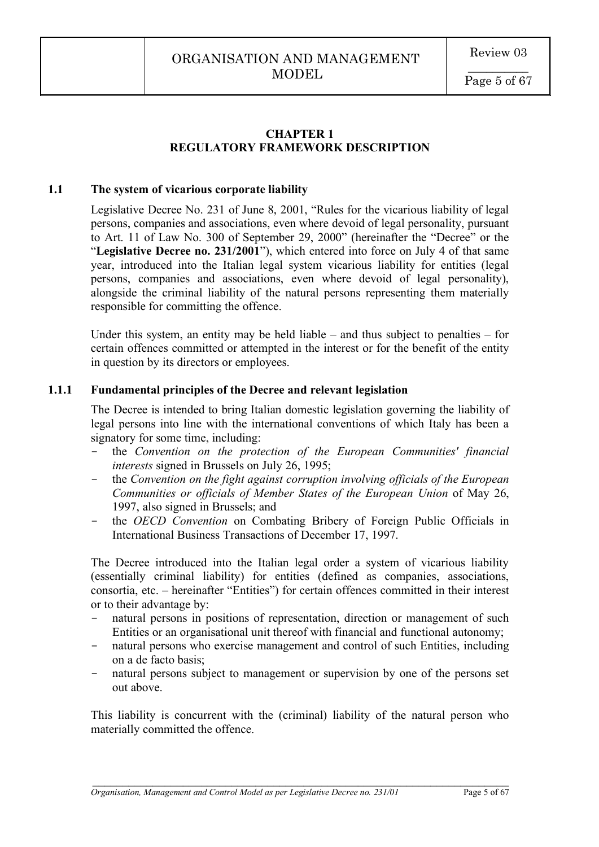# **CHAPTER 1 REGULATORY FRAMEWORK DESCRIPTION**

# **1.1 The system of vicarious corporate liability**

Legislative Decree No. 231 of June 8, 2001, "Rules for the vicarious liability of legal persons, companies and associations, even where devoid of legal personality, pursuant to Art. 11 of Law No. 300 of September 29, 2000" (hereinafter the "Decree" or the "**Legislative Decree no. 231/2001**"), which entered into force on July 4 of that same year, introduced into the Italian legal system vicarious liability for entities (legal persons, companies and associations, even where devoid of legal personality), alongside the criminal liability of the natural persons representing them materially responsible for committing the offence.

Under this system, an entity may be held liable – and thus subject to penalties – for certain offences committed or attempted in the interest or for the benefit of the entity in question by its directors or employees.

### **1.1.1 Fundamental principles of the Decree and relevant legislation**

The Decree is intended to bring Italian domestic legislation governing the liability of legal persons into line with the international conventions of which Italy has been a signatory for some time, including:

- the *Convention on the protection of the European Communities' financial interests* signed in Brussels on July 26, 1995;
- the *Convention on the fight against corruption involving officials of the European Communities or officials of Member States of the European Union* of May 26, 1997, also signed in Brussels; and
- the *OECD Convention* on Combating Bribery of Foreign Public Officials in International Business Transactions of December 17, 1997.

The Decree introduced into the Italian legal order a system of vicarious liability (essentially criminal liability) for entities (defined as companies, associations, consortia, etc. – hereinafter "Entities") for certain offences committed in their interest or to their advantage by:

- natural persons in positions of representation, direction or management of such Entities or an organisational unit thereof with financial and functional autonomy;
- natural persons who exercise management and control of such Entities, including on a de facto basis;
- natural persons subject to management or supervision by one of the persons set out above.

This liability is concurrent with the (criminal) liability of the natural person who materially committed the offence.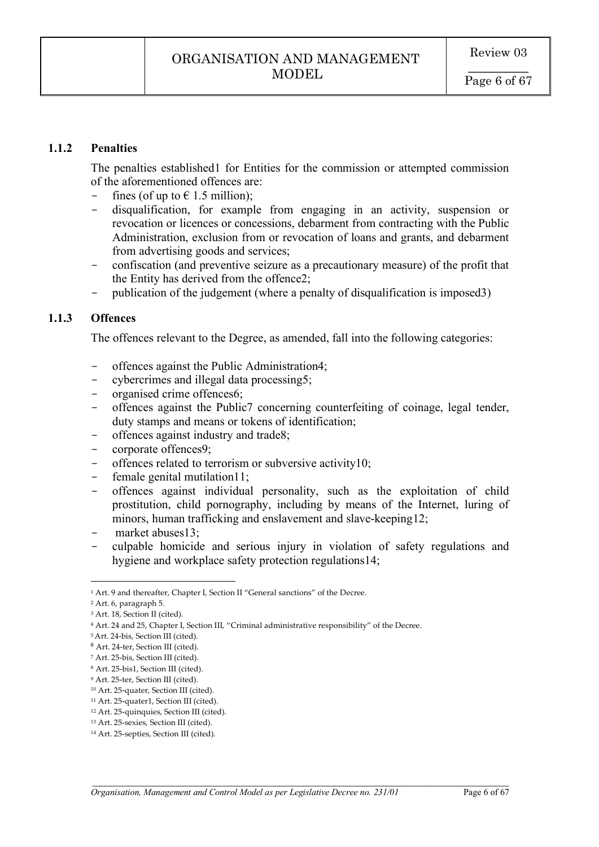### **1.1.2 Penalties**

The penalties established1 for Entities for the commission or attempted commission of the aforementioned offences are:

- fines (of up to  $\in$  1.5 million);
- disqualification, for example from engaging in an activity, suspension or revocation or licences or concessions, debarment from contracting with the Public Administration, exclusion from or revocation of loans and grants, and debarment from advertising goods and services;
- confiscation (and preventive seizure as a precautionary measure) of the profit that the Entity has derived from the offence2;
- publication of the judgement (where a penalty of disqualification is imposed3)

# **1.1.3 Offences**

The offences relevant to the Degree, as amended, fall into the following categories:

- offences against the Public Administration4;
- cybercrimes and illegal data processing5;<br>- organised crime offences6;
- organised crime offences6;
- offences against the Public7 concerning counterfeiting of coinage, legal tender, duty stamps and means or tokens of identification;
- offences against industry and trade8;
- corporate offences9;
- offences related to terrorism or subversive activity10;
- female genital mutilation11;<br>- offences against individual
- offences against individual personality, such as the exploitation of child prostitution, child pornography, including by means of the Internet, luring of minors, human trafficking and enslavement and slave-keeping12;
- market abuses13:
- culpable homicide and serious injury in violation of safety regulations and hygiene and workplace safety protection regulations14;

 $\mathcal{L}_\mathcal{L} = \mathcal{L}_\mathcal{L} = \mathcal{L}_\mathcal{L} = \mathcal{L}_\mathcal{L} = \mathcal{L}_\mathcal{L} = \mathcal{L}_\mathcal{L} = \mathcal{L}_\mathcal{L} = \mathcal{L}_\mathcal{L} = \mathcal{L}_\mathcal{L} = \mathcal{L}_\mathcal{L} = \mathcal{L}_\mathcal{L} = \mathcal{L}_\mathcal{L} = \mathcal{L}_\mathcal{L} = \mathcal{L}_\mathcal{L} = \mathcal{L}_\mathcal{L} = \mathcal{L}_\mathcal{L} = \mathcal{L}_\mathcal{L}$ 

 $\overline{a}$ 

<sup>&</sup>lt;sup>1</sup> Art. 9 and thereafter, Chapter I, Section II "General sanctions" of the Decree.

<sup>2</sup> Art. 6, paragraph 5.

<sup>&</sup>lt;sup>3</sup> Art. 18, Section II (cited).

<sup>4</sup> Art. 24 and 25, Chapter I, Section III, "Criminal administrative responsibility" of the Decree.

<sup>5</sup> Art. 24-bis, Section III (cited).

<sup>6</sup> Art. 24-ter, Section III (cited).

<sup>7</sup> Art. 25-bis, Section III (cited).

<sup>8</sup> Art. 25-bis1, Section III (cited).

<sup>9</sup> Art. 25-ter, Section III (cited).

<sup>10</sup> Art. 25-quater, Section III (cited).

<sup>11</sup> Art. 25-quater1, Section III (cited).

<sup>12</sup> Art. 25-quinquies, Section III (cited).

<sup>13</sup> Art. 25-sexies, Section III (cited).

<sup>14</sup> Art. 25-septies, Section III (cited).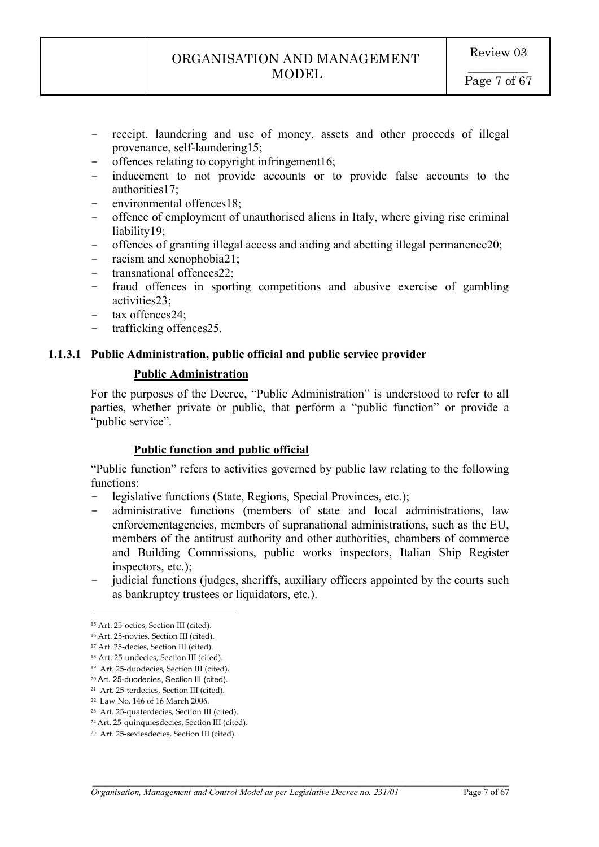- receipt, laundering and use of money, assets and other proceeds of illegal provenance, self-laundering15;
- offences relating to copyright infringement16;
- inducement to not provide accounts or to provide false accounts to the authorities17;
- environmental offences18;
- offence of employment of unauthorised aliens in Italy, where giving rise criminal liability19;
- offences of granting illegal access and aiding and abetting illegal permanence20;
- racism and xenophobia21;
- transnational offences22;
- fraud offences in sporting competitions and abusive exercise of gambling activities23;
- tax offences24;
- trafficking offences25.

# **1.1.3.1 Public Administration, public official and public service provider**

# **Public Administration**

For the purposes of the Decree, "Public Administration" is understood to refer to all parties, whether private or public, that perform a "public function" or provide a "public service".

### **Public function and public official**

"Public function" refers to activities governed by public law relating to the following functions:

- legislative functions (State, Regions, Special Provinces, etc.);
- administrative functions (members of state and local administrations, law enforcementagencies, members of supranational administrations, such as the EU, members of the antitrust authority and other authorities, chambers of commerce and Building Commissions, public works inspectors, Italian Ship Register inspectors, etc.);
- judicial functions (judges, sheriffs, auxiliary officers appointed by the courts such as bankruptcy trustees or liquidators, etc.).

 $\mathcal{L}_\mathcal{L} = \mathcal{L}_\mathcal{L} = \mathcal{L}_\mathcal{L} = \mathcal{L}_\mathcal{L} = \mathcal{L}_\mathcal{L} = \mathcal{L}_\mathcal{L} = \mathcal{L}_\mathcal{L} = \mathcal{L}_\mathcal{L} = \mathcal{L}_\mathcal{L} = \mathcal{L}_\mathcal{L} = \mathcal{L}_\mathcal{L} = \mathcal{L}_\mathcal{L} = \mathcal{L}_\mathcal{L} = \mathcal{L}_\mathcal{L} = \mathcal{L}_\mathcal{L} = \mathcal{L}_\mathcal{L} = \mathcal{L}_\mathcal{L}$ 

 $\overline{a}$ 

<sup>15</sup> Art. 25-octies, Section III (cited).

<sup>16</sup> Art. 25-novies, Section III (cited).

<sup>17</sup> Art. 25-decies, Section III (cited).

<sup>18</sup> Art. 25-undecies, Section III (cited).

<sup>19</sup> Art. 25-duodecies, Section III (cited).

<sup>20</sup> Art. 25-duodecies, Section III (cited).

<sup>21</sup> Art. 25-terdecies, Section III (cited).

<sup>22</sup> Law No. 146 of 16 March 2006.

<sup>23</sup> Art. 25-quaterdecies, Section III (cited).

<sup>24</sup> Art. 25-quinquiesdecies, Section III (cited).

<sup>25</sup> Art. 25-sexiesdecies, Section III (cited).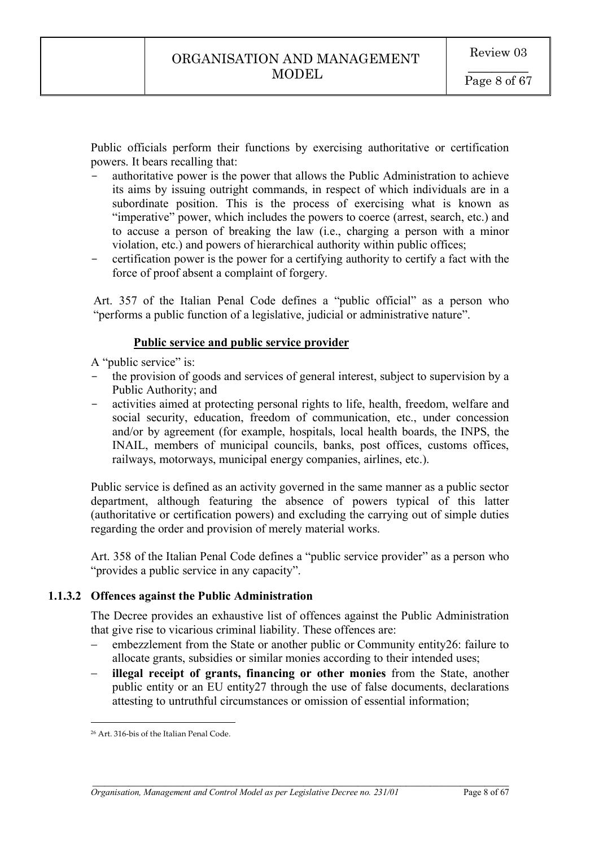Public officials perform their functions by exercising authoritative or certification powers. It bears recalling that:

- authoritative power is the power that allows the Public Administration to achieve its aims by issuing outright commands, in respect of which individuals are in a subordinate position. This is the process of exercising what is known as "imperative" power, which includes the powers to coerce (arrest, search, etc.) and to accuse a person of breaking the law (i.e., charging a person with a minor violation, etc.) and powers of hierarchical authority within public offices;
- certification power is the power for a certifying authority to certify a fact with the force of proof absent a complaint of forgery.

Art. 357 of the Italian Penal Code defines a "public official" as a person who "performs a public function of a legislative, judicial or administrative nature".

### **Public service and public service provider**

A "public service" is:

- the provision of goods and services of general interest, subject to supervision by a Public Authority; and
- activities aimed at protecting personal rights to life, health, freedom, welfare and social security, education, freedom of communication, etc., under concession and/or by agreement (for example, hospitals, local health boards, the INPS, the INAIL, members of municipal councils, banks, post offices, customs offices, railways, motorways, municipal energy companies, airlines, etc.).

Public service is defined as an activity governed in the same manner as a public sector department, although featuring the absence of powers typical of this latter (authoritative or certification powers) and excluding the carrying out of simple duties regarding the order and provision of merely material works.

Art. 358 of the Italian Penal Code defines a "public service provider" as a person who "provides a public service in any capacity".

### **1.1.3.2 Offences against the Public Administration**

The Decree provides an exhaustive list of offences against the Public Administration that give rise to vicarious criminal liability. These offences are:

- embezzlement from the State or another public or Community entity26: failure to allocate grants, subsidies or similar monies according to their intended uses;
- **illegal receipt of grants, financing or other monies** from the State, another public entity or an EU entity27 through the use of false documents, declarations attesting to untruthful circumstances or omission of essential information;

 $\overline{a}$ <sup>26</sup> Art. 316-bis of the Italian Penal Code.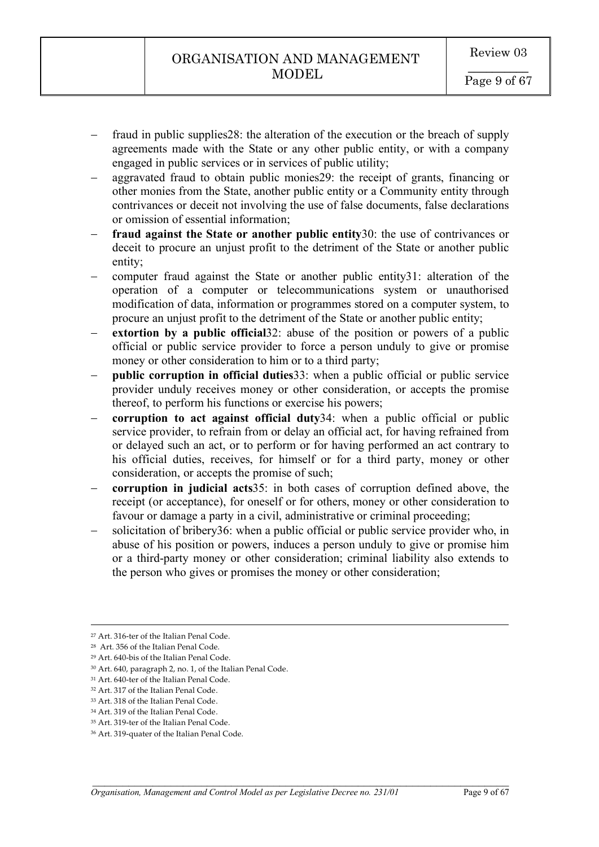- fraud in public supplies 28: the alteration of the execution or the breach of supply agreements made with the State or any other public entity, or with a company engaged in public services or in services of public utility;
- aggravated fraud to obtain public monies29: the receipt of grants, financing or other monies from the State, another public entity or a Community entity through contrivances or deceit not involving the use of false documents, false declarations or omission of essential information;
- **fraud against the State or another public entity**30: the use of contrivances or deceit to procure an unjust profit to the detriment of the State or another public entity;
- computer fraud against the State or another public entity31: alteration of the operation of a computer or telecommunications system or unauthorised modification of data, information or programmes stored on a computer system, to procure an unjust profit to the detriment of the State or another public entity;
- **extortion by a public official** 32: abuse of the position or powers of a public official or public service provider to force a person unduly to give or promise money or other consideration to him or to a third party;
- **public corruption in official duties** 33: when a public official or public service provider unduly receives money or other consideration, or accepts the promise thereof, to perform his functions or exercise his powers;
- **corruption to act against official duty**34: when a public official or public service provider, to refrain from or delay an official act, for having refrained from or delayed such an act, or to perform or for having performed an act contrary to his official duties, receives, for himself or for a third party, money or other consideration, or accepts the promise of such;
- **corruption in judicial acts**35: in both cases of corruption defined above, the receipt (or acceptance), for oneself or for others, money or other consideration to favour or damage a party in a civil, administrative or criminal proceeding;
- solicitation of bribery36: when a public official or public service provider who, in abuse of his position or powers, induces a person unduly to give or promise him or a third-party money or other consideration; criminal liability also extends to the person who gives or promises the money or other consideration;

 $\mathcal{L}_\mathcal{L} = \mathcal{L}_\mathcal{L} = \mathcal{L}_\mathcal{L} = \mathcal{L}_\mathcal{L} = \mathcal{L}_\mathcal{L} = \mathcal{L}_\mathcal{L} = \mathcal{L}_\mathcal{L} = \mathcal{L}_\mathcal{L} = \mathcal{L}_\mathcal{L} = \mathcal{L}_\mathcal{L} = \mathcal{L}_\mathcal{L} = \mathcal{L}_\mathcal{L} = \mathcal{L}_\mathcal{L} = \mathcal{L}_\mathcal{L} = \mathcal{L}_\mathcal{L} = \mathcal{L}_\mathcal{L} = \mathcal{L}_\mathcal{L}$ 

<u>.</u>

<sup>27</sup> Art. 316-ter of the Italian Penal Code.

<sup>28</sup> Art. 356 of the Italian Penal Code.

<sup>29</sup> Art. 640-bis of the Italian Penal Code.

<sup>30</sup> Art. 640, paragraph 2, no. 1, of the Italian Penal Code.

<sup>&</sup>lt;sup>31</sup> Art. 640-ter of the Italian Penal Code.

<sup>32</sup> Art. 317 of the Italian Penal Code.

<sup>33</sup> Art. 318 of the Italian Penal Code.

<sup>34</sup> Art. 319 of the Italian Penal Code.

<sup>35</sup> Art. 319-ter of the Italian Penal Code.

<sup>36</sup> Art. 319-quater of the Italian Penal Code.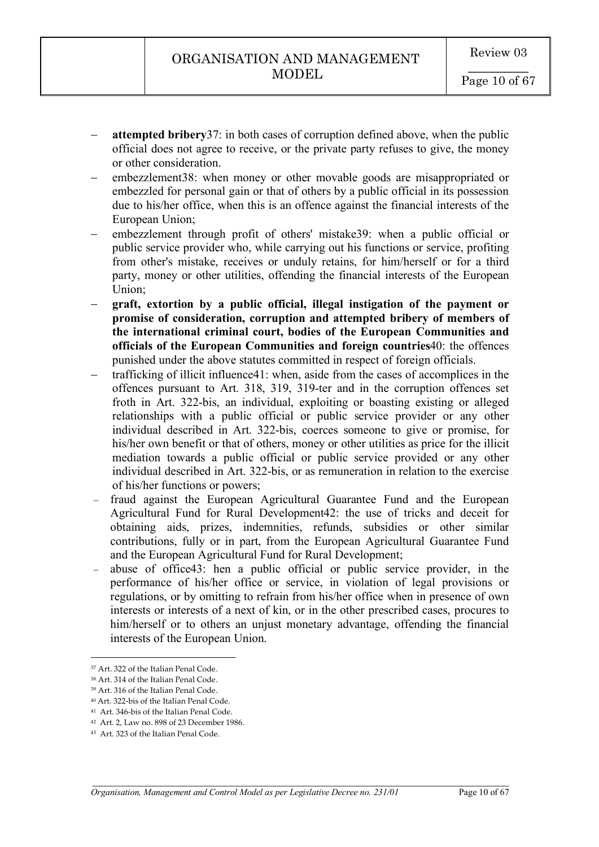- **attempted bribery**37: in both cases of corruption defined above, when the public official does not agree to receive, or the private party refuses to give, the money or other consideration.
- embezzlement38: when money or other movable goods are misappropriated or embezzled for personal gain or that of others by a public official in its possession due to his/her office, when this is an offence against the financial interests of the European Union;
- embezzlement through profit of others' mistake39: when a public official or public service provider who, while carrying out his functions or service, profiting from other's mistake, receives or unduly retains, for him/herself or for a third party, money or other utilities, offending the financial interests of the European Union;
- **graft, extortion by a public official, illegal instigation of the payment or promise of consideration, corruption and attempted bribery of members of the international criminal court, bodies of the European Communities and officials of the European Communities and foreign countries**40: the offences punished under the above statutes committed in respect of foreign officials.
- trafficking of illicit influence41: when, aside from the cases of accomplices in the offences pursuant to Art. 318, 319, 319-ter and in the corruption offences set froth in Art. 322-bis, an individual, exploiting or boasting existing or alleged relationships with a public official or public service provider or any other individual described in Art. 322-bis, coerces someone to give or promise, for his/her own benefit or that of others, money or other utilities as price for the illicit mediation towards a public official or public service provided or any other individual described in Art. 322-bis, or as remuneration in relation to the exercise of his/her functions or powers;
- fraud against the European Agricultural Guarantee Fund and the European Agricultural Fund for Rural Development42: the use of tricks and deceit for obtaining aids, prizes, indemnities, refunds, subsidies or other similar contributions, fully or in part, from the European Agricultural Guarantee Fund and the European Agricultural Fund for Rural Development;
- abuse of office43: hen a public official or public service provider, in the performance of his/her office or service, in violation of legal provisions or regulations, or by omitting to refrain from his/her office when in presence of own interests or interests of a next of kin, or in the other prescribed cases, procures to him/herself or to others an unjust monetary advantage, offending the financial interests of the European Union.

 $\mathcal{L}_\mathcal{L} = \mathcal{L}_\mathcal{L} = \mathcal{L}_\mathcal{L} = \mathcal{L}_\mathcal{L} = \mathcal{L}_\mathcal{L} = \mathcal{L}_\mathcal{L} = \mathcal{L}_\mathcal{L} = \mathcal{L}_\mathcal{L} = \mathcal{L}_\mathcal{L} = \mathcal{L}_\mathcal{L} = \mathcal{L}_\mathcal{L} = \mathcal{L}_\mathcal{L} = \mathcal{L}_\mathcal{L} = \mathcal{L}_\mathcal{L} = \mathcal{L}_\mathcal{L} = \mathcal{L}_\mathcal{L} = \mathcal{L}_\mathcal{L}$ 

 $\overline{a}$ 

<sup>37</sup> Art. 322 of the Italian Penal Code.

<sup>38</sup> Art. 314 of the Italian Penal Code.

<sup>39</sup> Art. 316 of the Italian Penal Code.

<sup>40</sup> Art. 322-bis of the Italian Penal Code.

<sup>41</sup> Art. 346-bis of the Italian Penal Code.

<sup>42</sup> Art. 2, Law no. 898 of 23 December 1986.

<sup>43</sup> Art. 323 of the Italian Penal Code.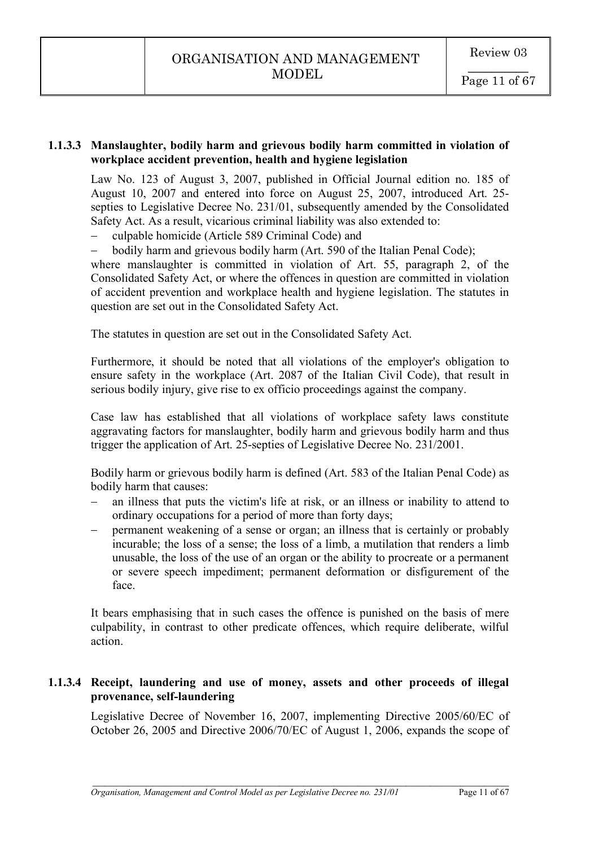# **1.1.3.3 Manslaughter, bodily harm and grievous bodily harm committed in violation of workplace accident prevention, health and hygiene legislation**

Law No. 123 of August 3, 2007, published in Official Journal edition no. 185 of August 10, 2007 and entered into force on August 25, 2007, introduced Art. 25 septies to Legislative Decree No. 231/01, subsequently amended by the Consolidated Safety Act. As a result, vicarious criminal liability was also extended to:

- culpable homicide (Article 589 Criminal Code) and

- bodily harm and grievous bodily harm (Art. 590 of the Italian Penal Code);

where manslaughter is committed in violation of Art. 55, paragraph 2, of the Consolidated Safety Act, or where the offences in question are committed in violation of accident prevention and workplace health and hygiene legislation. The statutes in question are set out in the Consolidated Safety Act.

The statutes in question are set out in the Consolidated Safety Act.

Furthermore, it should be noted that all violations of the employer's obligation to ensure safety in the workplace (Art. 2087 of the Italian Civil Code), that result in serious bodily injury, give rise to ex officio proceedings against the company.

Case law has established that all violations of workplace safety laws constitute aggravating factors for manslaughter, bodily harm and grievous bodily harm and thus trigger the application of Art. 25-septies of Legislative Decree No. 231/2001.

Bodily harm or grievous bodily harm is defined (Art. 583 of the Italian Penal Code) as bodily harm that causes:

- an illness that puts the victim's life at risk, or an illness or inability to attend to ordinary occupations for a period of more than forty days;
- permanent weakening of a sense or organ; an illness that is certainly or probably incurable; the loss of a sense; the loss of a limb, a mutilation that renders a limb unusable, the loss of the use of an organ or the ability to procreate or a permanent or severe speech impediment; permanent deformation or disfigurement of the face.

It bears emphasising that in such cases the offence is punished on the basis of mere culpability, in contrast to other predicate offences, which require deliberate, wilful action.

# **1.1.3.4 Receipt, laundering and use of money, assets and other proceeds of illegal provenance, self-laundering**

Legislative Decree of November 16, 2007, implementing Directive 2005/60/EC of October 26, 2005 and Directive 2006/70/EC of August 1, 2006, expands the scope of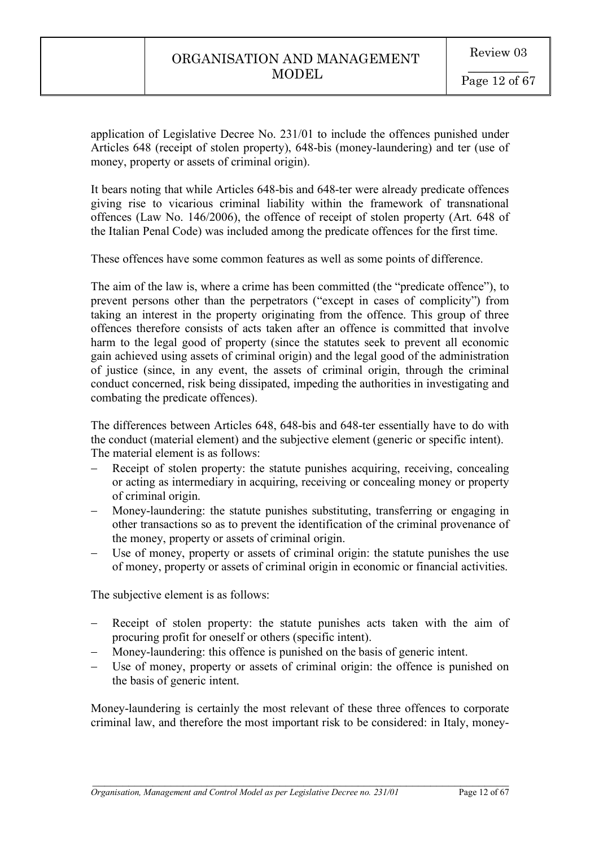application of Legislative Decree No. 231/01 to include the offences punished under Articles 648 (receipt of stolen property), 648-bis (money-laundering) and ter (use of money, property or assets of criminal origin).

It bears noting that while Articles 648-bis and 648-ter were already predicate offences giving rise to vicarious criminal liability within the framework of transnational offences (Law No. 146/2006), the offence of receipt of stolen property (Art. 648 of the Italian Penal Code) was included among the predicate offences for the first time.

These offences have some common features as well as some points of difference.

The aim of the law is, where a crime has been committed (the "predicate offence"), to prevent persons other than the perpetrators ("except in cases of complicity") from taking an interest in the property originating from the offence. This group of three offences therefore consists of acts taken after an offence is committed that involve harm to the legal good of property (since the statutes seek to prevent all economic gain achieved using assets of criminal origin) and the legal good of the administration of justice (since, in any event, the assets of criminal origin, through the criminal conduct concerned, risk being dissipated, impeding the authorities in investigating and combating the predicate offences).

The differences between Articles 648, 648-bis and 648-ter essentially have to do with the conduct (material element) and the subjective element (generic or specific intent). The material element is as follows:

- Receipt of stolen property: the statute punishes acquiring, receiving, concealing or acting as intermediary in acquiring, receiving or concealing money or property of criminal origin.
- Money-laundering: the statute punishes substituting, transferring or engaging in other transactions so as to prevent the identification of the criminal provenance of the money, property or assets of criminal origin.
- Use of money, property or assets of criminal origin: the statute punishes the use of money, property or assets of criminal origin in economic or financial activities.

The subjective element is as follows:

- Receipt of stolen property: the statute punishes acts taken with the aim of procuring profit for oneself or others (specific intent).
- Money-laundering: this offence is punished on the basis of generic intent.
- Use of money, property or assets of criminal origin: the offence is punished on the basis of generic intent.

Money-laundering is certainly the most relevant of these three offences to corporate criminal law, and therefore the most important risk to be considered: in Italy, money-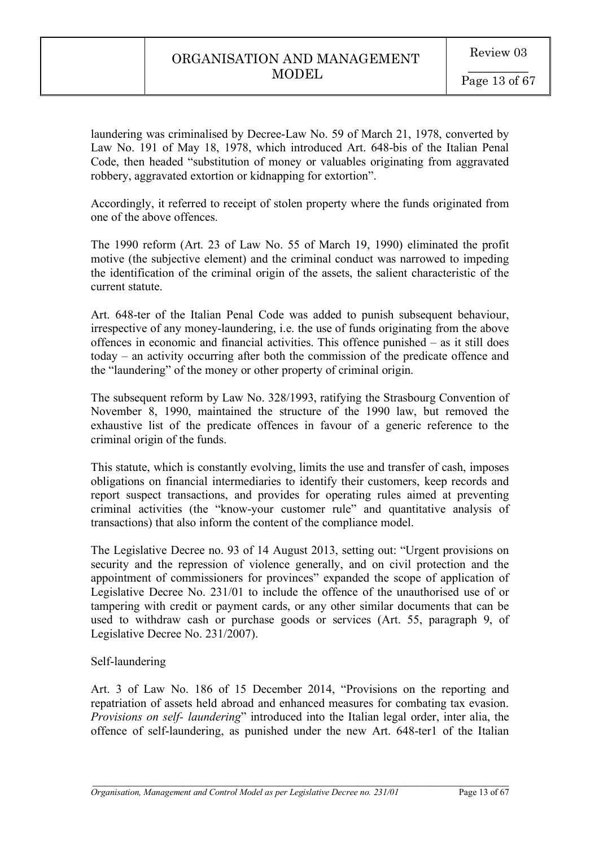laundering was criminalised by Decree-Law No. 59 of March 21, 1978, converted by Law No. 191 of May 18, 1978, which introduced Art. 648-bis of the Italian Penal Code, then headed "substitution of money or valuables originating from aggravated robbery, aggravated extortion or kidnapping for extortion".

Accordingly, it referred to receipt of stolen property where the funds originated from one of the above offences.

The 1990 reform (Art. 23 of Law No. 55 of March 19, 1990) eliminated the profit motive (the subjective element) and the criminal conduct was narrowed to impeding the identification of the criminal origin of the assets, the salient characteristic of the current statute.

Art. 648-ter of the Italian Penal Code was added to punish subsequent behaviour, irrespective of any money-laundering, i.e. the use of funds originating from the above offences in economic and financial activities. This offence punished – as it still does today – an activity occurring after both the commission of the predicate offence and the "laundering" of the money or other property of criminal origin.

The subsequent reform by Law No. 328/1993, ratifying the Strasbourg Convention of November 8, 1990, maintained the structure of the 1990 law, but removed the exhaustive list of the predicate offences in favour of a generic reference to the criminal origin of the funds.

This statute, which is constantly evolving, limits the use and transfer of cash, imposes obligations on financial intermediaries to identify their customers, keep records and report suspect transactions, and provides for operating rules aimed at preventing criminal activities (the "know-your customer rule" and quantitative analysis of transactions) that also inform the content of the compliance model.

The Legislative Decree no. 93 of 14 August 2013, setting out: "Urgent provisions on security and the repression of violence generally, and on civil protection and the appointment of commissioners for provinces" expanded the scope of application of Legislative Decree No. 231/01 to include the offence of the unauthorised use of or tampering with credit or payment cards, or any other similar documents that can be used to withdraw cash or purchase goods or services (Art. 55, paragraph 9, of Legislative Decree No. 231/2007).

# Self-laundering

Art. 3 of Law No. 186 of 15 December 2014, "Provisions on the reporting and repatriation of assets held abroad and enhanced measures for combating tax evasion. *Provisions on self- laundering*" introduced into the Italian legal order, inter alia, the offence of self-laundering, as punished under the new Art. 648-ter1 of the Italian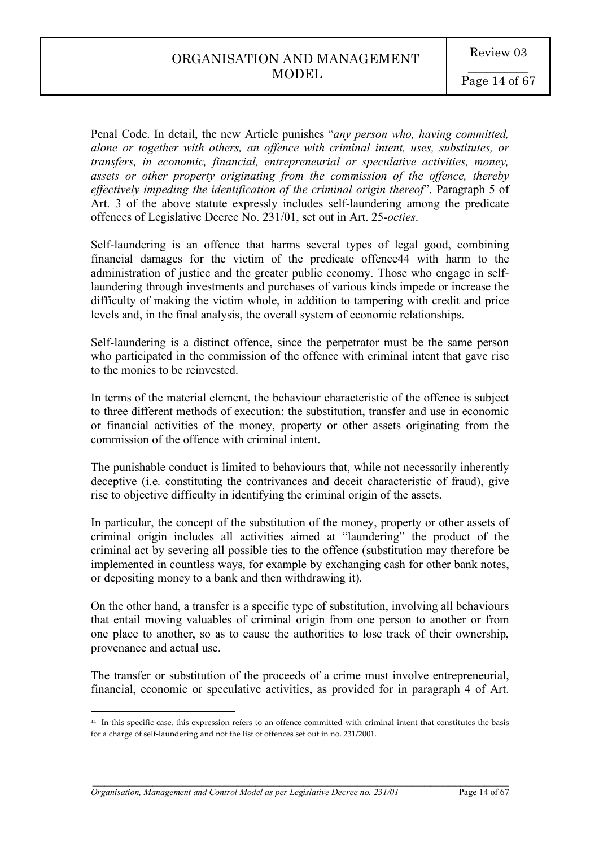Penal Code. In detail, the new Article punishes "*any person who, having committed, alone or together with others, an offence with criminal intent, uses, substitutes, or transfers, in economic, financial, entrepreneurial or speculative activities, money, assets or other property originating from the commission of the offence, thereby effectively impeding the identification of the criminal origin thereof*". Paragraph 5 of Art. 3 of the above statute expressly includes self-laundering among the predicate offences of Legislative Decree No. 231/01, set out in Art. 25-*octies*.

Self-laundering is an offence that harms several types of legal good, combining financial damages for the victim of the predicate offence44 with harm to the administration of justice and the greater public economy. Those who engage in selflaundering through investments and purchases of various kinds impede or increase the difficulty of making the victim whole, in addition to tampering with credit and price levels and, in the final analysis, the overall system of economic relationships.

Self-laundering is a distinct offence, since the perpetrator must be the same person who participated in the commission of the offence with criminal intent that gave rise to the monies to be reinvested.

In terms of the material element, the behaviour characteristic of the offence is subject to three different methods of execution: the substitution, transfer and use in economic or financial activities of the money, property or other assets originating from the commission of the offence with criminal intent.

The punishable conduct is limited to behaviours that, while not necessarily inherently deceptive (i.e. constituting the contrivances and deceit characteristic of fraud), give rise to objective difficulty in identifying the criminal origin of the assets.

In particular, the concept of the substitution of the money, property or other assets of criminal origin includes all activities aimed at "laundering" the product of the criminal act by severing all possible ties to the offence (substitution may therefore be implemented in countless ways, for example by exchanging cash for other bank notes, or depositing money to a bank and then withdrawing it).

On the other hand, a transfer is a specific type of substitution, involving all behaviours that entail moving valuables of criminal origin from one person to another or from one place to another, so as to cause the authorities to lose track of their ownership, provenance and actual use.

The transfer or substitution of the proceeds of a crime must involve entrepreneurial, financial, economic or speculative activities, as provided for in paragraph 4 of Art.

 $\mathcal{L}_\mathcal{L} = \mathcal{L}_\mathcal{L} = \mathcal{L}_\mathcal{L} = \mathcal{L}_\mathcal{L} = \mathcal{L}_\mathcal{L} = \mathcal{L}_\mathcal{L} = \mathcal{L}_\mathcal{L} = \mathcal{L}_\mathcal{L} = \mathcal{L}_\mathcal{L} = \mathcal{L}_\mathcal{L} = \mathcal{L}_\mathcal{L} = \mathcal{L}_\mathcal{L} = \mathcal{L}_\mathcal{L} = \mathcal{L}_\mathcal{L} = \mathcal{L}_\mathcal{L} = \mathcal{L}_\mathcal{L} = \mathcal{L}_\mathcal{L}$ 

 $\overline{a}$ 

<sup>44</sup> In this specific case, this expression refers to an offence committed with criminal intent that constitutes the basis for a charge of self-laundering and not the list of offences set out in no. 231/2001.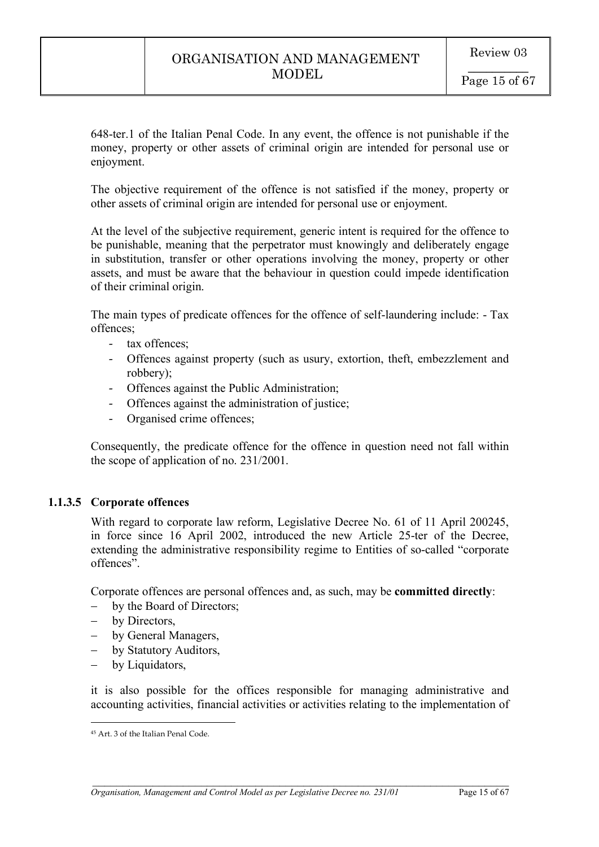648-ter.1 of the Italian Penal Code. In any event, the offence is not punishable if the money, property or other assets of criminal origin are intended for personal use or enjoyment.

The objective requirement of the offence is not satisfied if the money, property or other assets of criminal origin are intended for personal use or enjoyment.

At the level of the subjective requirement, generic intent is required for the offence to be punishable, meaning that the perpetrator must knowingly and deliberately engage in substitution, transfer or other operations involving the money, property or other assets, and must be aware that the behaviour in question could impede identification of their criminal origin.

The main types of predicate offences for the offence of self-laundering include: - Tax offences;

- tax offences;
- Offences against property (such as usury, extortion, theft, embezzlement and robbery);
- Offences against the Public Administration;
- Offences against the administration of justice;
- Organised crime offences;

Consequently, the predicate offence for the offence in question need not fall within the scope of application of no. 231/2001.

# **1.1.3.5 Corporate offences**

With regard to corporate law reform, Legislative Decree No. 61 of 11 April 200245, in force since 16 April 2002, introduced the new Article 25-ter of the Decree, extending the administrative responsibility regime to Entities of so-called "corporate offences".

Corporate offences are personal offences and, as such, may be **committed directly**:

- by the Board of Directors;
- by Directors,
- by General Managers,
- by Statutory Auditors,
- by Liquidators,

it is also possible for the offices responsible for managing administrative and accounting activities, financial activities or activities relating to the implementation of

 $\overline{a}$ <sup>45</sup> Art. 3 of the Italian Penal Code.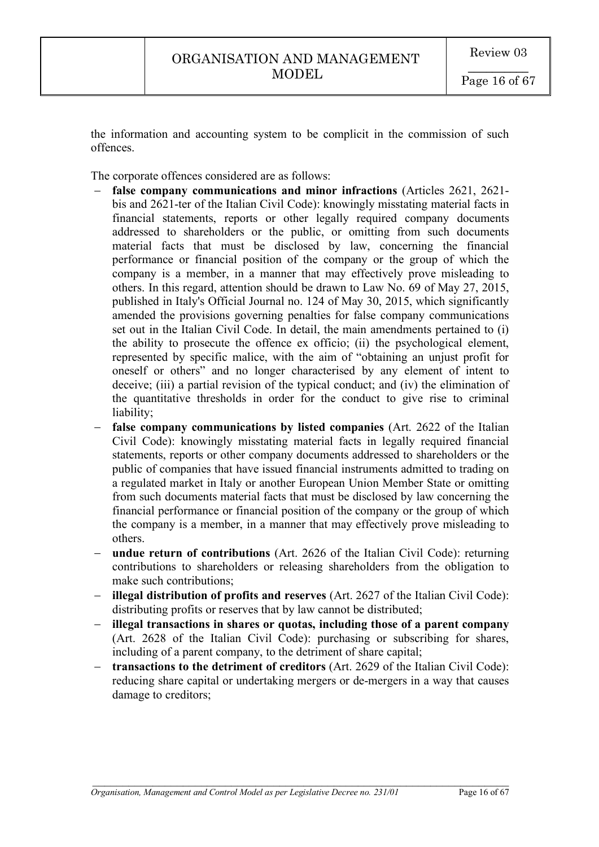the information and accounting system to be complicit in the commission of such offences.

The corporate offences considered are as follows:

- false company communications and minor infractions (Articles 2621, 2621bis and 2621-ter of the Italian Civil Code): knowingly misstating material facts in financial statements, reports or other legally required company documents addressed to shareholders or the public, or omitting from such documents material facts that must be disclosed by law, concerning the financial performance or financial position of the company or the group of which the company is a member, in a manner that may effectively prove misleading to others. In this regard, attention should be drawn to Law No. 69 of May 27, 2015, published in Italy's Official Journal no. 124 of May 30, 2015, which significantly amended the provisions governing penalties for false company communications set out in the Italian Civil Code. In detail, the main amendments pertained to (i) the ability to prosecute the offence ex officio; (ii) the psychological element, represented by specific malice, with the aim of "obtaining an unjust profit for oneself or others" and no longer characterised by any element of intent to deceive; (iii) a partial revision of the typical conduct; and (iv) the elimination of the quantitative thresholds in order for the conduct to give rise to criminal liability;
- false company communications by listed companies (Art. 2622 of the Italian Civil Code): knowingly misstating material facts in legally required financial statements, reports or other company documents addressed to shareholders or the public of companies that have issued financial instruments admitted to trading on a regulated market in Italy or another European Union Member State or omitting from such documents material facts that must be disclosed by law concerning the financial performance or financial position of the company or the group of which the company is a member, in a manner that may effectively prove misleading to others.
- **undue return of contributions** (Art. 2626 of the Italian Civil Code): returning contributions to shareholders or releasing shareholders from the obligation to make such contributions;
- **illegal distribution of profits and reserves** (Art. 2627 of the Italian Civil Code): distributing profits or reserves that by law cannot be distributed;
- **illegal transactions in shares or quotas, including those of a parent company** (Art. 2628 of the Italian Civil Code): purchasing or subscribing for shares, including of a parent company, to the detriment of share capital;
- **transactions to the detriment of creditors** (Art. 2629 of the Italian Civil Code): reducing share capital or undertaking mergers or de-mergers in a way that causes damage to creditors;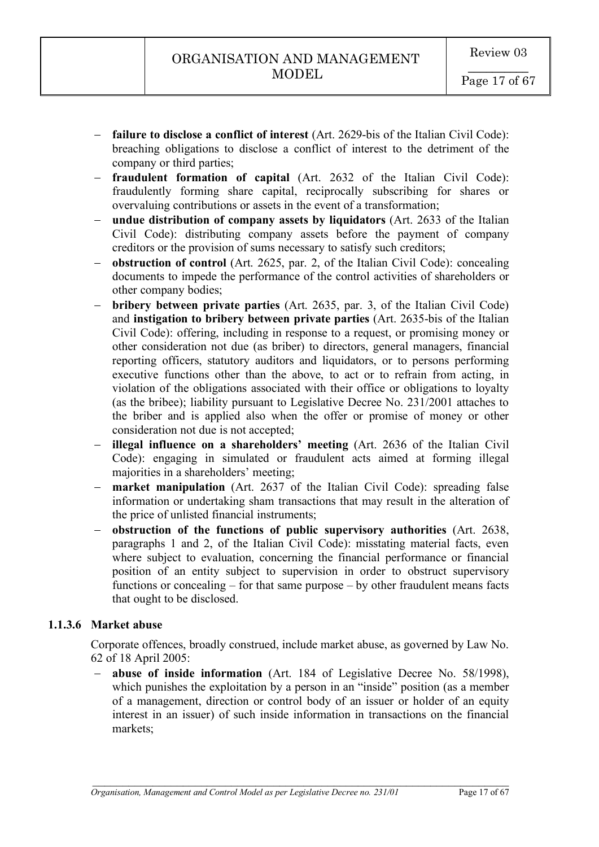- **failure to disclose a conflict of interest** (Art. 2629-bis of the Italian Civil Code): breaching obligations to disclose a conflict of interest to the detriment of the company or third parties;
- **fraudulent formation of capital** (Art. 2632 of the Italian Civil Code): fraudulently forming share capital, reciprocally subscribing for shares or overvaluing contributions or assets in the event of a transformation;
- **undue distribution of company assets by liquidators** (Art. 2633 of the Italian Civil Code): distributing company assets before the payment of company creditors or the provision of sums necessary to satisfy such creditors;
- **obstruction of control** (Art. 2625, par. 2, of the Italian Civil Code): concealing documents to impede the performance of the control activities of shareholders or other company bodies;
- **bribery between private parties** (Art. 2635, par. 3, of the Italian Civil Code) and **instigation to bribery between private parties** (Art. 2635-bis of the Italian Civil Code): offering, including in response to a request, or promising money or other consideration not due (as briber) to directors, general managers, financial reporting officers, statutory auditors and liquidators, or to persons performing executive functions other than the above, to act or to refrain from acting, in violation of the obligations associated with their office or obligations to loyalty (as the bribee); liability pursuant to Legislative Decree No. 231/2001 attaches to the briber and is applied also when the offer or promise of money or other consideration not due is not accepted;
- **illegal influence on a shareholders' meeting** (Art. 2636 of the Italian Civil Code): engaging in simulated or fraudulent acts aimed at forming illegal majorities in a shareholders' meeting;
- **market manipulation** (Art. 2637 of the Italian Civil Code): spreading false information or undertaking sham transactions that may result in the alteration of the price of unlisted financial instruments;
- **obstruction of the functions of public supervisory authorities** (Art. 2638, paragraphs 1 and 2, of the Italian Civil Code): misstating material facts, even where subject to evaluation, concerning the financial performance or financial position of an entity subject to supervision in order to obstruct supervisory functions or concealing – for that same purpose – by other fraudulent means facts that ought to be disclosed.

# **1.1.3.6 Market abuse**

Corporate offences, broadly construed, include market abuse, as governed by Law No. 62 of 18 April 2005:

- **abuse of inside information** (Art. 184 of Legislative Decree No. 58/1998), which punishes the exploitation by a person in an "inside" position (as a member of a management, direction or control body of an issuer or holder of an equity interest in an issuer) of such inside information in transactions on the financial markets;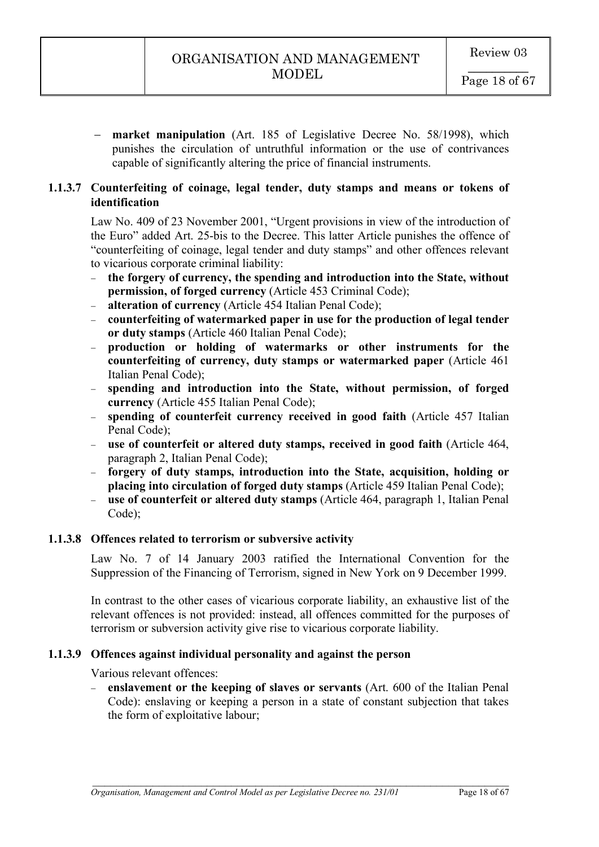- **market manipulation** (Art. 185 of Legislative Decree No. 58/1998), which punishes the circulation of untruthful information or the use of contrivances capable of significantly altering the price of financial instruments.

# **1.1.3.7 Counterfeiting of coinage, legal tender, duty stamps and means or tokens of identification**

Law No. 409 of 23 November 2001, "Urgent provisions in view of the introduction of the Euro" added Art. 25-bis to the Decree. This latter Article punishes the offence of "counterfeiting of coinage, legal tender and duty stamps" and other offences relevant to vicarious corporate criminal liability:

- **the forgery of currency, the spending and introduction into the State, without permission, of forged currency** (Article 453 Criminal Code);
- **alteration of currency** (Article 454 Italian Penal Code);
- **counterfeiting of watermarked paper in use for the production of legal tender or duty stamps** (Article 460 Italian Penal Code);
- **production or holding of watermarks or other instruments for the counterfeiting of currency, duty stamps or watermarked paper** (Article 461 Italian Penal Code);
- **spending and introduction into the State, without permission, of forged currency** (Article 455 Italian Penal Code);
- **spending of counterfeit currency received in good faith** (Article 457 Italian Penal Code);
- **use of counterfeit or altered duty stamps, received in good faith** (Article 464, paragraph 2, Italian Penal Code);
- **forgery of duty stamps, introduction into the State, acquisition, holding or placing into circulation of forged duty stamps** (Article 459 Italian Penal Code);
- **use of counterfeit or altered duty stamps** (Article 464, paragraph 1, Italian Penal Code);

### **1.1.3.8 Offences related to terrorism or subversive activity**

Law No. 7 of 14 January 2003 ratified the International Convention for the Suppression of the Financing of Terrorism, signed in New York on 9 December 1999.

In contrast to the other cases of vicarious corporate liability, an exhaustive list of the relevant offences is not provided: instead, all offences committed for the purposes of terrorism or subversion activity give rise to vicarious corporate liability.

### **1.1.3.9 Offences against individual personality and against the person**

Various relevant offences:

- **enslavement or the keeping of slaves or servants** (Art. 600 of the Italian Penal Code): enslaving or keeping a person in a state of constant subjection that takes the form of exploitative labour;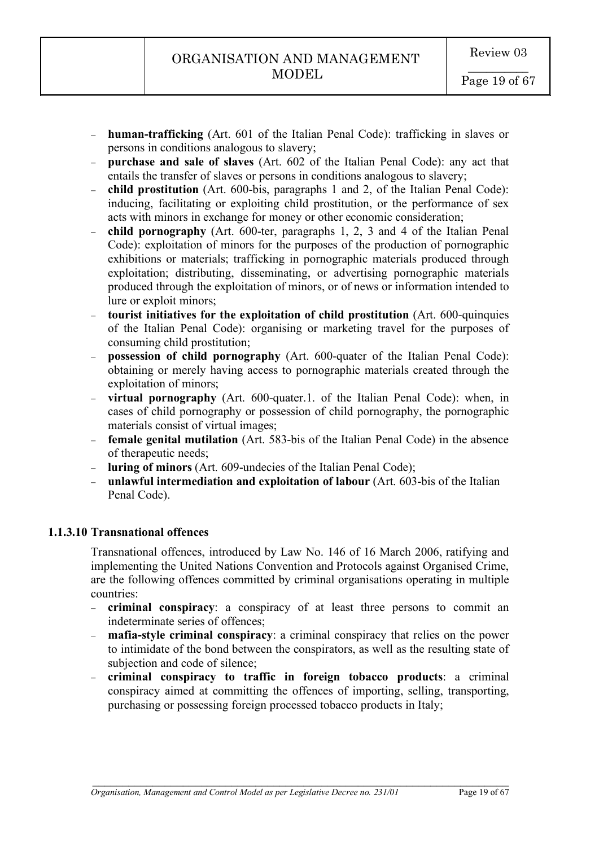- **human-trafficking** (Art. 601 of the Italian Penal Code): trafficking in slaves or persons in conditions analogous to slavery;
- **purchase and sale of slaves** (Art. 602 of the Italian Penal Code): any act that entails the transfer of slaves or persons in conditions analogous to slavery;
- **child prostitution** (Art. 600-bis, paragraphs 1 and 2, of the Italian Penal Code): inducing, facilitating or exploiting child prostitution, or the performance of sex acts with minors in exchange for money or other economic consideration;
- **child pornography** (Art. 600-ter, paragraphs 1, 2, 3 and 4 of the Italian Penal Code): exploitation of minors for the purposes of the production of pornographic exhibitions or materials; trafficking in pornographic materials produced through exploitation; distributing, disseminating, or advertising pornographic materials produced through the exploitation of minors, or of news or information intended to lure or exploit minors;
- **tourist initiatives for the exploitation of child prostitution** (Art. 600-quinquies of the Italian Penal Code): organising or marketing travel for the purposes of consuming child prostitution;
- **possession of child pornography** (Art. 600-quater of the Italian Penal Code): obtaining or merely having access to pornographic materials created through the exploitation of minors;
- **virtual pornography** (Art. 600-quater.1. of the Italian Penal Code): when, in cases of child pornography or possession of child pornography, the pornographic materials consist of virtual images;
- **female genital mutilation** (Art. 583-bis of the Italian Penal Code) in the absence of therapeutic needs;
- **luring of minors** (Art. 609-undecies of the Italian Penal Code);
- unlawful intermediation and exploitation of labour (Art. 603-bis of the Italian Penal Code).

# **1.1.3.10 Transnational offences**

Transnational offences, introduced by Law No. 146 of 16 March 2006, ratifying and implementing the United Nations Convention and Protocols against Organised Crime, are the following offences committed by criminal organisations operating in multiple countries:

- criminal conspiracy: a conspiracy of at least three persons to commit an indeterminate series of offences;
- **mafia-style criminal conspiracy**: a criminal conspiracy that relies on the power to intimidate of the bond between the conspirators, as well as the resulting state of subjection and code of silence;
- **criminal conspiracy to traffic in foreign tobacco products**: a criminal conspiracy aimed at committing the offences of importing, selling, transporting, purchasing or possessing foreign processed tobacco products in Italy;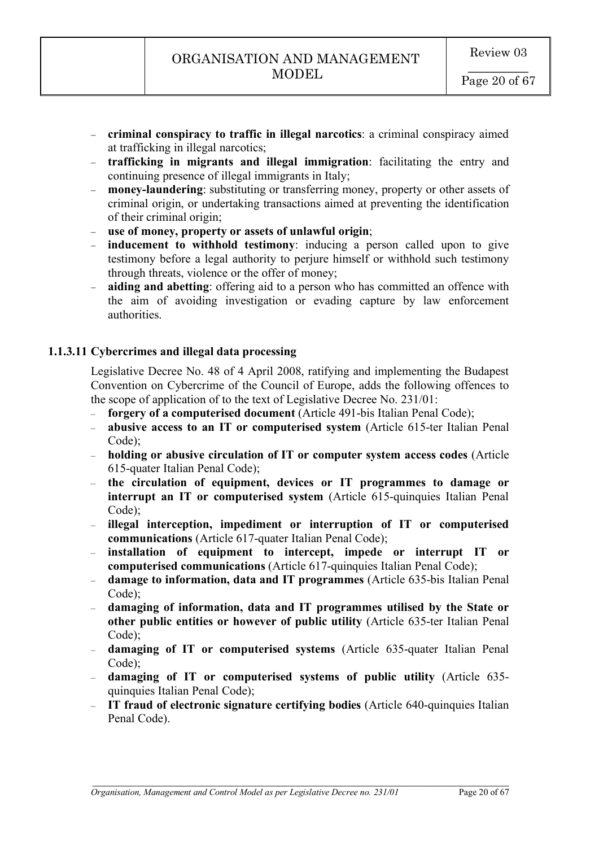- **criminal conspiracy to traffic in illegal narcotics**: a criminal conspiracy aimed at trafficking in illegal narcotics;
- **trafficking in migrants and illegal immigration**: facilitating the entry and continuing presence of illegal immigrants in Italy;
- **money-laundering**: substituting or transferring money, property or other assets of criminal origin, or undertaking transactions aimed at preventing the identification of their criminal origin;
- **use of money, property or assets of unlawful origin**;
- **inducement to withhold testimony**: inducing a person called upon to give testimony before a legal authority to perjure himself or withhold such testimony through threats, violence or the offer of money;
- **aiding and abetting**: offering aid to a person who has committed an offence with the aim of avoiding investigation or evading capture by law enforcement authorities.

# **1.1.3.11 Cybercrimes and illegal data processing**

Legislative Decree No. 48 of 4 April 2008, ratifying and implementing the Budapest Convention on Cybercrime of the Council of Europe, adds the following offences to the scope of application of to the text of Legislative Decree No. 231/01:

- **forgery of a computerised document** (Article 491-bis Italian Penal Code);
- **abusive access to an IT or computerised system** (Article 615-ter Italian Penal Code);
- **holding or abusive circulation of IT or computer system access codes** (Article 615-quater Italian Penal Code);
- **the circulation of equipment, devices or IT programmes to damage or interrupt an IT or computerised system** (Article 615-quinquies Italian Penal Code);
- **illegal interception, impediment or interruption of IT or computerised communications** (Article 617-quater Italian Penal Code);
- **installation of equipment to intercept, impede or interrupt IT or computerised communications** (Article 617-quinquies Italian Penal Code);
- **damage to information, data and IT programmes** (Article 635-bis Italian Penal Code)<sup>-</sup>
- **damaging of information, data and IT programmes utilised by the State or other public entities or however of public utility** (Article 635-ter Italian Penal Code);
- **damaging of IT or computerised systems** (Article 635-quater Italian Penal Code);
- **damaging of IT or computerised systems of public utility** (Article 635 quinquies Italian Penal Code);
- **IT fraud of electronic signature certifying bodies** (Article 640-quinquies Italian Penal Code).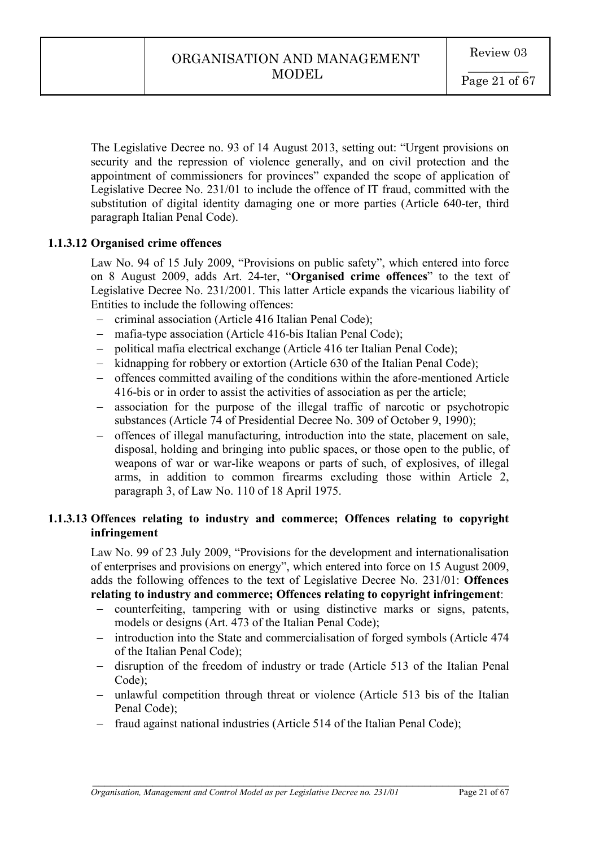The Legislative Decree no. 93 of 14 August 2013, setting out: "Urgent provisions on security and the repression of violence generally, and on civil protection and the appointment of commissioners for provinces" expanded the scope of application of Legislative Decree No. 231/01 to include the offence of IT fraud, committed with the substitution of digital identity damaging one or more parties (Article 640-ter, third paragraph Italian Penal Code).

# **1.1.3.12 Organised crime offences**

Law No. 94 of 15 July 2009, "Provisions on public safety", which entered into force on 8 August 2009, adds Art. 24-ter, "**Organised crime offences**" to the text of Legislative Decree No. 231/2001. This latter Article expands the vicarious liability of Entities to include the following offences:

- criminal association (Article 416 Italian Penal Code);
- mafia-type association (Article 416-bis Italian Penal Code);
- political mafia electrical exchange (Article 416 ter Italian Penal Code);
- kidnapping for robbery or extortion (Article 630 of the Italian Penal Code);
- offences committed availing of the conditions within the afore-mentioned Article 416-bis or in order to assist the activities of association as per the article;
- association for the purpose of the illegal traffic of narcotic or psychotropic substances (Article 74 of Presidential Decree No. 309 of October 9, 1990);
- offences of illegal manufacturing, introduction into the state, placement on sale, disposal, holding and bringing into public spaces, or those open to the public, of weapons of war or war-like weapons or parts of such, of explosives, of illegal arms, in addition to common firearms excluding those within Article 2, paragraph 3, of Law No. 110 of 18 April 1975.

# **1.1.3.13 Offences relating to industry and commerce; Offences relating to copyright infringement**

Law No. 99 of 23 July 2009, "Provisions for the development and internationalisation of enterprises and provisions on energy", which entered into force on 15 August 2009, adds the following offences to the text of Legislative Decree No. 231/01: **Offences relating to industry and commerce; Offences relating to copyright infringement**:

- counterfeiting, tampering with or using distinctive marks or signs, patents, models or designs (Art. 473 of the Italian Penal Code);
- introduction into the State and commercialisation of forged symbols (Article 474 of the Italian Penal Code);
- disruption of the freedom of industry or trade (Article 513 of the Italian Penal Code);
- unlawful competition through threat or violence (Article 513 bis of the Italian Penal Code);

 $\mathcal{L}_\mathcal{L} = \mathcal{L}_\mathcal{L} = \mathcal{L}_\mathcal{L} = \mathcal{L}_\mathcal{L} = \mathcal{L}_\mathcal{L} = \mathcal{L}_\mathcal{L} = \mathcal{L}_\mathcal{L} = \mathcal{L}_\mathcal{L} = \mathcal{L}_\mathcal{L} = \mathcal{L}_\mathcal{L} = \mathcal{L}_\mathcal{L} = \mathcal{L}_\mathcal{L} = \mathcal{L}_\mathcal{L} = \mathcal{L}_\mathcal{L} = \mathcal{L}_\mathcal{L} = \mathcal{L}_\mathcal{L} = \mathcal{L}_\mathcal{L}$ 

- fraud against national industries (Article 514 of the Italian Penal Code);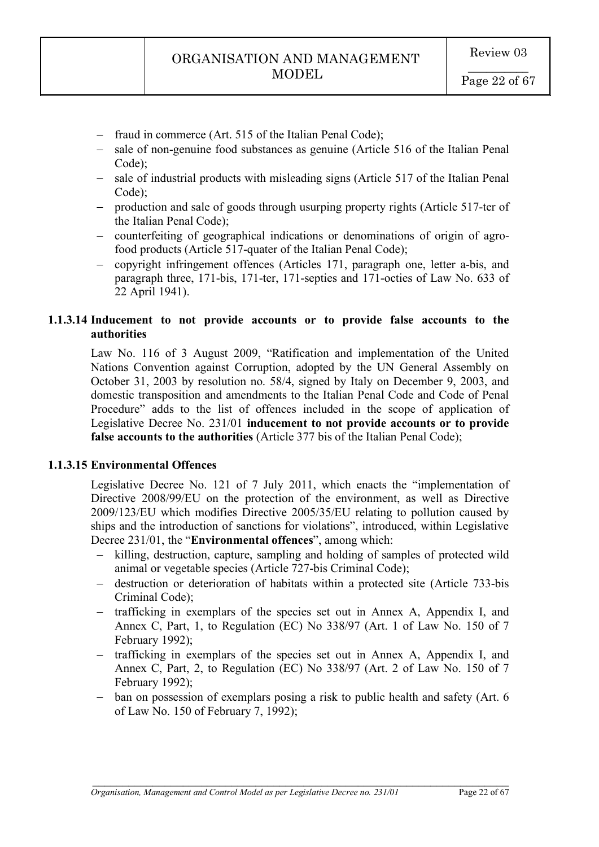- fraud in commerce (Art. 515 of the Italian Penal Code);
- sale of non-genuine food substances as genuine (Article 516 of the Italian Penal Code);
- sale of industrial products with misleading signs (Article 517 of the Italian Penal Code);
- production and sale of goods through usurping property rights (Article 517-ter of the Italian Penal Code);
- counterfeiting of geographical indications or denominations of origin of agrofood products (Article 517-quater of the Italian Penal Code);
- copyright infringement offences (Articles 171, paragraph one, letter a-bis, and paragraph three, 171-bis, 171-ter, 171-septies and 171-octies of Law No. 633 of 22 April 1941).

# **1.1.3.14 Inducement to not provide accounts or to provide false accounts to the authorities**

Law No. 116 of 3 August 2009, "Ratification and implementation of the United Nations Convention against Corruption, adopted by the UN General Assembly on October 31, 2003 by resolution no. 58/4, signed by Italy on December 9, 2003, and domestic transposition and amendments to the Italian Penal Code and Code of Penal Procedure" adds to the list of offences included in the scope of application of Legislative Decree No. 231/01 **inducement to not provide accounts or to provide false accounts to the authorities** (Article 377 bis of the Italian Penal Code);

# **1.1.3.15 Environmental Offences**

Legislative Decree No. 121 of 7 July 2011, which enacts the "implementation of Directive 2008/99/EU on the protection of the environment, as well as Directive 2009/123/EU which modifies Directive 2005/35/EU relating to pollution caused by ships and the introduction of sanctions for violations", introduced, within Legislative Decree 231/01, the "**Environmental offences**", among which:

- killing, destruction, capture, sampling and holding of samples of protected wild animal or vegetable species (Article 727-bis Criminal Code);
- destruction or deterioration of habitats within a protected site (Article 733-bis Criminal Code);
- trafficking in exemplars of the species set out in Annex A, Appendix I, and Annex C, Part, 1, to Regulation (EC) No 338/97 (Art. 1 of Law No. 150 of 7 February 1992);
- trafficking in exemplars of the species set out in Annex A, Appendix I, and Annex C, Part, 2, to Regulation (EC) No 338/97 (Art. 2 of Law No. 150 of 7 February 1992);
- ban on possession of exemplars posing a risk to public health and safety (Art. 6) of Law No. 150 of February 7, 1992);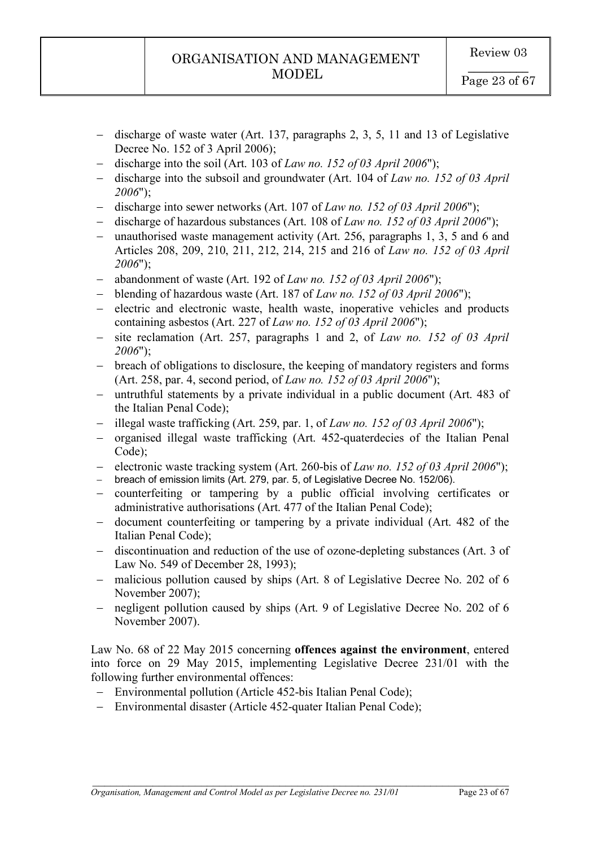- discharge of waste water (Art. 137, paragraphs 2, 3, 5, 11 and 13 of Legislative Decree No. 152 of 3 April 2006);
- discharge into the soil (Art. 103 of *Law no. 152 of 03 April 2006*");
- discharge into the subsoil and groundwater (Art. 104 of *Law no. 152 of 03 April 2006*");
- discharge into sewer networks (Art. 107 of *Law no. 152 of 03 April 2006*");
- discharge of hazardous substances (Art. 108 of *Law no. 152 of 03 April 2006*");
- unauthorised waste management activity (Art. 256, paragraphs 1, 3, 5 and 6 and Articles 208, 209, 210, 211, 212, 214, 215 and 216 of *Law no. 152 of 03 April 2006*");
- abandonment of waste (Art. 192 of *Law no. 152 of 03 April 2006*");
- blending of hazardous waste (Art. 187 of *Law no. 152 of 03 April 2006*");
- electric and electronic waste, health waste, inoperative vehicles and products containing asbestos (Art. 227 of *Law no. 152 of 03 April 2006*");
- site reclamation (Art. 257, paragraphs 1 and 2, of *Law no. 152 of 03 April 2006*");
- breach of obligations to disclosure, the keeping of mandatory registers and forms (Art. 258, par. 4, second period, of *Law no. 152 of 03 April 2006*");
- untruthful statements by a private individual in a public document (Art. 483 of the Italian Penal Code);
- illegal waste trafficking (Art. 259, par. 1, of *Law no. 152 of 03 April 2006*");
- organised illegal waste trafficking (Art. 452-quaterdecies of the Italian Penal Code);
- electronic waste tracking system (Art. 260-bis of *Law no. 152 of 03 April 2006*");
- breach of emission limits (Art. 279, par. 5, of Legislative Decree No. 152/06).
- counterfeiting or tampering by a public official involving certificates or administrative authorisations (Art. 477 of the Italian Penal Code);
- document counterfeiting or tampering by a private individual (Art. 482 of the Italian Penal Code);
- discontinuation and reduction of the use of ozone-depleting substances (Art. 3 of Law No. 549 of December 28, 1993);
- malicious pollution caused by ships (Art. 8 of Legislative Decree No. 202 of 6 November 2007);
- negligent pollution caused by ships (Art. 9 of Legislative Decree No. 202 of 6 November 2007).

Law No. 68 of 22 May 2015 concerning **offences against the environment**, entered into force on 29 May 2015, implementing Legislative Decree 231/01 with the following further environmental offences:

- Environmental pollution (Article 452-bis Italian Penal Code);
- Environmental disaster (Article 452-quater Italian Penal Code);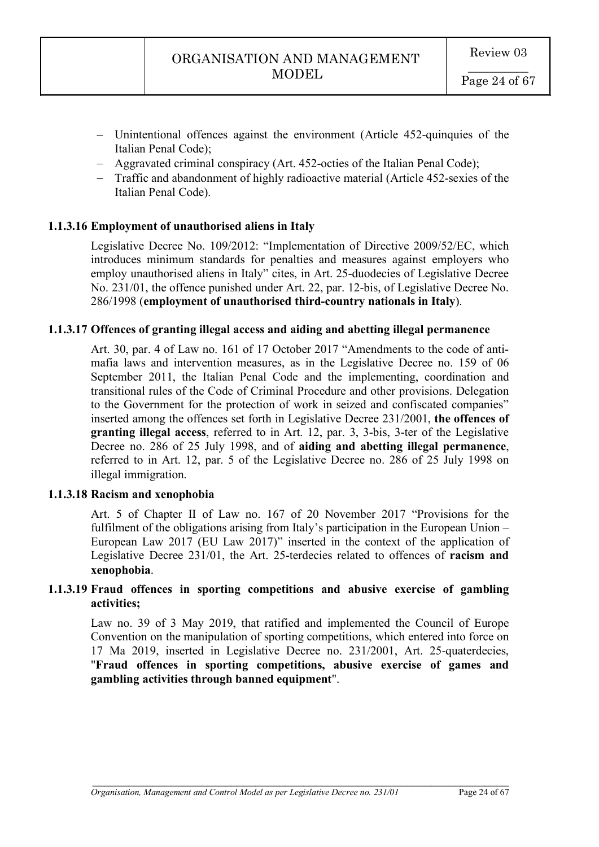- Unintentional offences against the environment (Article 452-quinquies of the Italian Penal Code);
- Aggravated criminal conspiracy (Art. 452-octies of the Italian Penal Code);
- Traffic and abandonment of highly radioactive material (Article 452-sexies of the Italian Penal Code).

# **1.1.3.16 Employment of unauthorised aliens in Italy**

Legislative Decree No. 109/2012: "Implementation of Directive 2009/52/EC, which introduces minimum standards for penalties and measures against employers who employ unauthorised aliens in Italy" cites, in Art. 25-duodecies of Legislative Decree No. 231/01, the offence punished under Art. 22, par. 12-bis, of Legislative Decree No. 286/1998 (**employment of unauthorised third-country nationals in Italy**).

# **1.1.3.17 Offences of granting illegal access and aiding and abetting illegal permanence**

Art. 30, par. 4 of Law no. 161 of 17 October 2017 "Amendments to the code of antimafia laws and intervention measures, as in the Legislative Decree no. 159 of 06 September 2011, the Italian Penal Code and the implementing, coordination and transitional rules of the Code of Criminal Procedure and other provisions. Delegation to the Government for the protection of work in seized and confiscated companies" inserted among the offences set forth in Legislative Decree 231/2001, **the offences of granting illegal access**, referred to in Art. 12, par. 3, 3-bis, 3-ter of the Legislative Decree no. 286 of 25 July 1998, and of **aiding and abetting illegal permanence**, referred to in Art. 12, par. 5 of the Legislative Decree no. 286 of 25 July 1998 on illegal immigration.

### **1.1.3.18 Racism and xenophobia**

Art. 5 of Chapter II of Law no. 167 of 20 November 2017 "Provisions for the fulfilment of the obligations arising from Italy's participation in the European Union – European Law 2017 (EU Law 2017)" inserted in the context of the application of Legislative Decree 231/01, the Art. 25-terdecies related to offences of **racism and xenophobia**.

# **1.1.3.19 Fraud offences in sporting competitions and abusive exercise of gambling activities;**

Law no. 39 of 3 May 2019, that ratified and implemented the Council of Europe Convention on the manipulation of sporting competitions, which entered into force on 17 Ma 2019, inserted in Legislative Decree no. 231/2001, Art. 25-quaterdecies, "**Fraud offences in sporting competitions, abusive exercise of games and gambling activities through banned equipment**".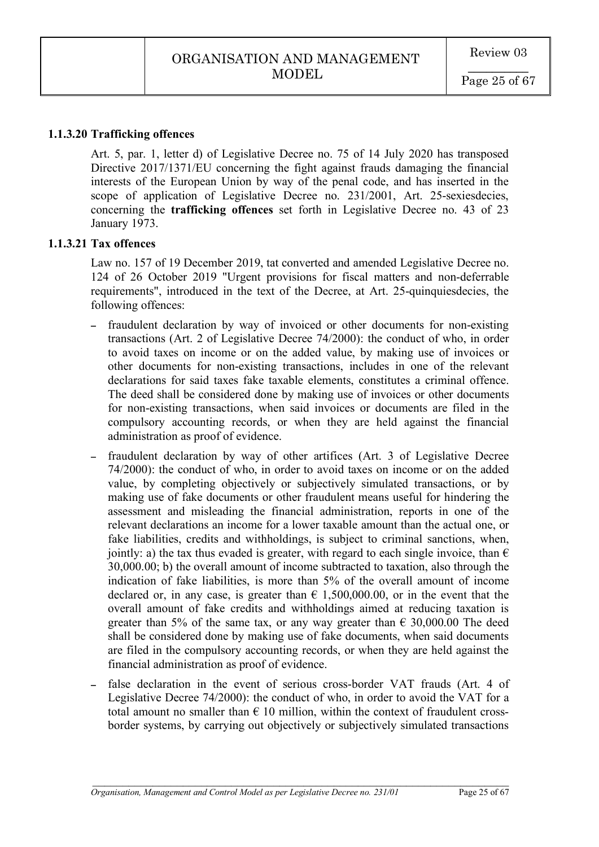### **1.1.3.20 Trafficking offences**

Art. 5, par. 1, letter d) of Legislative Decree no. 75 of 14 July 2020 has transposed Directive 2017/1371/EU concerning the fight against frauds damaging the financial interests of the European Union by way of the penal code, and has inserted in the scope of application of Legislative Decree no. 231/2001, Art. 25-sexiesdecies, concerning the **trafficking offences** set forth in Legislative Decree no. 43 of 23 January 1973.

### **1.1.3.21 Tax offences**

Law no. 157 of 19 December 2019, tat converted and amended Legislative Decree no. 124 of 26 October 2019 "Urgent provisions for fiscal matters and non-deferrable requirements", introduced in the text of the Decree, at Art. 25-quinquiesdecies, the following offences:

- fraudulent declaration by way of invoiced or other documents for non-existing transactions (Art. 2 of Legislative Decree 74/2000): the conduct of who, in order to avoid taxes on income or on the added value, by making use of invoices or other documents for non-existing transactions, includes in one of the relevant declarations for said taxes fake taxable elements, constitutes a criminal offence. The deed shall be considered done by making use of invoices or other documents for non-existing transactions, when said invoices or documents are filed in the compulsory accounting records, or when they are held against the financial administration as proof of evidence.
- fraudulent declaration by way of other artifices (Art. 3 of Legislative Decree 74/2000): the conduct of who, in order to avoid taxes on income or on the added value, by completing objectively or subjectively simulated transactions, or by making use of fake documents or other fraudulent means useful for hindering the assessment and misleading the financial administration, reports in one of the relevant declarations an income for a lower taxable amount than the actual one, or fake liabilities, credits and withholdings, is subject to criminal sanctions, when, jointly: a) the tax thus evaded is greater, with regard to each single invoice, than  $\epsilon$ 30,000.00; b) the overall amount of income subtracted to taxation, also through the indication of fake liabilities, is more than 5% of the overall amount of income declared or, in any case, is greater than  $\epsilon$  1,500,000.00, or in the event that the overall amount of fake credits and withholdings aimed at reducing taxation is greater than 5% of the same tax, or any way greater than  $\epsilon$  30,000,00 The deed shall be considered done by making use of fake documents, when said documents are filed in the compulsory accounting records, or when they are held against the financial administration as proof of evidence.
- false declaration in the event of serious cross-border VAT frauds (Art. 4 of Legislative Decree 74/2000): the conduct of who, in order to avoid the VAT for a total amount no smaller than  $\epsilon$  10 million, within the context of fraudulent crossborder systems, by carrying out objectively or subjectively simulated transactions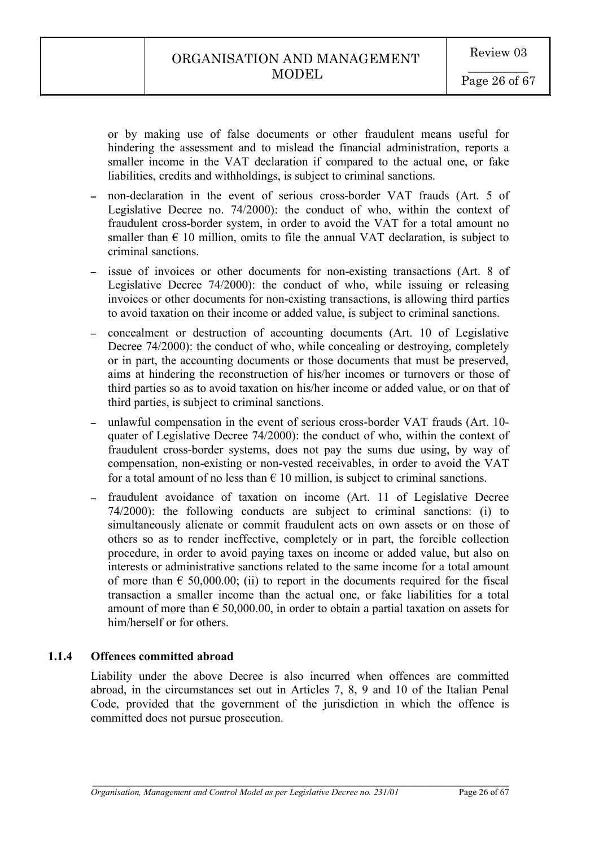or by making use of false documents or other fraudulent means useful for hindering the assessment and to mislead the financial administration, reports a smaller income in the VAT declaration if compared to the actual one, or fake liabilities, credits and withholdings, is subject to criminal sanctions.

- non-declaration in the event of serious cross-border VAT frauds (Art. 5 of Legislative Decree no. 74/2000): the conduct of who, within the context of fraudulent cross-border system, in order to avoid the VAT for a total amount no smaller than  $\epsilon$  10 million, omits to file the annual VAT declaration, is subject to criminal sanctions.
- issue of invoices or other documents for non-existing transactions (Art. 8 of Legislative Decree 74/2000): the conduct of who, while issuing or releasing invoices or other documents for non-existing transactions, is allowing third parties to avoid taxation on their income or added value, is subject to criminal sanctions.
- concealment or destruction of accounting documents (Art. 10 of Legislative Decree 74/2000): the conduct of who, while concealing or destroying, completely or in part, the accounting documents or those documents that must be preserved, aims at hindering the reconstruction of his/her incomes or turnovers or those of third parties so as to avoid taxation on his/her income or added value, or on that of third parties, is subject to criminal sanctions.
- unlawful compensation in the event of serious cross-border VAT frauds (Art. 10 quater of Legislative Decree 74/2000): the conduct of who, within the context of fraudulent cross-border systems, does not pay the sums due using, by way of compensation, non-existing or non-vested receivables, in order to avoid the VAT for a total amount of no less than  $\epsilon$  10 million, is subject to criminal sanctions.
- fraudulent avoidance of taxation on income (Art. 11 of Legislative Decree 74/2000): the following conducts are subject to criminal sanctions: (i) to simultaneously alienate or commit fraudulent acts on own assets or on those of others so as to render ineffective, completely or in part, the forcible collection procedure, in order to avoid paying taxes on income or added value, but also on interests or administrative sanctions related to the same income for a total amount of more than  $\epsilon$  50,000.00; (ii) to report in the documents required for the fiscal transaction a smaller income than the actual one, or fake liabilities for a total amount of more than  $\epsilon$  50,000.00, in order to obtain a partial taxation on assets for him/herself or for others.

# **1.1.4 Offences committed abroad**

Liability under the above Decree is also incurred when offences are committed abroad, in the circumstances set out in Articles 7, 8, 9 and 10 of the Italian Penal Code, provided that the government of the jurisdiction in which the offence is committed does not pursue prosecution.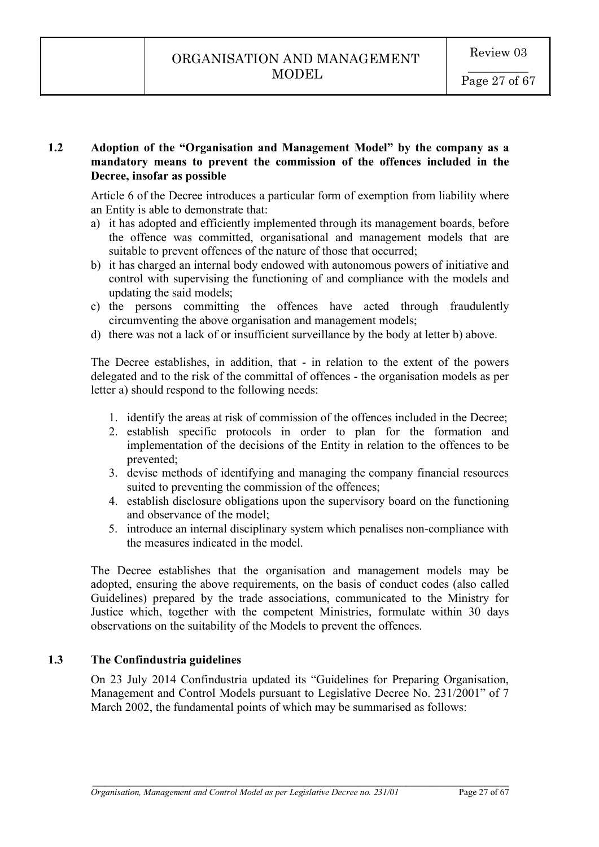# **1.2 Adoption of the "Organisation and Management Model" by the company as a mandatory means to prevent the commission of the offences included in the Decree, insofar as possible**

Article 6 of the Decree introduces a particular form of exemption from liability where an Entity is able to demonstrate that:

- a) it has adopted and efficiently implemented through its management boards, before the offence was committed, organisational and management models that are suitable to prevent offences of the nature of those that occurred;
- b) it has charged an internal body endowed with autonomous powers of initiative and control with supervising the functioning of and compliance with the models and updating the said models;
- c) the persons committing the offences have acted through fraudulently circumventing the above organisation and management models;
- d) there was not a lack of or insufficient surveillance by the body at letter b) above.

The Decree establishes, in addition, that - in relation to the extent of the powers delegated and to the risk of the committal of offences - the organisation models as per letter a) should respond to the following needs:

- 1. identify the areas at risk of commission of the offences included in the Decree;
- 2. establish specific protocols in order to plan for the formation and implementation of the decisions of the Entity in relation to the offences to be prevented;
- 3. devise methods of identifying and managing the company financial resources suited to preventing the commission of the offences;
- 4. establish disclosure obligations upon the supervisory board on the functioning and observance of the model;
- 5. introduce an internal disciplinary system which penalises non-compliance with the measures indicated in the model.

The Decree establishes that the organisation and management models may be adopted, ensuring the above requirements, on the basis of conduct codes (also called Guidelines) prepared by the trade associations, communicated to the Ministry for Justice which, together with the competent Ministries, formulate within 30 days observations on the suitability of the Models to prevent the offences.

# **1.3 The Confindustria guidelines**

On 23 July 2014 Confindustria updated its "Guidelines for Preparing Organisation, Management and Control Models pursuant to Legislative Decree No. 231/2001" of 7 March 2002, the fundamental points of which may be summarised as follows: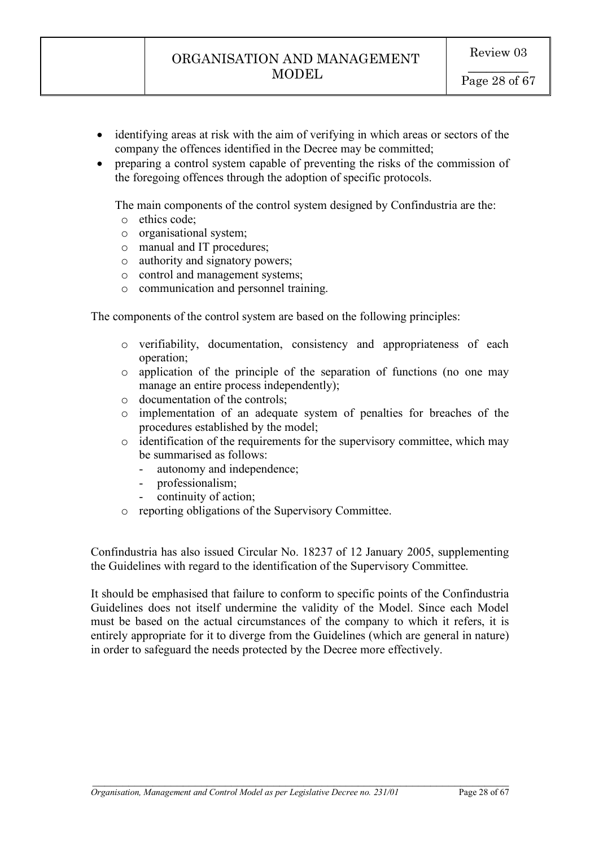- identifying areas at risk with the aim of verifying in which areas or sectors of the company the offences identified in the Decree may be committed;
- preparing a control system capable of preventing the risks of the commission of the foregoing offences through the adoption of specific protocols.

The main components of the control system designed by Confindustria are the:

- o ethics code;
- o organisational system;
- o manual and IT procedures;
- o authority and signatory powers;
- o control and management systems;
- o communication and personnel training.

The components of the control system are based on the following principles:

- o verifiability, documentation, consistency and appropriateness of each operation;
- o application of the principle of the separation of functions (no one may manage an entire process independently);
- o documentation of the controls;
- o implementation of an adequate system of penalties for breaches of the procedures established by the model;
- $\circ$  identification of the requirements for the supervisory committee, which may be summarised as follows:
	- autonomy and independence;
	- professionalism;
	- continuity of action:
- o reporting obligations of the Supervisory Committee.

Confindustria has also issued Circular No. 18237 of 12 January 2005, supplementing the Guidelines with regard to the identification of the Supervisory Committee.

It should be emphasised that failure to conform to specific points of the Confindustria Guidelines does not itself undermine the validity of the Model. Since each Model must be based on the actual circumstances of the company to which it refers, it is entirely appropriate for it to diverge from the Guidelines (which are general in nature) in order to safeguard the needs protected by the Decree more effectively.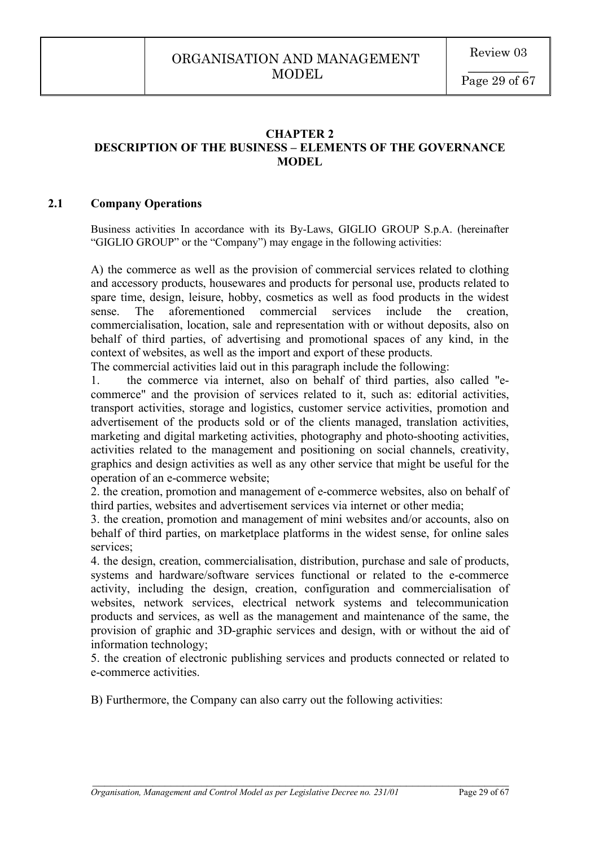### **CHAPTER 2 DESCRIPTION OF THE BUSINESS – ELEMENTS OF THE GOVERNANCE MODEL**

### **2.1 Company Operations**

Business activities In accordance with its By-Laws, GIGLIO GROUP S.p.A. (hereinafter "GIGLIO GROUP" or the "Company") may engage in the following activities:

A) the commerce as well as the provision of commercial services related to clothing and accessory products, housewares and products for personal use, products related to spare time, design, leisure, hobby, cosmetics as well as food products in the widest sense. The aforementioned commercial services include the creation, commercialisation, location, sale and representation with or without deposits, also on behalf of third parties, of advertising and promotional spaces of any kind, in the context of websites, as well as the import and export of these products.

The commercial activities laid out in this paragraph include the following:

1. the commerce via internet, also on behalf of third parties, also called "ecommerce" and the provision of services related to it, such as: editorial activities, transport activities, storage and logistics, customer service activities, promotion and advertisement of the products sold or of the clients managed, translation activities, marketing and digital marketing activities, photography and photo-shooting activities, activities related to the management and positioning on social channels, creativity, graphics and design activities as well as any other service that might be useful for the operation of an e-commerce website;

2. the creation, promotion and management of e-commerce websites, also on behalf of third parties, websites and advertisement services via internet or other media;

3. the creation, promotion and management of mini websites and/or accounts, also on behalf of third parties, on marketplace platforms in the widest sense, for online sales services;

4. the design, creation, commercialisation, distribution, purchase and sale of products, systems and hardware/software services functional or related to the e-commerce activity, including the design, creation, configuration and commercialisation of websites, network services, electrical network systems and telecommunication products and services, as well as the management and maintenance of the same, the provision of graphic and 3D-graphic services and design, with or without the aid of information technology;

5. the creation of electronic publishing services and products connected or related to e-commerce activities.

 $\mathcal{L}_\mathcal{L} = \mathcal{L}_\mathcal{L} = \mathcal{L}_\mathcal{L} = \mathcal{L}_\mathcal{L} = \mathcal{L}_\mathcal{L} = \mathcal{L}_\mathcal{L} = \mathcal{L}_\mathcal{L} = \mathcal{L}_\mathcal{L} = \mathcal{L}_\mathcal{L} = \mathcal{L}_\mathcal{L} = \mathcal{L}_\mathcal{L} = \mathcal{L}_\mathcal{L} = \mathcal{L}_\mathcal{L} = \mathcal{L}_\mathcal{L} = \mathcal{L}_\mathcal{L} = \mathcal{L}_\mathcal{L} = \mathcal{L}_\mathcal{L}$ 

B) Furthermore, the Company can also carry out the following activities: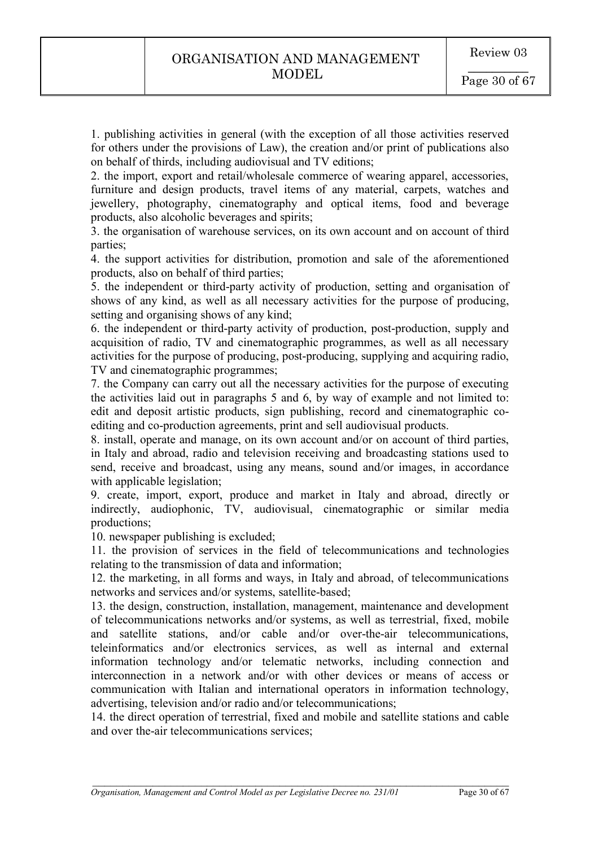1. publishing activities in general (with the exception of all those activities reserved for others under the provisions of Law), the creation and/or print of publications also on behalf of thirds, including audiovisual and TV editions;

2. the import, export and retail/wholesale commerce of wearing apparel, accessories, furniture and design products, travel items of any material, carpets, watches and jewellery, photography, cinematography and optical items, food and beverage products, also alcoholic beverages and spirits;

3. the organisation of warehouse services, on its own account and on account of third parties;

4. the support activities for distribution, promotion and sale of the aforementioned products, also on behalf of third parties;

5. the independent or third-party activity of production, setting and organisation of shows of any kind, as well as all necessary activities for the purpose of producing, setting and organising shows of any kind;

6. the independent or third-party activity of production, post-production, supply and acquisition of radio, TV and cinematographic programmes, as well as all necessary activities for the purpose of producing, post-producing, supplying and acquiring radio, TV and cinematographic programmes;

7. the Company can carry out all the necessary activities for the purpose of executing the activities laid out in paragraphs 5 and 6, by way of example and not limited to: edit and deposit artistic products, sign publishing, record and cinematographic coediting and co-production agreements, print and sell audiovisual products.

8. install, operate and manage, on its own account and/or on account of third parties, in Italy and abroad, radio and television receiving and broadcasting stations used to send, receive and broadcast, using any means, sound and/or images, in accordance with applicable legislation;

9. create, import, export, produce and market in Italy and abroad, directly or indirectly, audiophonic, TV, audiovisual, cinematographic or similar media productions;

10. newspaper publishing is excluded;

11. the provision of services in the field of telecommunications and technologies relating to the transmission of data and information;

12. the marketing, in all forms and ways, in Italy and abroad, of telecommunications networks and services and/or systems, satellite-based;

13. the design, construction, installation, management, maintenance and development of telecommunications networks and/or systems, as well as terrestrial, fixed, mobile and satellite stations, and/or cable and/or over-the-air telecommunications, teleinformatics and/or electronics services, as well as internal and external information technology and/or telematic networks, including connection and interconnection in a network and/or with other devices or means of access or communication with Italian and international operators in information technology, advertising, television and/or radio and/or telecommunications;

14. the direct operation of terrestrial, fixed and mobile and satellite stations and cable and over the-air telecommunications services;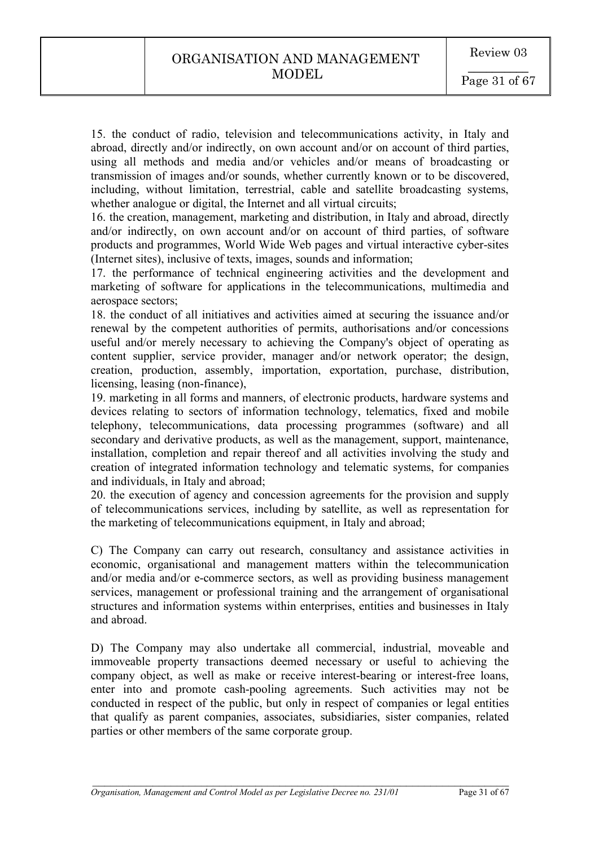15. the conduct of radio, television and telecommunications activity, in Italy and abroad, directly and/or indirectly, on own account and/or on account of third parties, using all methods and media and/or vehicles and/or means of broadcasting or transmission of images and/or sounds, whether currently known or to be discovered, including, without limitation, terrestrial, cable and satellite broadcasting systems, whether analogue or digital, the Internet and all virtual circuits;

16. the creation, management, marketing and distribution, in Italy and abroad, directly and/or indirectly, on own account and/or on account of third parties, of software products and programmes, World Wide Web pages and virtual interactive cyber-sites (Internet sites), inclusive of texts, images, sounds and information;

17. the performance of technical engineering activities and the development and marketing of software for applications in the telecommunications, multimedia and aerospace sectors;

18. the conduct of all initiatives and activities aimed at securing the issuance and/or renewal by the competent authorities of permits, authorisations and/or concessions useful and/or merely necessary to achieving the Company's object of operating as content supplier, service provider, manager and/or network operator; the design, creation, production, assembly, importation, exportation, purchase, distribution, licensing, leasing (non-finance),

19. marketing in all forms and manners, of electronic products, hardware systems and devices relating to sectors of information technology, telematics, fixed and mobile telephony, telecommunications, data processing programmes (software) and all secondary and derivative products, as well as the management, support, maintenance, installation, completion and repair thereof and all activities involving the study and creation of integrated information technology and telematic systems, for companies and individuals, in Italy and abroad;

20. the execution of agency and concession agreements for the provision and supply of telecommunications services, including by satellite, as well as representation for the marketing of telecommunications equipment, in Italy and abroad;

C) The Company can carry out research, consultancy and assistance activities in economic, organisational and management matters within the telecommunication and/or media and/or e-commerce sectors, as well as providing business management services, management or professional training and the arrangement of organisational structures and information systems within enterprises, entities and businesses in Italy and abroad.

D) The Company may also undertake all commercial, industrial, moveable and immoveable property transactions deemed necessary or useful to achieving the company object, as well as make or receive interest-bearing or interest-free loans, enter into and promote cash-pooling agreements. Such activities may not be conducted in respect of the public, but only in respect of companies or legal entities that qualify as parent companies, associates, subsidiaries, sister companies, related parties or other members of the same corporate group.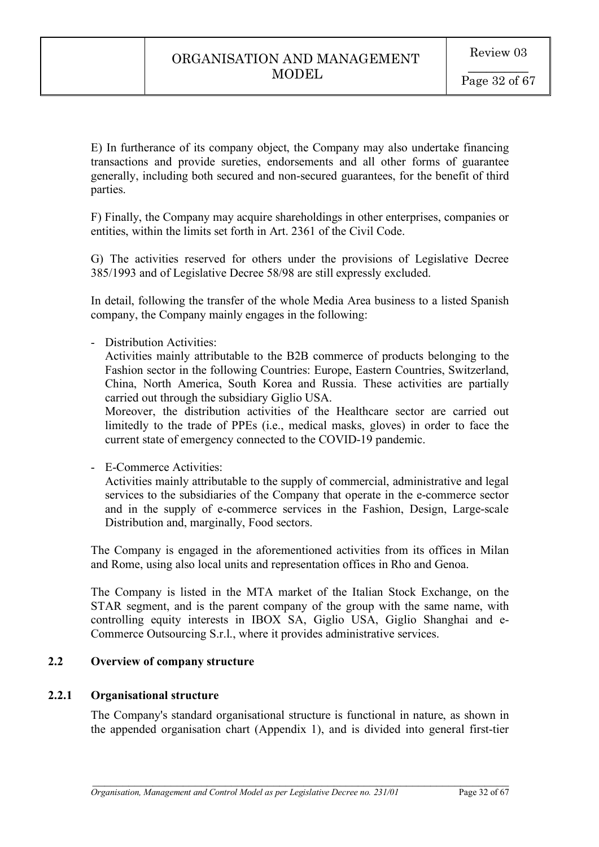E) In furtherance of its company object, the Company may also undertake financing transactions and provide sureties, endorsements and all other forms of guarantee generally, including both secured and non-secured guarantees, for the benefit of third parties.

F) Finally, the Company may acquire shareholdings in other enterprises, companies or entities, within the limits set forth in Art. 2361 of the Civil Code.

G) The activities reserved for others under the provisions of Legislative Decree 385/1993 and of Legislative Decree 58/98 are still expressly excluded.

In detail, following the transfer of the whole Media Area business to a listed Spanish company, the Company mainly engages in the following:

- Distribution Activities:

Activities mainly attributable to the B2B commerce of products belonging to the Fashion sector in the following Countries: Europe, Eastern Countries, Switzerland, China, North America, South Korea and Russia. These activities are partially carried out through the subsidiary Giglio USA.

Moreover, the distribution activities of the Healthcare sector are carried out limitedly to the trade of PPEs (i.e., medical masks, gloves) in order to face the current state of emergency connected to the COVID-19 pandemic.

- E-Commerce Activities:

Activities mainly attributable to the supply of commercial, administrative and legal services to the subsidiaries of the Company that operate in the e-commerce sector and in the supply of e-commerce services in the Fashion, Design, Large-scale Distribution and, marginally, Food sectors.

The Company is engaged in the aforementioned activities from its offices in Milan and Rome, using also local units and representation offices in Rho and Genoa.

The Company is listed in the MTA market of the Italian Stock Exchange, on the STAR segment, and is the parent company of the group with the same name, with controlling equity interests in IBOX SA, Giglio USA, Giglio Shanghai and e-Commerce Outsourcing S.r.l., where it provides administrative services.

# **2.2 Overview of company structure**

# **2.2.1 Organisational structure**

The Company's standard organisational structure is functional in nature, as shown in the appended organisation chart (Appendix 1), and is divided into general first-tier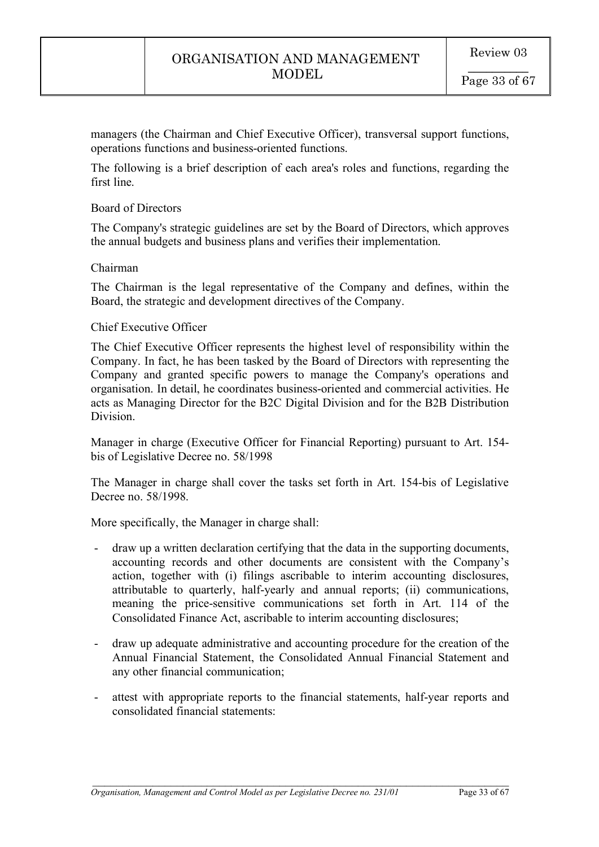managers (the Chairman and Chief Executive Officer), transversal support functions, operations functions and business-oriented functions.

The following is a brief description of each area's roles and functions, regarding the first line.

### Board of Directors

The Company's strategic guidelines are set by the Board of Directors, which approves the annual budgets and business plans and verifies their implementation.

### Chairman

The Chairman is the legal representative of the Company and defines, within the Board, the strategic and development directives of the Company.

#### Chief Executive Officer

The Chief Executive Officer represents the highest level of responsibility within the Company. In fact, he has been tasked by the Board of Directors with representing the Company and granted specific powers to manage the Company's operations and organisation. In detail, he coordinates business-oriented and commercial activities. He acts as Managing Director for the B2C Digital Division and for the B2B Distribution Division.

Manager in charge (Executive Officer for Financial Reporting) pursuant to Art. 154 bis of Legislative Decree no. 58/1998

The Manager in charge shall cover the tasks set forth in Art. 154-bis of Legislative Decree no. 58/1998.

More specifically, the Manager in charge shall:

- draw up a written declaration certifying that the data in the supporting documents, accounting records and other documents are consistent with the Company's action, together with (i) filings ascribable to interim accounting disclosures, attributable to quarterly, half-yearly and annual reports; (ii) communications, meaning the price-sensitive communications set forth in Art. 114 of the Consolidated Finance Act, ascribable to interim accounting disclosures;
- draw up adequate administrative and accounting procedure for the creation of the Annual Financial Statement, the Consolidated Annual Financial Statement and any other financial communication;
- attest with appropriate reports to the financial statements, half-year reports and consolidated financial statements: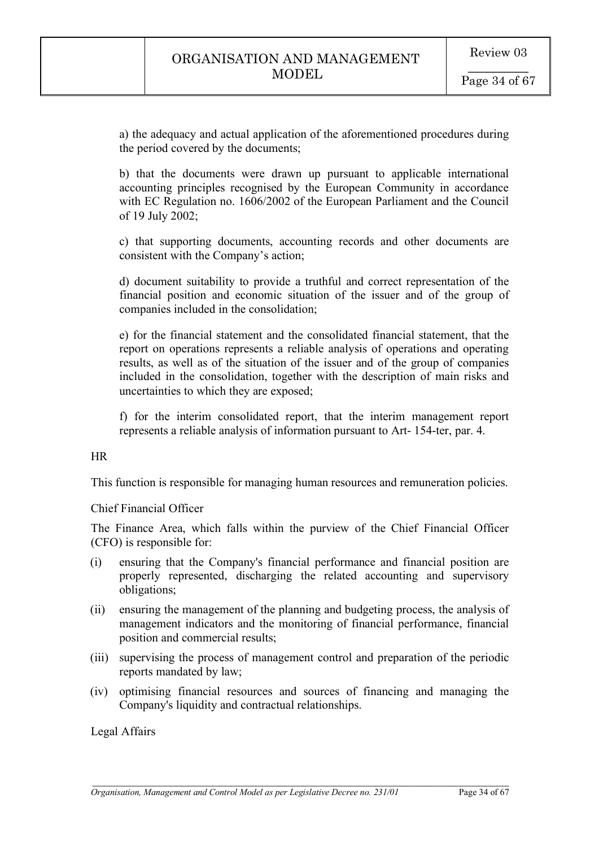a) the adequacy and actual application of the aforementioned procedures during the period covered by the documents;

b) that the documents were drawn up pursuant to applicable international accounting principles recognised by the European Community in accordance with EC Regulation no. 1606/2002 of the European Parliament and the Council of 19 July 2002;

c) that supporting documents, accounting records and other documents are consistent with the Company's action;

d) document suitability to provide a truthful and correct representation of the financial position and economic situation of the issuer and of the group of companies included in the consolidation;

e) for the financial statement and the consolidated financial statement, that the report on operations represents a reliable analysis of operations and operating results, as well as of the situation of the issuer and of the group of companies included in the consolidation, together with the description of main risks and uncertainties to which they are exposed;

f) for the interim consolidated report, that the interim management report represents a reliable analysis of information pursuant to Art- 154-ter, par. 4.

### HR

This function is responsible for managing human resources and remuneration policies.

### Chief Financial Officer

The Finance Area, which falls within the purview of the Chief Financial Officer (CFO) is responsible for:

- (i) ensuring that the Company's financial performance and financial position are properly represented, discharging the related accounting and supervisory obligations;
- (ii) ensuring the management of the planning and budgeting process, the analysis of management indicators and the monitoring of financial performance, financial position and commercial results;
- (iii) supervising the process of management control and preparation of the periodic reports mandated by law;
- (iv) optimising financial resources and sources of financing and managing the Company's liquidity and contractual relationships.

 $\mathcal{L}_\text{max}$  , and the contribution of the contribution of the contribution of the contribution of the contribution of the contribution of the contribution of the contribution of the contribution of the contribution of t

Legal Affairs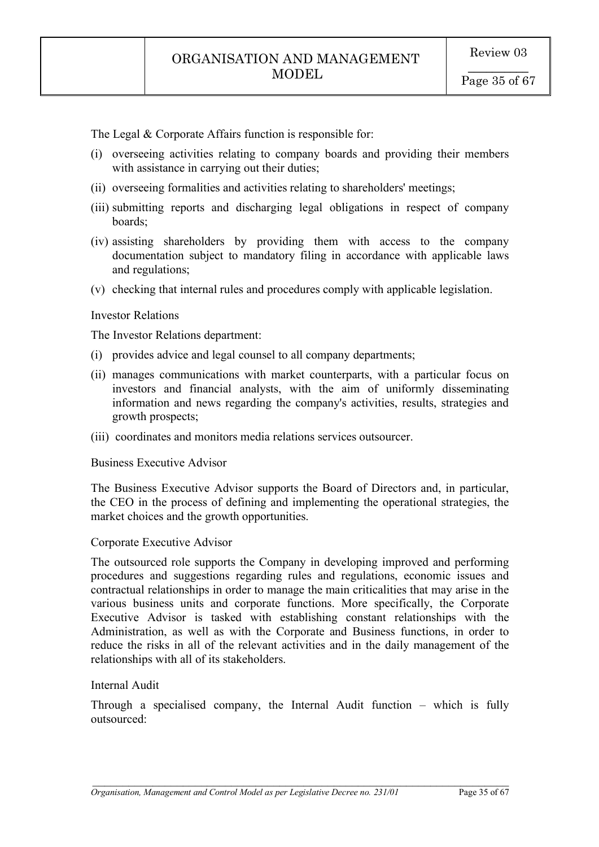The Legal & Corporate Affairs function is responsible for:

- (i) overseeing activities relating to company boards and providing their members with assistance in carrying out their duties;
- (ii) overseeing formalities and activities relating to shareholders' meetings;
- (iii) submitting reports and discharging legal obligations in respect of company boards;
- (iv) assisting shareholders by providing them with access to the company documentation subject to mandatory filing in accordance with applicable laws and regulations;
- (v) checking that internal rules and procedures comply with applicable legislation.

#### Investor Relations

The Investor Relations department:

- (i) provides advice and legal counsel to all company departments;
- (ii) manages communications with market counterparts, with a particular focus on investors and financial analysts, with the aim of uniformly disseminating information and news regarding the company's activities, results, strategies and growth prospects;
- (iii) coordinates and monitors media relations services outsourcer.

#### Business Executive Advisor

The Business Executive Advisor supports the Board of Directors and, in particular, the CEO in the process of defining and implementing the operational strategies, the market choices and the growth opportunities.

#### Corporate Executive Advisor

The outsourced role supports the Company in developing improved and performing procedures and suggestions regarding rules and regulations, economic issues and contractual relationships in order to manage the main criticalities that may arise in the various business units and corporate functions. More specifically, the Corporate Executive Advisor is tasked with establishing constant relationships with the Administration, as well as with the Corporate and Business functions, in order to reduce the risks in all of the relevant activities and in the daily management of the relationships with all of its stakeholders.

#### Internal Audit

Through a specialised company, the Internal Audit function – which is fully outsourced: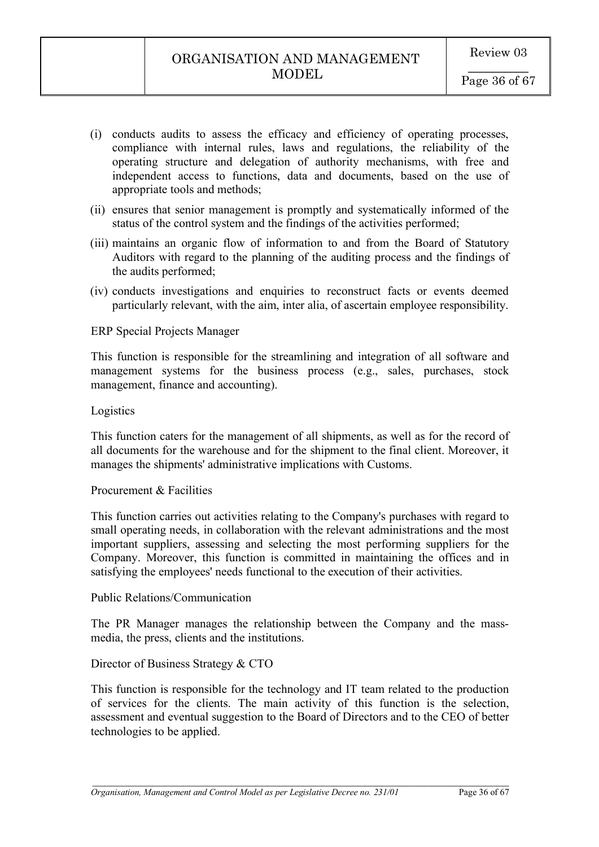- (i) conducts audits to assess the efficacy and efficiency of operating processes, compliance with internal rules, laws and regulations, the reliability of the operating structure and delegation of authority mechanisms, with free and independent access to functions, data and documents, based on the use of appropriate tools and methods;
- (ii) ensures that senior management is promptly and systematically informed of the status of the control system and the findings of the activities performed;
- (iii) maintains an organic flow of information to and from the Board of Statutory Auditors with regard to the planning of the auditing process and the findings of the audits performed;
- (iv) conducts investigations and enquiries to reconstruct facts or events deemed particularly relevant, with the aim, inter alia, of ascertain employee responsibility.

### ERP Special Projects Manager

This function is responsible for the streamlining and integration of all software and management systems for the business process (e.g., sales, purchases, stock management, finance and accounting).

#### Logistics

This function caters for the management of all shipments, as well as for the record of all documents for the warehouse and for the shipment to the final client. Moreover, it manages the shipments' administrative implications with Customs.

#### Procurement & Facilities

This function carries out activities relating to the Company's purchases with regard to small operating needs, in collaboration with the relevant administrations and the most important suppliers, assessing and selecting the most performing suppliers for the Company. Moreover, this function is committed in maintaining the offices and in satisfying the employees' needs functional to the execution of their activities.

#### Public Relations/Communication

The PR Manager manages the relationship between the Company and the massmedia, the press, clients and the institutions.

### Director of Business Strategy & CTO

This function is responsible for the technology and IT team related to the production of services for the clients. The main activity of this function is the selection, assessment and eventual suggestion to the Board of Directors and to the CEO of better technologies to be applied.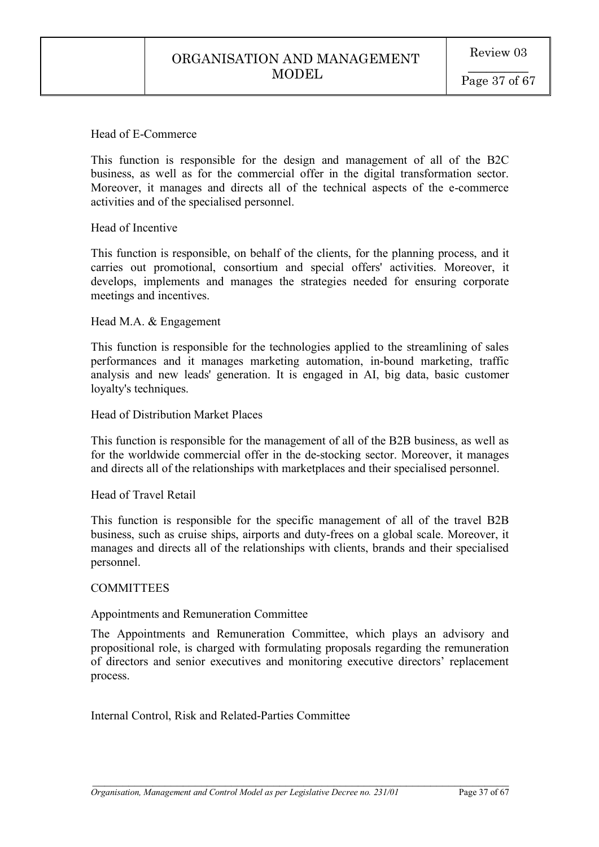#### Head of E-Commerce

This function is responsible for the design and management of all of the B2C business, as well as for the commercial offer in the digital transformation sector. Moreover, it manages and directs all of the technical aspects of the e-commerce activities and of the specialised personnel.

### Head of Incentive

This function is responsible, on behalf of the clients, for the planning process, and it carries out promotional, consortium and special offers' activities. Moreover, it develops, implements and manages the strategies needed for ensuring corporate meetings and incentives.

#### Head M.A. & Engagement

This function is responsible for the technologies applied to the streamlining of sales performances and it manages marketing automation, in-bound marketing, traffic analysis and new leads' generation. It is engaged in AI, big data, basic customer loyalty's techniques.

Head of Distribution Market Places

This function is responsible for the management of all of the B2B business, as well as for the worldwide commercial offer in the de-stocking sector. Moreover, it manages and directs all of the relationships with marketplaces and their specialised personnel.

#### Head of Travel Retail

This function is responsible for the specific management of all of the travel B2B business, such as cruise ships, airports and duty-frees on a global scale. Moreover, it manages and directs all of the relationships with clients, brands and their specialised personnel.

### **COMMITTEES**

### Appointments and Remuneration Committee

The Appointments and Remuneration Committee, which plays an advisory and propositional role, is charged with formulating proposals regarding the remuneration of directors and senior executives and monitoring executive directors' replacement process.

 $\mathcal{L}_\text{max}$  , and the contribution of the contribution of the contribution of the contribution of the contribution of the contribution of the contribution of the contribution of the contribution of the contribution of t

Internal Control, Risk and Related-Parties Committee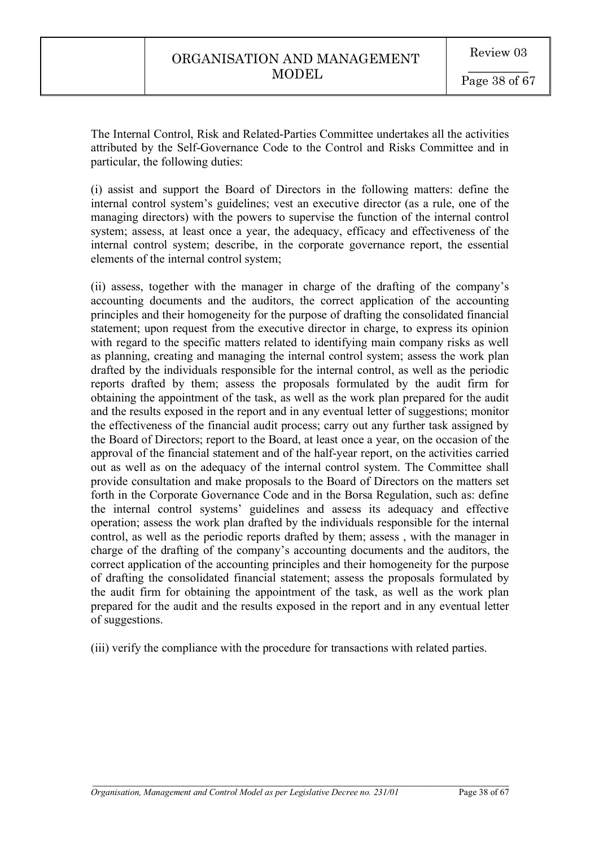The Internal Control, Risk and Related-Parties Committee undertakes all the activities attributed by the Self-Governance Code to the Control and Risks Committee and in particular, the following duties:

(i) assist and support the Board of Directors in the following matters: define the internal control system's guidelines; vest an executive director (as a rule, one of the managing directors) with the powers to supervise the function of the internal control system; assess, at least once a year, the adequacy, efficacy and effectiveness of the internal control system; describe, in the corporate governance report, the essential elements of the internal control system;

(ii) assess, together with the manager in charge of the drafting of the company's accounting documents and the auditors, the correct application of the accounting principles and their homogeneity for the purpose of drafting the consolidated financial statement; upon request from the executive director in charge, to express its opinion with regard to the specific matters related to identifying main company risks as well as planning, creating and managing the internal control system; assess the work plan drafted by the individuals responsible for the internal control, as well as the periodic reports drafted by them; assess the proposals formulated by the audit firm for obtaining the appointment of the task, as well as the work plan prepared for the audit and the results exposed in the report and in any eventual letter of suggestions; monitor the effectiveness of the financial audit process; carry out any further task assigned by the Board of Directors; report to the Board, at least once a year, on the occasion of the approval of the financial statement and of the half-year report, on the activities carried out as well as on the adequacy of the internal control system. The Committee shall provide consultation and make proposals to the Board of Directors on the matters set forth in the Corporate Governance Code and in the Borsa Regulation, such as: define the internal control systems' guidelines and assess its adequacy and effective operation; assess the work plan drafted by the individuals responsible for the internal control, as well as the periodic reports drafted by them; assess , with the manager in charge of the drafting of the company's accounting documents and the auditors, the correct application of the accounting principles and their homogeneity for the purpose of drafting the consolidated financial statement; assess the proposals formulated by the audit firm for obtaining the appointment of the task, as well as the work plan prepared for the audit and the results exposed in the report and in any eventual letter of suggestions.

(iii) verify the compliance with the procedure for transactions with related parties.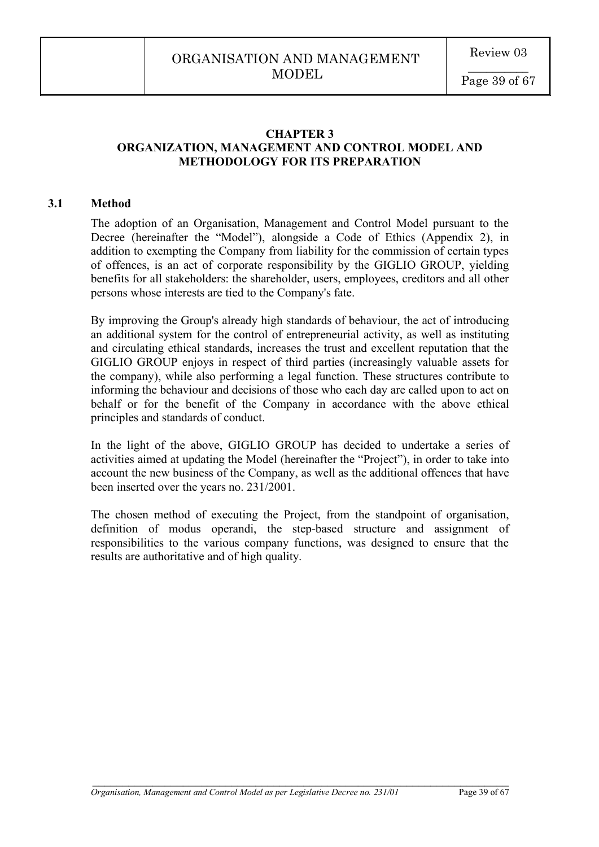### **CHAPTER 3 ORGANIZATION, MANAGEMENT AND CONTROL MODEL AND METHODOLOGY FOR ITS PREPARATION**

#### **3.1 Method**

The adoption of an Organisation, Management and Control Model pursuant to the Decree (hereinafter the "Model"), alongside a Code of Ethics (Appendix 2), in addition to exempting the Company from liability for the commission of certain types of offences, is an act of corporate responsibility by the GIGLIO GROUP, yielding benefits for all stakeholders: the shareholder, users, employees, creditors and all other persons whose interests are tied to the Company's fate.

By improving the Group's already high standards of behaviour, the act of introducing an additional system for the control of entrepreneurial activity, as well as instituting and circulating ethical standards, increases the trust and excellent reputation that the GIGLIO GROUP enjoys in respect of third parties (increasingly valuable assets for the company), while also performing a legal function. These structures contribute to informing the behaviour and decisions of those who each day are called upon to act on behalf or for the benefit of the Company in accordance with the above ethical principles and standards of conduct.

In the light of the above, GIGLIO GROUP has decided to undertake a series of activities aimed at updating the Model (hereinafter the "Project"), in order to take into account the new business of the Company, as well as the additional offences that have been inserted over the years no. 231/2001.

The chosen method of executing the Project, from the standpoint of organisation, definition of modus operandi, the step-based structure and assignment of responsibilities to the various company functions, was designed to ensure that the results are authoritative and of high quality.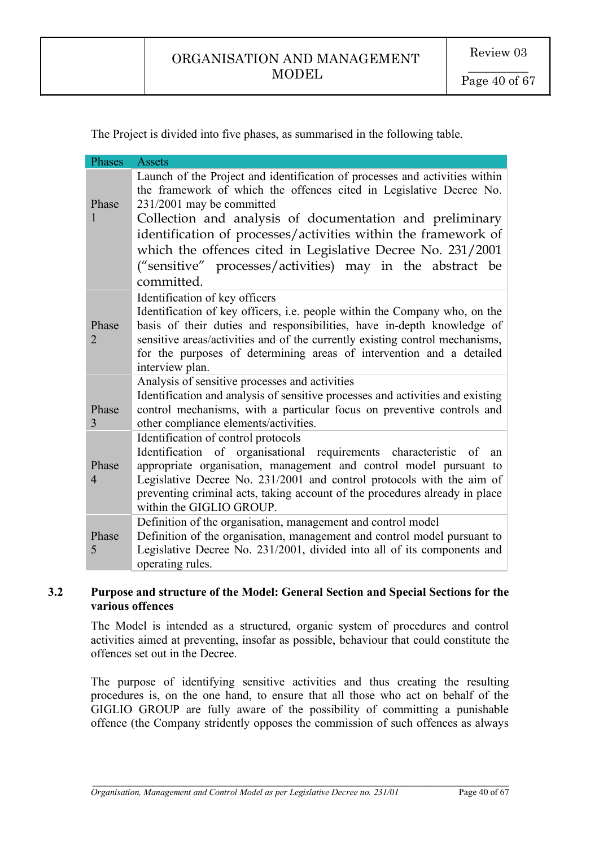The Project is divided into five phases, as summarised in the following table.

| Phases                  | <b>Assets</b>                                                                                                                                                                                                                                                                                                                                                                                                                                           |
|-------------------------|---------------------------------------------------------------------------------------------------------------------------------------------------------------------------------------------------------------------------------------------------------------------------------------------------------------------------------------------------------------------------------------------------------------------------------------------------------|
| Phase                   | Launch of the Project and identification of processes and activities within<br>the framework of which the offences cited in Legislative Decree No.<br>231/2001 may be committed<br>Collection and analysis of documentation and preliminary<br>identification of processes/activities within the framework of<br>which the offences cited in Legislative Decree No. 231/2001<br>("sensitive" processes/activities) may in the abstract be<br>committed. |
| Phase<br>2              | Identification of key officers<br>Identification of key officers, i.e. people within the Company who, on the<br>basis of their duties and responsibilities, have in-depth knowledge of<br>sensitive areas/activities and of the currently existing control mechanisms,<br>for the purposes of determining areas of intervention and a detailed<br>interview plan.                                                                                       |
| Phase<br>3              | Analysis of sensitive processes and activities<br>Identification and analysis of sensitive processes and activities and existing<br>control mechanisms, with a particular focus on preventive controls and<br>other compliance elements/activities.                                                                                                                                                                                                     |
| Phase<br>$\overline{4}$ | Identification of control protocols<br>Identification of organisational requirements characteristic of<br>an<br>appropriate organisation, management and control model pursuant to<br>Legislative Decree No. 231/2001 and control protocols with the aim of<br>preventing criminal acts, taking account of the procedures already in place<br>within the GIGLIO GROUP.                                                                                  |
| Phase<br>5              | Definition of the organisation, management and control model<br>Definition of the organisation, management and control model pursuant to<br>Legislative Decree No. 231/2001, divided into all of its components and<br>operating rules.                                                                                                                                                                                                                 |

# **3.2 Purpose and structure of the Model: General Section and Special Sections for the various offences**

The Model is intended as a structured, organic system of procedures and control activities aimed at preventing, insofar as possible, behaviour that could constitute the offences set out in the Decree.

The purpose of identifying sensitive activities and thus creating the resulting procedures is, on the one hand, to ensure that all those who act on behalf of the GIGLIO GROUP are fully aware of the possibility of committing a punishable offence (the Company stridently opposes the commission of such offences as always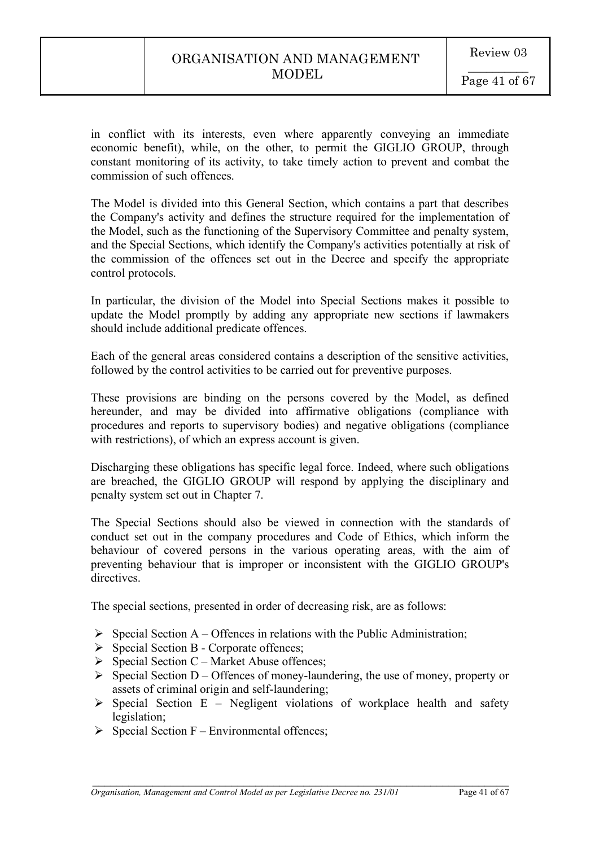in conflict with its interests, even where apparently conveying an immediate economic benefit), while, on the other, to permit the GIGLIO GROUP, through constant monitoring of its activity, to take timely action to prevent and combat the commission of such offences.

The Model is divided into this General Section, which contains a part that describes the Company's activity and defines the structure required for the implementation of the Model, such as the functioning of the Supervisory Committee and penalty system, and the Special Sections, which identify the Company's activities potentially at risk of the commission of the offences set out in the Decree and specify the appropriate control protocols.

In particular, the division of the Model into Special Sections makes it possible to update the Model promptly by adding any appropriate new sections if lawmakers should include additional predicate offences.

Each of the general areas considered contains a description of the sensitive activities, followed by the control activities to be carried out for preventive purposes.

These provisions are binding on the persons covered by the Model, as defined hereunder, and may be divided into affirmative obligations (compliance with procedures and reports to supervisory bodies) and negative obligations (compliance with restrictions), of which an express account is given.

Discharging these obligations has specific legal force. Indeed, where such obligations are breached, the GIGLIO GROUP will respond by applying the disciplinary and penalty system set out in Chapter 7.

The Special Sections should also be viewed in connection with the standards of conduct set out in the company procedures and Code of Ethics, which inform the behaviour of covered persons in the various operating areas, with the aim of preventing behaviour that is improper or inconsistent with the GIGLIO GROUP's directives.

The special sections, presented in order of decreasing risk, are as follows:

- $\triangleright$  Special Section A Offences in relations with the Public Administration;
- $\triangleright$  Special Section B Corporate offences;
- $\triangleright$  Special Section C Market Abuse offences;
- $\triangleright$  Special Section D Offences of money-laundering, the use of money, property or assets of criminal origin and self-laundering;
- $\triangleright$  Special Section E Negligent violations of workplace health and safety legislation;

 $\mathcal{L}_\text{max}$  , and the contribution of the contribution of the contribution of the contribution of the contribution of the contribution of the contribution of the contribution of the contribution of the contribution of t

 $\triangleright$  Special Section F – Environmental offences;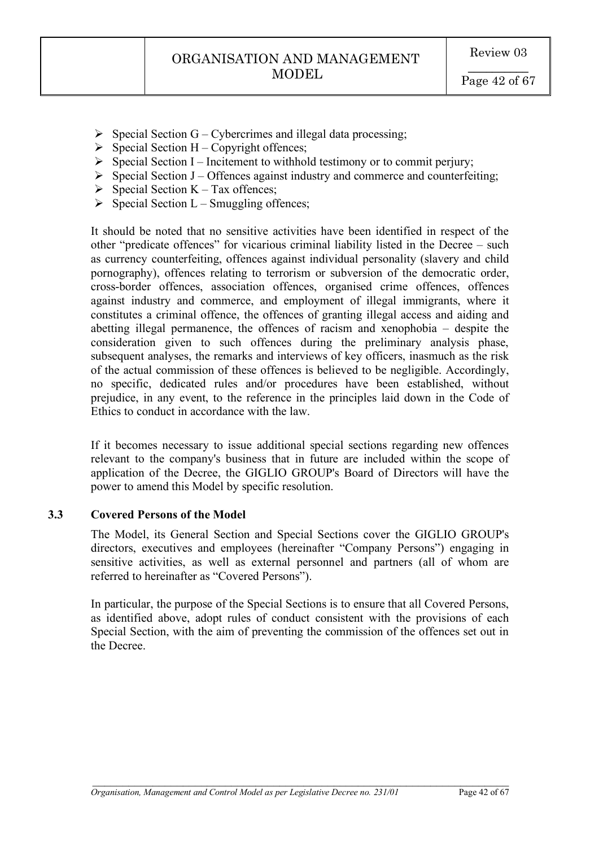- $\triangleright$  Special Section G Cybercrimes and illegal data processing;
- $\triangleright$  Special Section H Copyright offences;
- $\triangleright$  Special Section I Incitement to withhold testimony or to commit perjury;
- $\triangleright$  Special Section J Offences against industry and commerce and counterfeiting;
- $\triangleright$  Special Section K Tax offences;
- $\triangleright$  Special Section L Smuggling offences;

It should be noted that no sensitive activities have been identified in respect of the other "predicate offences" for vicarious criminal liability listed in the Decree – such as currency counterfeiting, offences against individual personality (slavery and child pornography), offences relating to terrorism or subversion of the democratic order, cross-border offences, association offences, organised crime offences, offences against industry and commerce, and employment of illegal immigrants, where it constitutes a criminal offence, the offences of granting illegal access and aiding and abetting illegal permanence, the offences of racism and xenophobia – despite the consideration given to such offences during the preliminary analysis phase, subsequent analyses, the remarks and interviews of key officers, inasmuch as the risk of the actual commission of these offences is believed to be negligible. Accordingly, no specific, dedicated rules and/or procedures have been established, without prejudice, in any event, to the reference in the principles laid down in the Code of Ethics to conduct in accordance with the law.

If it becomes necessary to issue additional special sections regarding new offences relevant to the company's business that in future are included within the scope of application of the Decree, the GIGLIO GROUP's Board of Directors will have the power to amend this Model by specific resolution.

# **3.3 Covered Persons of the Model**

The Model, its General Section and Special Sections cover the GIGLIO GROUP's directors, executives and employees (hereinafter "Company Persons") engaging in sensitive activities, as well as external personnel and partners (all of whom are referred to hereinafter as "Covered Persons").

In particular, the purpose of the Special Sections is to ensure that all Covered Persons, as identified above, adopt rules of conduct consistent with the provisions of each Special Section, with the aim of preventing the commission of the offences set out in the Decree.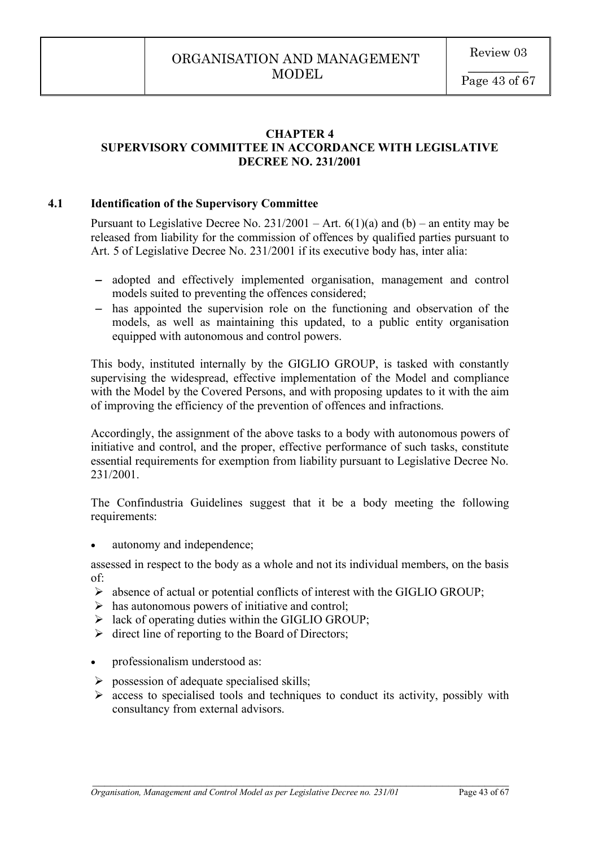# **CHAPTER 4 SUPERVISORY COMMITTEE IN ACCORDANCE WITH LEGISLATIVE DECREE NO. 231/2001**

# **4.1 Identification of the Supervisory Committee**

Pursuant to Legislative Decree No.  $231/2001 - Art. 6(1)(a)$  and (b) – an entity may be released from liability for the commission of offences by qualified parties pursuant to Art. 5 of Legislative Decree No. 231/2001 if its executive body has, inter alia:

- adopted and effectively implemented organisation, management and control models suited to preventing the offences considered;
- has appointed the supervision role on the functioning and observation of the models, as well as maintaining this updated, to a public entity organisation equipped with autonomous and control powers.

This body, instituted internally by the GIGLIO GROUP, is tasked with constantly supervising the widespread, effective implementation of the Model and compliance with the Model by the Covered Persons, and with proposing updates to it with the aim of improving the efficiency of the prevention of offences and infractions.

Accordingly, the assignment of the above tasks to a body with autonomous powers of initiative and control, and the proper, effective performance of such tasks, constitute essential requirements for exemption from liability pursuant to Legislative Decree No. 231/2001.

The Confindustria Guidelines suggest that it be a body meeting the following requirements:

autonomy and independence;

assessed in respect to the body as a whole and not its individual members, on the basis of:

- $\triangleright$  absence of actual or potential conflicts of interest with the GIGLIO GROUP;
- $\triangleright$  has autonomous powers of initiative and control;
- $\triangleright$  lack of operating duties within the GIGLIO GROUP;
- $\triangleright$  direct line of reporting to the Board of Directors;
- professionalism understood as:
- $\triangleright$  possession of adequate specialised skills;
- $\triangleright$  access to specialised tools and techniques to conduct its activity, possibly with consultancy from external advisors.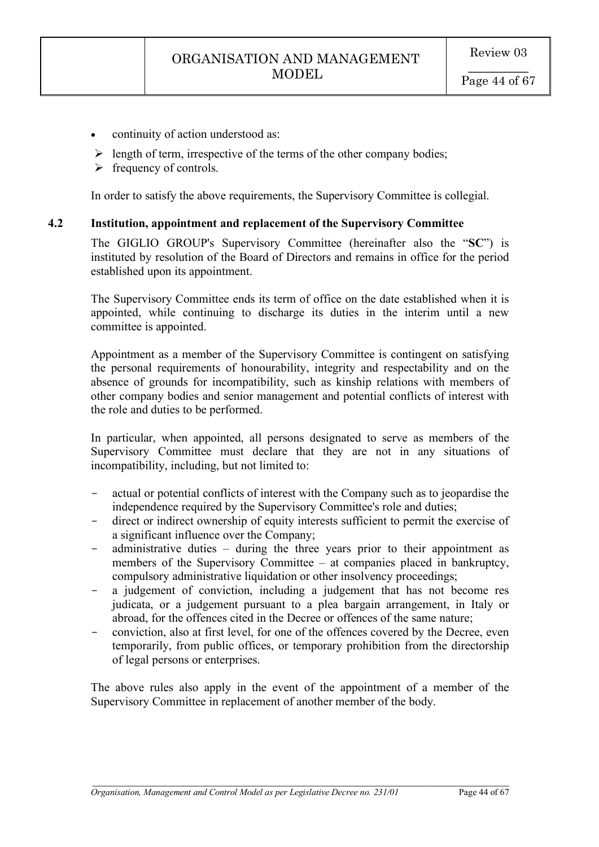- continuity of action understood as:
- $\triangleright$  length of term, irrespective of the terms of the other company bodies;
- $\triangleright$  frequency of controls.

In order to satisfy the above requirements, the Supervisory Committee is collegial.

### **4.2 Institution, appointment and replacement of the Supervisory Committee**

The GIGLIO GROUP's Supervisory Committee (hereinafter also the "**SC**") is instituted by resolution of the Board of Directors and remains in office for the period established upon its appointment.

The Supervisory Committee ends its term of office on the date established when it is appointed, while continuing to discharge its duties in the interim until a new committee is appointed.

Appointment as a member of the Supervisory Committee is contingent on satisfying the personal requirements of honourability, integrity and respectability and on the absence of grounds for incompatibility, such as kinship relations with members of other company bodies and senior management and potential conflicts of interest with the role and duties to be performed.

In particular, when appointed, all persons designated to serve as members of the Supervisory Committee must declare that they are not in any situations of incompatibility, including, but not limited to:

- actual or potential conflicts of interest with the Company such as to jeopardise the independence required by the Supervisory Committee's role and duties;
- direct or indirect ownership of equity interests sufficient to permit the exercise of a significant influence over the Company;
- administrative duties  $-$  during the three years prior to their appointment as members of the Supervisory Committee – at companies placed in bankruptcy, compulsory administrative liquidation or other insolvency proceedings;
- a judgement of conviction, including a judgement that has not become res judicata, or a judgement pursuant to a plea bargain arrangement, in Italy or abroad, for the offences cited in the Decree or offences of the same nature;
- conviction, also at first level, for one of the offences covered by the Decree, even temporarily, from public offices, or temporary prohibition from the directorship of legal persons or enterprises.

The above rules also apply in the event of the appointment of a member of the Supervisory Committee in replacement of another member of the body.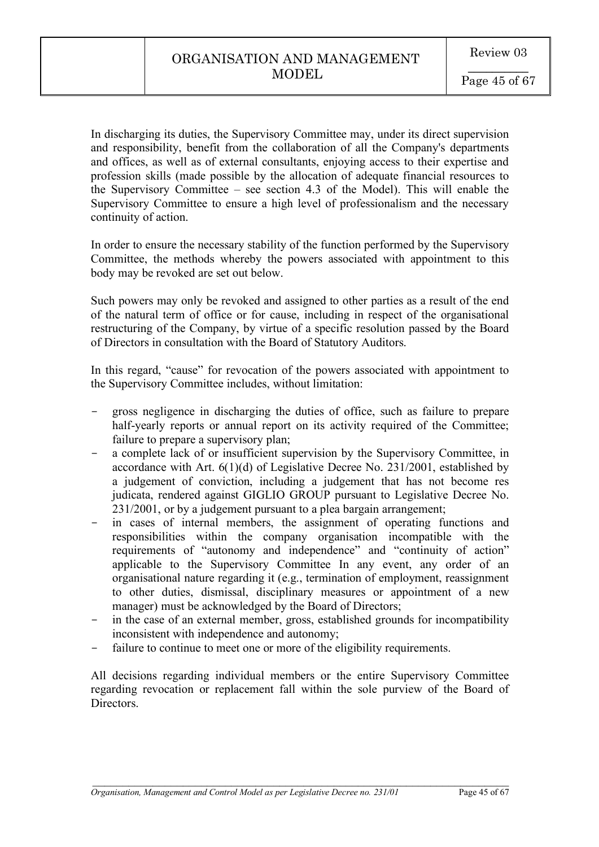In discharging its duties, the Supervisory Committee may, under its direct supervision and responsibility, benefit from the collaboration of all the Company's departments and offices, as well as of external consultants, enjoying access to their expertise and profession skills (made possible by the allocation of adequate financial resources to the Supervisory Committee – see section 4.3 of the Model). This will enable the Supervisory Committee to ensure a high level of professionalism and the necessary continuity of action.

In order to ensure the necessary stability of the function performed by the Supervisory Committee, the methods whereby the powers associated with appointment to this body may be revoked are set out below.

Such powers may only be revoked and assigned to other parties as a result of the end of the natural term of office or for cause, including in respect of the organisational restructuring of the Company, by virtue of a specific resolution passed by the Board of Directors in consultation with the Board of Statutory Auditors.

In this regard, "cause" for revocation of the powers associated with appointment to the Supervisory Committee includes, without limitation:

- gross negligence in discharging the duties of office, such as failure to prepare half-yearly reports or annual report on its activity required of the Committee; failure to prepare a supervisory plan;
- a complete lack of or insufficient supervision by the Supervisory Committee, in accordance with Art. 6(1)(d) of Legislative Decree No. 231/2001, established by a judgement of conviction, including a judgement that has not become res judicata, rendered against GIGLIO GROUP pursuant to Legislative Decree No. 231/2001, or by a judgement pursuant to a plea bargain arrangement;
- in cases of internal members, the assignment of operating functions and responsibilities within the company organisation incompatible with the requirements of "autonomy and independence" and "continuity of action" applicable to the Supervisory Committee In any event, any order of an organisational nature regarding it (e.g., termination of employment, reassignment to other duties, dismissal, disciplinary measures or appointment of a new manager) must be acknowledged by the Board of Directors;
- in the case of an external member, gross, established grounds for incompatibility inconsistent with independence and autonomy;
- failure to continue to meet one or more of the eligibility requirements.

All decisions regarding individual members or the entire Supervisory Committee regarding revocation or replacement fall within the sole purview of the Board of Directors.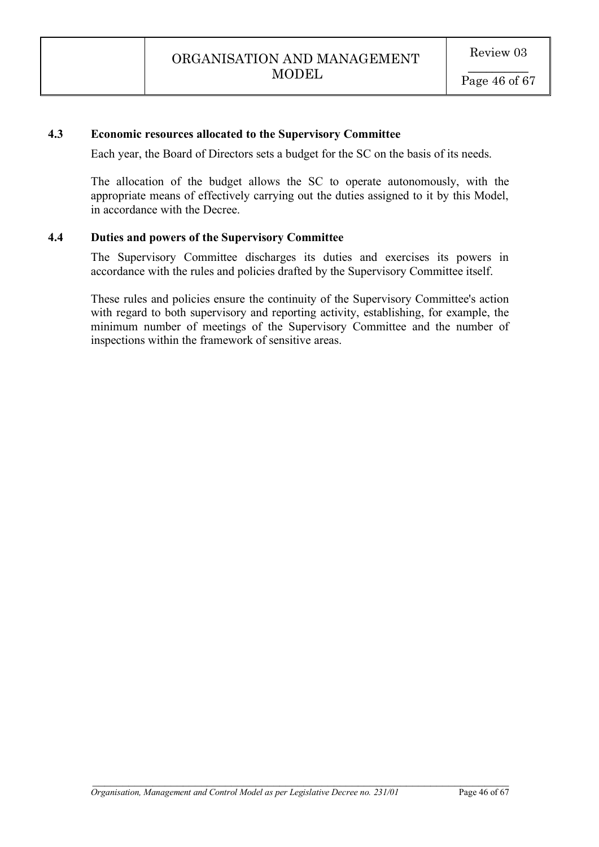# **4.3 Economic resources allocated to the Supervisory Committee**

Each year, the Board of Directors sets a budget for the SC on the basis of its needs.

The allocation of the budget allows the SC to operate autonomously, with the appropriate means of effectively carrying out the duties assigned to it by this Model, in accordance with the Decree.

### **4.4 Duties and powers of the Supervisory Committee**

The Supervisory Committee discharges its duties and exercises its powers in accordance with the rules and policies drafted by the Supervisory Committee itself.

These rules and policies ensure the continuity of the Supervisory Committee's action with regard to both supervisory and reporting activity, establishing, for example, the minimum number of meetings of the Supervisory Committee and the number of inspections within the framework of sensitive areas.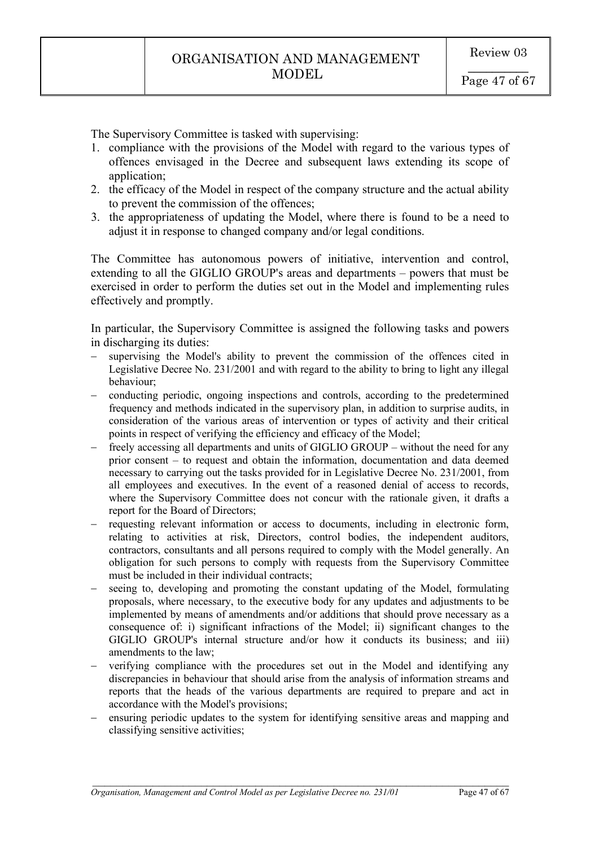The Supervisory Committee is tasked with supervising:

- 1. compliance with the provisions of the Model with regard to the various types of offences envisaged in the Decree and subsequent laws extending its scope of application:
- 2. the efficacy of the Model in respect of the company structure and the actual ability to prevent the commission of the offences;
- 3. the appropriateness of updating the Model, where there is found to be a need to adjust it in response to changed company and/or legal conditions.

The Committee has autonomous powers of initiative, intervention and control, extending to all the GIGLIO GROUP's areas and departments – powers that must be exercised in order to perform the duties set out in the Model and implementing rules effectively and promptly.

In particular, the Supervisory Committee is assigned the following tasks and powers in discharging its duties:

- supervising the Model's ability to prevent the commission of the offences cited in Legislative Decree No. 231/2001 and with regard to the ability to bring to light any illegal behaviour;
- conducting periodic, ongoing inspections and controls, according to the predetermined frequency and methods indicated in the supervisory plan, in addition to surprise audits, in consideration of the various areas of intervention or types of activity and their critical points in respect of verifying the efficiency and efficacy of the Model;
- freely accessing all departments and units of GIGLIO GROUP without the need for any prior consent – to request and obtain the information, documentation and data deemed necessary to carrying out the tasks provided for in Legislative Decree No. 231/2001, from all employees and executives. In the event of a reasoned denial of access to records, where the Supervisory Committee does not concur with the rationale given, it drafts a report for the Board of Directors;
- requesting relevant information or access to documents, including in electronic form, relating to activities at risk, Directors, control bodies, the independent auditors, contractors, consultants and all persons required to comply with the Model generally. An obligation for such persons to comply with requests from the Supervisory Committee must be included in their individual contracts;
- seeing to, developing and promoting the constant updating of the Model, formulating proposals, where necessary, to the executive body for any updates and adjustments to be implemented by means of amendments and/or additions that should prove necessary as a consequence of: i) significant infractions of the Model; ii) significant changes to the GIGLIO GROUP's internal structure and/or how it conducts its business; and iii) amendments to the law;
- verifying compliance with the procedures set out in the Model and identifying any discrepancies in behaviour that should arise from the analysis of information streams and reports that the heads of the various departments are required to prepare and act in accordance with the Model's provisions;
- ensuring periodic updates to the system for identifying sensitive areas and mapping and classifying sensitive activities;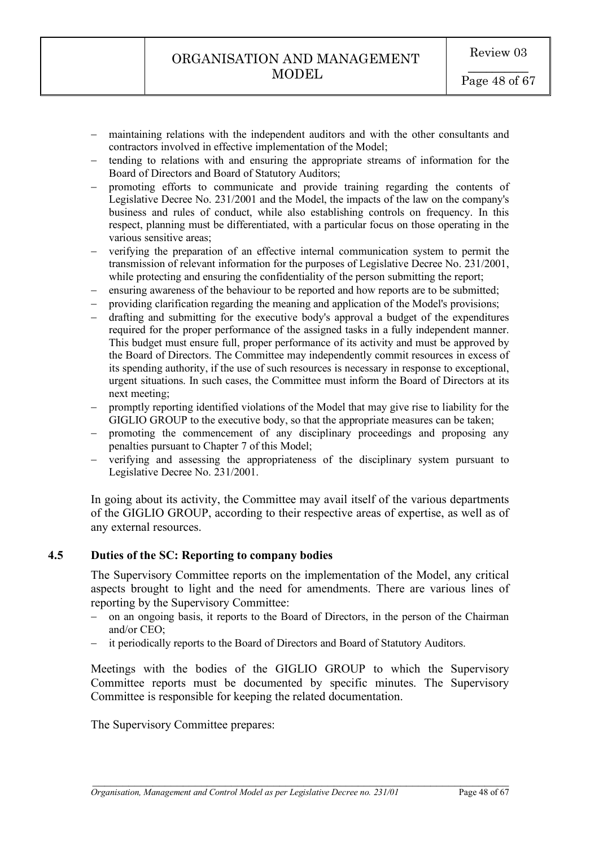- maintaining relations with the independent auditors and with the other consultants and contractors involved in effective implementation of the Model;
- tending to relations with and ensuring the appropriate streams of information for the Board of Directors and Board of Statutory Auditors;
- promoting efforts to communicate and provide training regarding the contents of Legislative Decree No. 231/2001 and the Model, the impacts of the law on the company's business and rules of conduct, while also establishing controls on frequency. In this respect, planning must be differentiated, with a particular focus on those operating in the various sensitive areas;
- verifying the preparation of an effective internal communication system to permit the transmission of relevant information for the purposes of Legislative Decree No. 231/2001, while protecting and ensuring the confidentiality of the person submitting the report;
- ensuring awareness of the behaviour to be reported and how reports are to be submitted;
- providing clarification regarding the meaning and application of the Model's provisions;
- drafting and submitting for the executive body's approval a budget of the expenditures required for the proper performance of the assigned tasks in a fully independent manner. This budget must ensure full, proper performance of its activity and must be approved by the Board of Directors. The Committee may independently commit resources in excess of its spending authority, if the use of such resources is necessary in response to exceptional, urgent situations. In such cases, the Committee must inform the Board of Directors at its next meeting;
- promptly reporting identified violations of the Model that may give rise to liability for the GIGLIO GROUP to the executive body, so that the appropriate measures can be taken;
- promoting the commencement of any disciplinary proceedings and proposing any penalties pursuant to Chapter 7 of this Model;
- verifying and assessing the appropriateness of the disciplinary system pursuant to Legislative Decree No. 231/2001.

In going about its activity, the Committee may avail itself of the various departments of the GIGLIO GROUP, according to their respective areas of expertise, as well as of any external resources.

### **4.5 Duties of the SC: Reporting to company bodies**

The Supervisory Committee reports on the implementation of the Model, any critical aspects brought to light and the need for amendments. There are various lines of reporting by the Supervisory Committee:

- on an ongoing basis, it reports to the Board of Directors, in the person of the Chairman and/or CEO;
- it periodically reports to the Board of Directors and Board of Statutory Auditors.

Meetings with the bodies of the GIGLIO GROUP to which the Supervisory Committee reports must be documented by specific minutes. The Supervisory Committee is responsible for keeping the related documentation.

 $\mathcal{L}_\text{max}$  , and the contribution of the contribution of the contribution of the contribution of the contribution of the contribution of the contribution of the contribution of the contribution of the contribution of t

The Supervisory Committee prepares: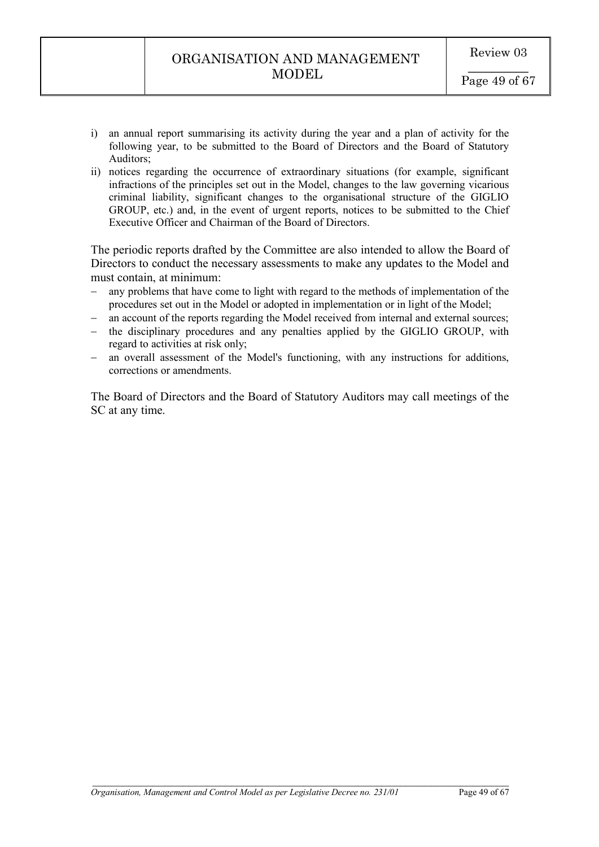- i) an annual report summarising its activity during the year and a plan of activity for the following year, to be submitted to the Board of Directors and the Board of Statutory Auditors;
- ii) notices regarding the occurrence of extraordinary situations (for example, significant infractions of the principles set out in the Model, changes to the law governing vicarious criminal liability, significant changes to the organisational structure of the GIGLIO GROUP, etc.) and, in the event of urgent reports, notices to be submitted to the Chief Executive Officer and Chairman of the Board of Directors.

The periodic reports drafted by the Committee are also intended to allow the Board of Directors to conduct the necessary assessments to make any updates to the Model and must contain, at minimum:

- any problems that have come to light with regard to the methods of implementation of the procedures set out in the Model or adopted in implementation or in light of the Model;
- an account of the reports regarding the Model received from internal and external sources;
- the disciplinary procedures and any penalties applied by the GIGLIO GROUP, with regard to activities at risk only;
- an overall assessment of the Model's functioning, with any instructions for additions, corrections or amendments.

The Board of Directors and the Board of Statutory Auditors may call meetings of the SC at any time.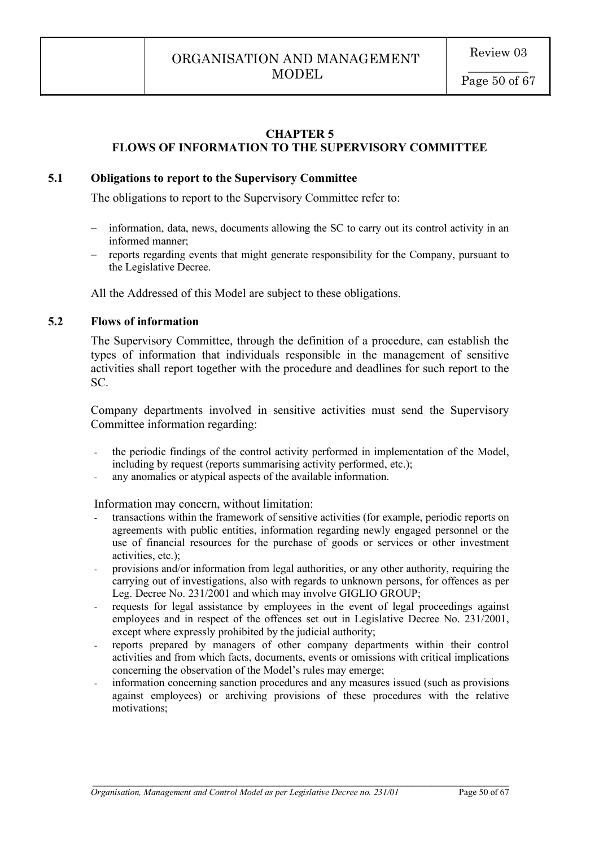### **CHAPTER 5 FLOWS OF INFORMATION TO THE SUPERVISORY COMMITTEE**

### **5.1 Obligations to report to the Supervisory Committee**

The obligations to report to the Supervisory Committee refer to:

- information, data, news, documents allowing the SC to carry out its control activity in an informed manner;
- reports regarding events that might generate responsibility for the Company, pursuant to the Legislative Decree.

All the Addressed of this Model are subject to these obligations.

### **5.2 Flows of information**

The Supervisory Committee, through the definition of a procedure, can establish the types of information that individuals responsible in the management of sensitive activities shall report together with the procedure and deadlines for such report to the SC.

Company departments involved in sensitive activities must send the Supervisory Committee information regarding:

- the periodic findings of the control activity performed in implementation of the Model, including by request (reports summarising activity performed, etc.);
- any anomalies or atypical aspects of the available information.

Information may concern, without limitation:

- transactions within the framework of sensitive activities (for example, periodic reports on agreements with public entities, information regarding newly engaged personnel or the use of financial resources for the purchase of goods or services or other investment activities, etc.);
- provisions and/or information from legal authorities, or any other authority, requiring the carrying out of investigations, also with regards to unknown persons, for offences as per Leg. Decree No. 231/2001 and which may involve GIGLIO GROUP;
- requests for legal assistance by employees in the event of legal proceedings against employees and in respect of the offences set out in Legislative Decree No. 231/2001, except where expressly prohibited by the judicial authority;
- reports prepared by managers of other company departments within their control activities and from which facts, documents, events or omissions with critical implications concerning the observation of the Model's rules may emerge;
- information concerning sanction procedures and any measures issued (such as provisions against employees) or archiving provisions of these procedures with the relative motivations;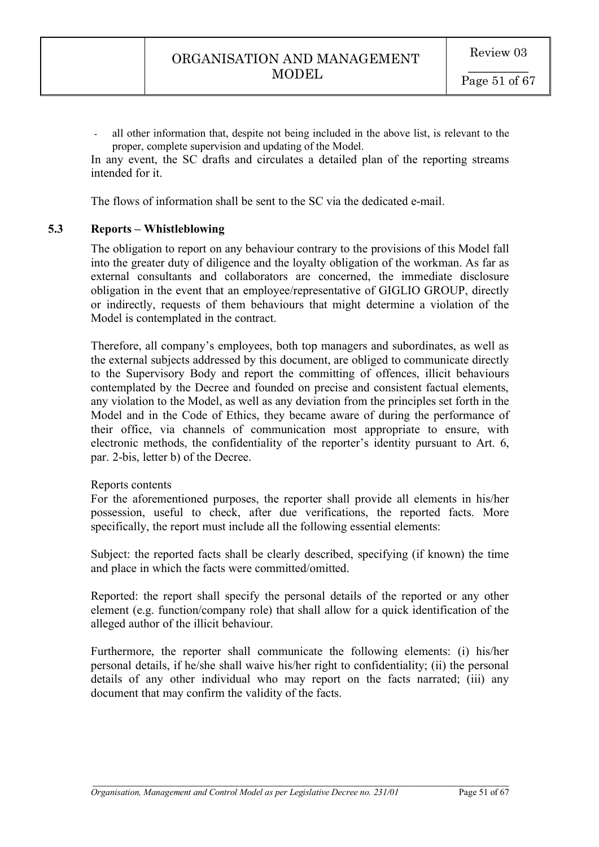- all other information that, despite not being included in the above list, is relevant to the proper, complete supervision and updating of the Model.

In any event, the SC drafts and circulates a detailed plan of the reporting streams intended for it.

The flows of information shall be sent to the SC via the dedicated e-mail.

#### **5.3 Reports – Whistleblowing**

The obligation to report on any behaviour contrary to the provisions of this Model fall into the greater duty of diligence and the loyalty obligation of the workman. As far as external consultants and collaborators are concerned, the immediate disclosure obligation in the event that an employee/representative of GIGLIO GROUP, directly or indirectly, requests of them behaviours that might determine a violation of the Model is contemplated in the contract.

Therefore, all company's employees, both top managers and subordinates, as well as the external subjects addressed by this document, are obliged to communicate directly to the Supervisory Body and report the committing of offences, illicit behaviours contemplated by the Decree and founded on precise and consistent factual elements, any violation to the Model, as well as any deviation from the principles set forth in the Model and in the Code of Ethics, they became aware of during the performance of their office, via channels of communication most appropriate to ensure, with electronic methods, the confidentiality of the reporter's identity pursuant to Art. 6, par. 2-bis, letter b) of the Decree.

#### Reports contents

For the aforementioned purposes, the reporter shall provide all elements in his/her possession, useful to check, after due verifications, the reported facts. More specifically, the report must include all the following essential elements:

Subject: the reported facts shall be clearly described, specifying (if known) the time and place in which the facts were committed/omitted.

Reported: the report shall specify the personal details of the reported or any other element (e.g. function/company role) that shall allow for a quick identification of the alleged author of the illicit behaviour.

Furthermore, the reporter shall communicate the following elements: (i) his/her personal details, if he/she shall waive his/her right to confidentiality; (ii) the personal details of any other individual who may report on the facts narrated; (iii) any document that may confirm the validity of the facts.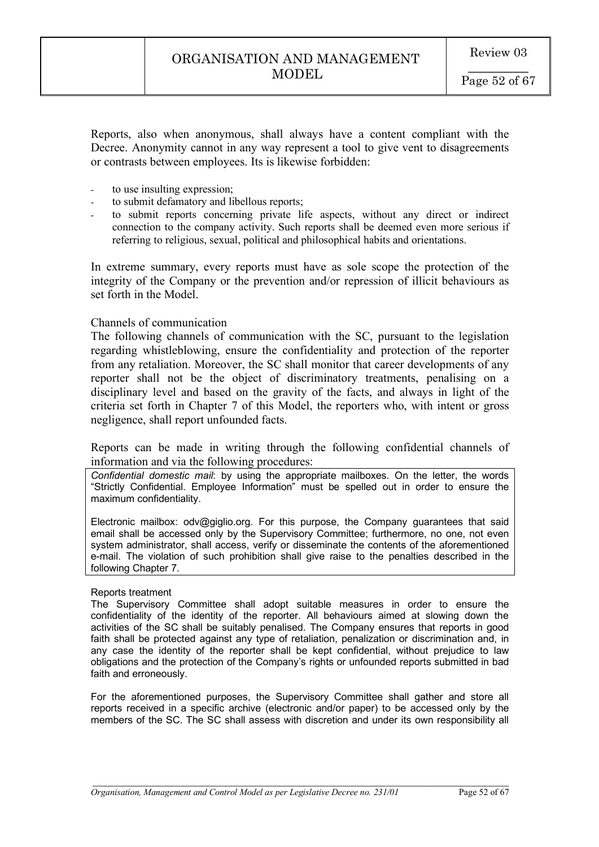Reports, also when anonymous, shall always have a content compliant with the Decree. Anonymity cannot in any way represent a tool to give vent to disagreements or contrasts between employees. Its is likewise forbidden:

- to use insulting expression:
- to submit defamatory and libellous reports;
- to submit reports concerning private life aspects, without any direct or indirect connection to the company activity. Such reports shall be deemed even more serious if referring to religious, sexual, political and philosophical habits and orientations.

In extreme summary, every reports must have as sole scope the protection of the integrity of the Company or the prevention and/or repression of illicit behaviours as set forth in the Model

#### Channels of communication

The following channels of communication with the SC, pursuant to the legislation regarding whistleblowing, ensure the confidentiality and protection of the reporter from any retaliation. Moreover, the SC shall monitor that career developments of any reporter shall not be the object of discriminatory treatments, penalising on a disciplinary level and based on the gravity of the facts, and always in light of the criteria set forth in Chapter 7 of this Model, the reporters who, with intent or gross negligence, shall report unfounded facts.

Reports can be made in writing through the following confidential channels of information and via the following procedures:

*Confidential domestic mail*: by using the appropriate mailboxes. On the letter, the words "Strictly Confidential. Employee Information" must be spelled out in order to ensure the maximum confidentiality.

Electronic mailbox: odv@giglio.org. For this purpose, the Company guarantees that said email shall be accessed only by the Supervisory Committee; furthermore, no one, not even system administrator, shall access, verify or disseminate the contents of the aforementioned e-mail. The violation of such prohibition shall give raise to the penalties described in the following Chapter 7.

#### Reports treatment

The Supervisory Committee shall adopt suitable measures in order to ensure the confidentiality of the identity of the reporter. All behaviours aimed at slowing down the activities of the SC shall be suitably penalised. The Company ensures that reports in good faith shall be protected against any type of retaliation, penalization or discrimination and, in any case the identity of the reporter shall be kept confidential, without prejudice to law obligations and the protection of the Company's rights or unfounded reports submitted in bad faith and erroneously.

For the aforementioned purposes, the Supervisory Committee shall gather and store all reports received in a specific archive (electronic and/or paper) to be accessed only by the members of the SC. The SC shall assess with discretion and under its own responsibility all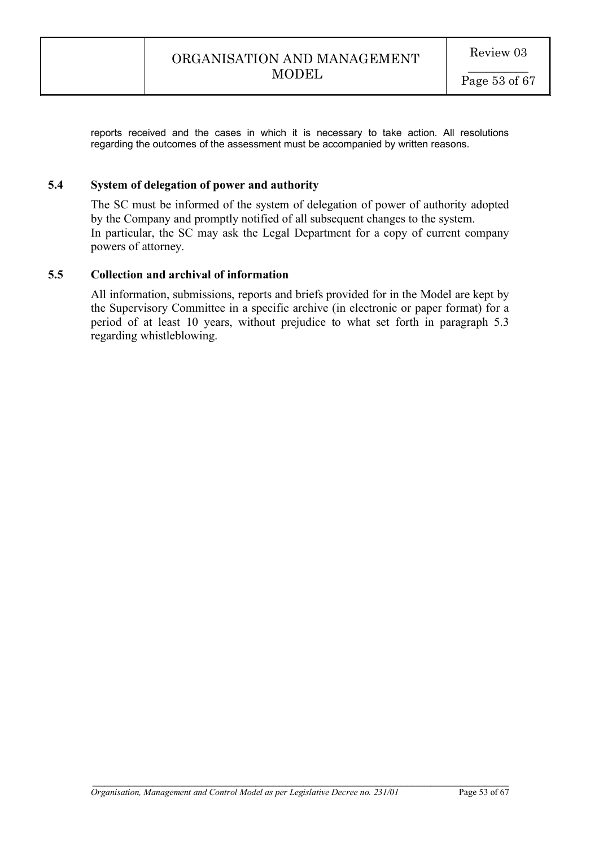reports received and the cases in which it is necessary to take action. All resolutions regarding the outcomes of the assessment must be accompanied by written reasons.

### **5.4 System of delegation of power and authority**

The SC must be informed of the system of delegation of power of authority adopted by the Company and promptly notified of all subsequent changes to the system. In particular, the SC may ask the Legal Department for a copy of current company powers of attorney.

#### **5.5 Collection and archival of information**

All information, submissions, reports and briefs provided for in the Model are kept by the Supervisory Committee in a specific archive (in electronic or paper format) for a period of at least 10 years, without prejudice to what set forth in paragraph 5.3 regarding whistleblowing.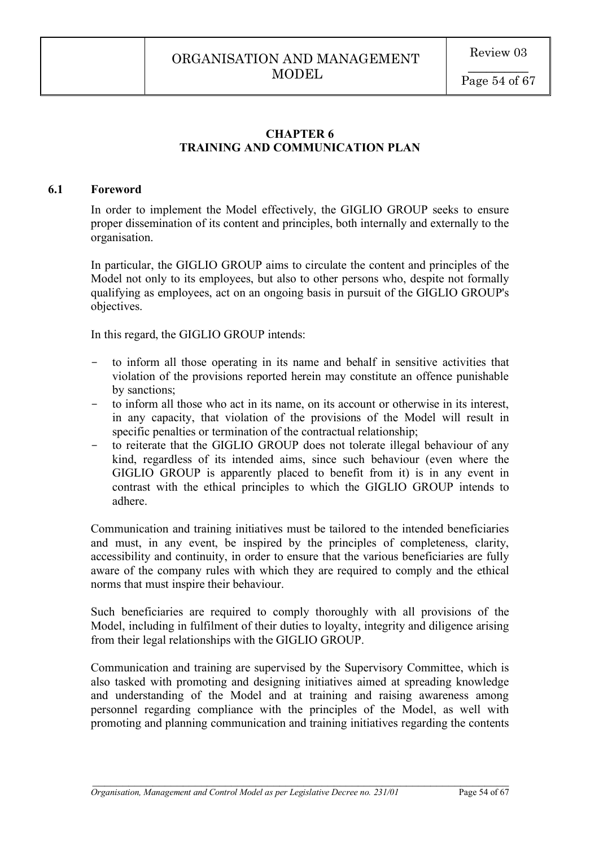# **CHAPTER 6 TRAINING AND COMMUNICATION PLAN**

#### **6.1 Foreword**

In order to implement the Model effectively, the GIGLIO GROUP seeks to ensure proper dissemination of its content and principles, both internally and externally to the organisation.

In particular, the GIGLIO GROUP aims to circulate the content and principles of the Model not only to its employees, but also to other persons who, despite not formally qualifying as employees, act on an ongoing basis in pursuit of the GIGLIO GROUP's objectives.

In this regard, the GIGLIO GROUP intends:

- to inform all those operating in its name and behalf in sensitive activities that violation of the provisions reported herein may constitute an offence punishable by sanctions;
- to inform all those who act in its name, on its account or otherwise in its interest, in any capacity, that violation of the provisions of the Model will result in specific penalties or termination of the contractual relationship;
- to reiterate that the GIGLIO GROUP does not tolerate illegal behaviour of any kind, regardless of its intended aims, since such behaviour (even where the GIGLIO GROUP is apparently placed to benefit from it) is in any event in contrast with the ethical principles to which the GIGLIO GROUP intends to adhere.

Communication and training initiatives must be tailored to the intended beneficiaries and must, in any event, be inspired by the principles of completeness, clarity, accessibility and continuity, in order to ensure that the various beneficiaries are fully aware of the company rules with which they are required to comply and the ethical norms that must inspire their behaviour.

Such beneficiaries are required to comply thoroughly with all provisions of the Model, including in fulfilment of their duties to loyalty, integrity and diligence arising from their legal relationships with the GIGLIO GROUP.

Communication and training are supervised by the Supervisory Committee, which is also tasked with promoting and designing initiatives aimed at spreading knowledge and understanding of the Model and at training and raising awareness among personnel regarding compliance with the principles of the Model, as well with promoting and planning communication and training initiatives regarding the contents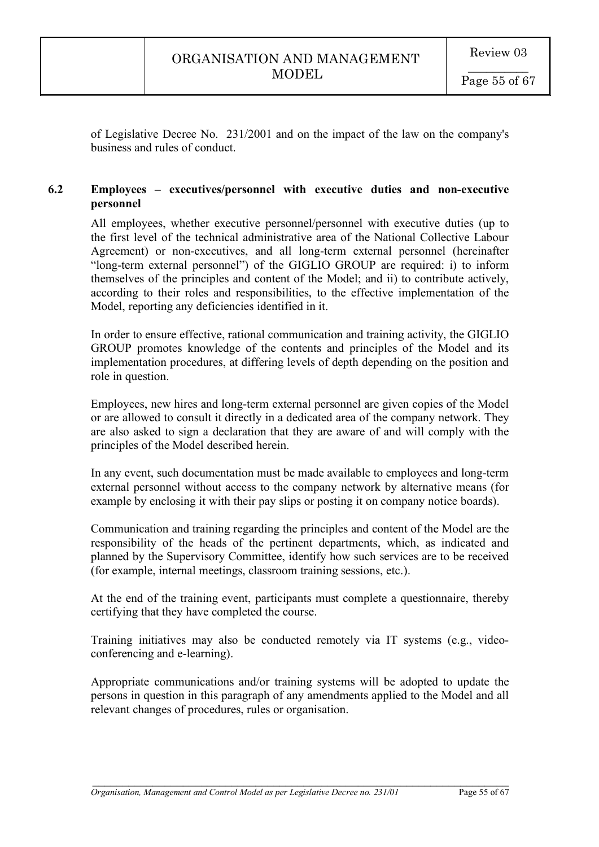of Legislative Decree No. 231/2001 and on the impact of the law on the company's business and rules of conduct.

# **6.2 Employees – executives/personnel with executive duties and non-executive personnel**

All employees, whether executive personnel/personnel with executive duties (up to the first level of the technical administrative area of the National Collective Labour Agreement) or non-executives, and all long-term external personnel (hereinafter "long-term external personnel") of the GIGLIO GROUP are required: i) to inform themselves of the principles and content of the Model; and ii) to contribute actively, according to their roles and responsibilities, to the effective implementation of the Model, reporting any deficiencies identified in it.

In order to ensure effective, rational communication and training activity, the GIGLIO GROUP promotes knowledge of the contents and principles of the Model and its implementation procedures, at differing levels of depth depending on the position and role in question.

Employees, new hires and long-term external personnel are given copies of the Model or are allowed to consult it directly in a dedicated area of the company network. They are also asked to sign a declaration that they are aware of and will comply with the principles of the Model described herein.

In any event, such documentation must be made available to employees and long-term external personnel without access to the company network by alternative means (for example by enclosing it with their pay slips or posting it on company notice boards).

Communication and training regarding the principles and content of the Model are the responsibility of the heads of the pertinent departments, which, as indicated and planned by the Supervisory Committee, identify how such services are to be received (for example, internal meetings, classroom training sessions, etc.).

At the end of the training event, participants must complete a questionnaire, thereby certifying that they have completed the course.

Training initiatives may also be conducted remotely via IT systems (e.g., videoconferencing and e-learning).

Appropriate communications and/or training systems will be adopted to update the persons in question in this paragraph of any amendments applied to the Model and all relevant changes of procedures, rules or organisation.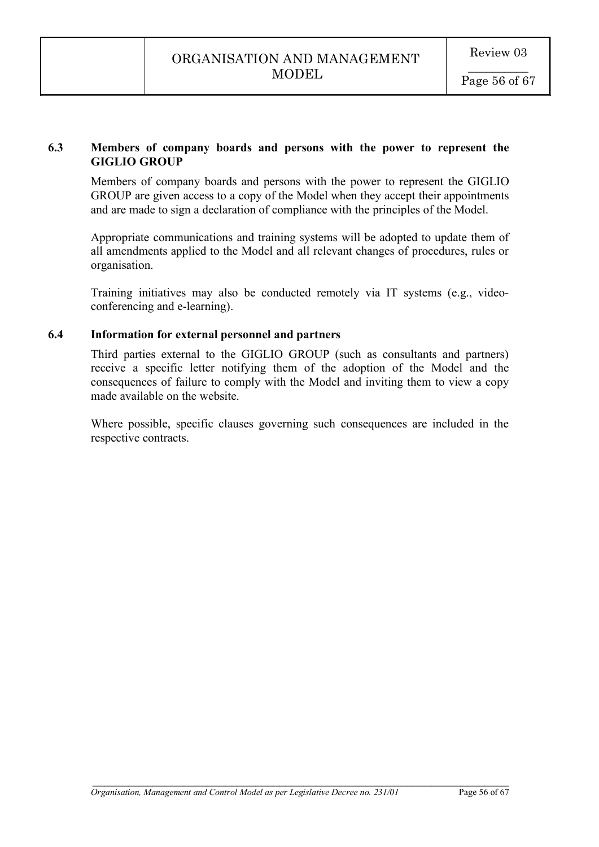# **6.3 Members of company boards and persons with the power to represent the GIGLIO GROUP**

Members of company boards and persons with the power to represent the GIGLIO GROUP are given access to a copy of the Model when they accept their appointments and are made to sign a declaration of compliance with the principles of the Model.

Appropriate communications and training systems will be adopted to update them of all amendments applied to the Model and all relevant changes of procedures, rules or organisation.

Training initiatives may also be conducted remotely via IT systems (e.g., videoconferencing and e-learning).

# **6.4 Information for external personnel and partners**

Third parties external to the GIGLIO GROUP (such as consultants and partners) receive a specific letter notifying them of the adoption of the Model and the consequences of failure to comply with the Model and inviting them to view a copy made available on the website.

Where possible, specific clauses governing such consequences are included in the respective contracts.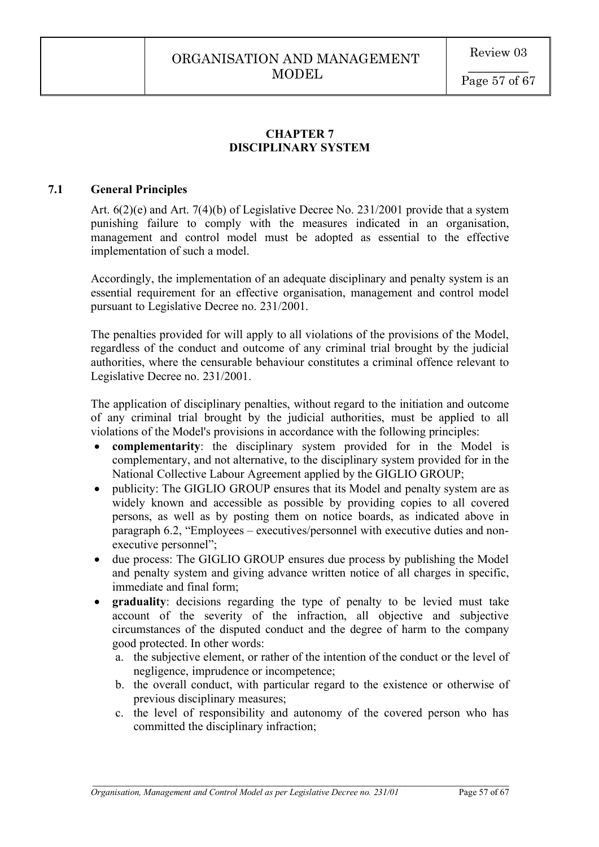# **CHAPTER 7 DISCIPLINARY SYSTEM**

### **7.1 General Principles**

Art. 6(2)(e) and Art. 7(4)(b) of Legislative Decree No. 231/2001 provide that a system punishing failure to comply with the measures indicated in an organisation, management and control model must be adopted as essential to the effective implementation of such a model.

Accordingly, the implementation of an adequate disciplinary and penalty system is an essential requirement for an effective organisation, management and control model pursuant to Legislative Decree no. 231/2001.

The penalties provided for will apply to all violations of the provisions of the Model, regardless of the conduct and outcome of any criminal trial brought by the judicial authorities, where the censurable behaviour constitutes a criminal offence relevant to Legislative Decree no. 231/2001.

The application of disciplinary penalties, without regard to the initiation and outcome of any criminal trial brought by the judicial authorities, must be applied to all violations of the Model's provisions in accordance with the following principles:

- **complementarity**: the disciplinary system provided for in the Model is complementary, and not alternative, to the disciplinary system provided for in the National Collective Labour Agreement applied by the GIGLIO GROUP;
- publicity: The GIGLIO GROUP ensures that its Model and penalty system are as widely known and accessible as possible by providing copies to all covered persons, as well as by posting them on notice boards, as indicated above in paragraph 6.2, "Employees – executives/personnel with executive duties and nonexecutive personnel";
- due process: The GIGLIO GROUP ensures due process by publishing the Model and penalty system and giving advance written notice of all charges in specific, immediate and final form;
- **graduality**: decisions regarding the type of penalty to be levied must take account of the severity of the infraction, all objective and subjective circumstances of the disputed conduct and the degree of harm to the company good protected. In other words:
	- a. the subjective element, or rather of the intention of the conduct or the level of negligence, imprudence or incompetence;
	- b. the overall conduct, with particular regard to the existence or otherwise of previous disciplinary measures;
	- c. the level of responsibility and autonomy of the covered person who has committed the disciplinary infraction;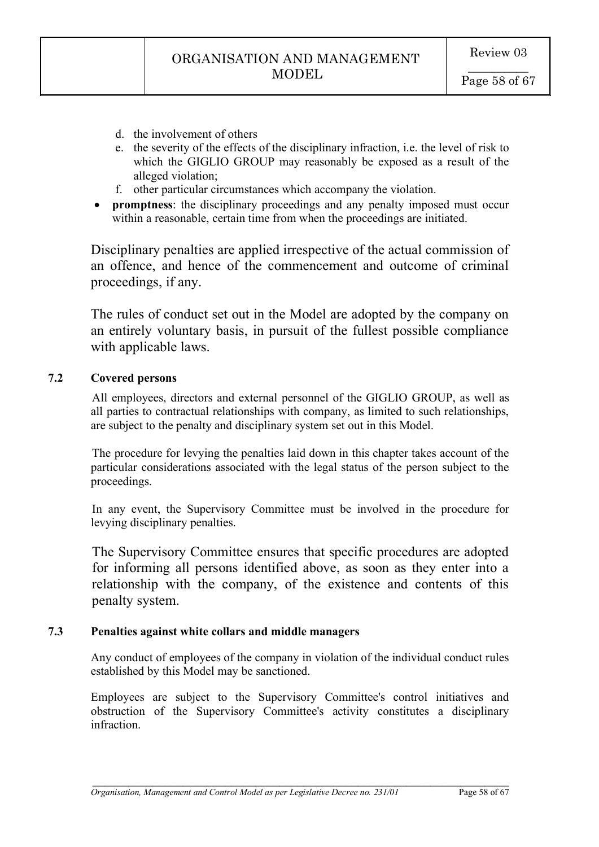- d. the involvement of others
- e. the severity of the effects of the disciplinary infraction, i.e. the level of risk to which the GIGLIO GROUP may reasonably be exposed as a result of the alleged violation;
- f. other particular circumstances which accompany the violation.
- **promptness**: the disciplinary proceedings and any penalty imposed must occur within a reasonable, certain time from when the proceedings are initiated.

Disciplinary penalties are applied irrespective of the actual commission of an offence, and hence of the commencement and outcome of criminal proceedings, if any.

The rules of conduct set out in the Model are adopted by the company on an entirely voluntary basis, in pursuit of the fullest possible compliance with applicable laws.

# **7.2 Covered persons**

All employees, directors and external personnel of the GIGLIO GROUP, as well as all parties to contractual relationships with company, as limited to such relationships, are subject to the penalty and disciplinary system set out in this Model.

The procedure for levying the penalties laid down in this chapter takes account of the particular considerations associated with the legal status of the person subject to the proceedings.

In any event, the Supervisory Committee must be involved in the procedure for levying disciplinary penalties.

The Supervisory Committee ensures that specific procedures are adopted for informing all persons identified above, as soon as they enter into a relationship with the company, of the existence and contents of this penalty system.

# **7.3 Penalties against white collars and middle managers**

Any conduct of employees of the company in violation of the individual conduct rules established by this Model may be sanctioned.

Employees are subject to the Supervisory Committee's control initiatives and obstruction of the Supervisory Committee's activity constitutes a disciplinary infraction.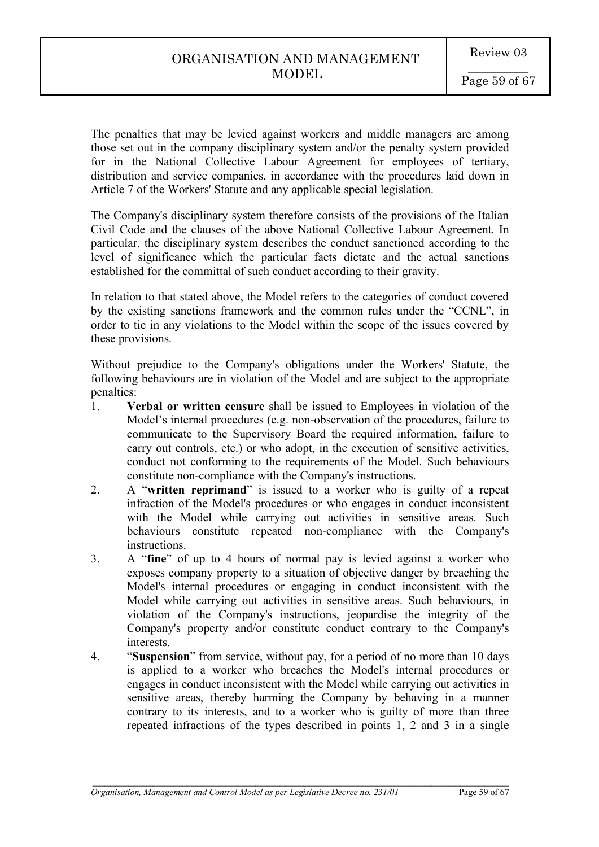The penalties that may be levied against workers and middle managers are among those set out in the company disciplinary system and/or the penalty system provided for in the National Collective Labour Agreement for employees of tertiary, distribution and service companies, in accordance with the procedures laid down in Article 7 of the Workers' Statute and any applicable special legislation.

The Company's disciplinary system therefore consists of the provisions of the Italian Civil Code and the clauses of the above National Collective Labour Agreement. In particular, the disciplinary system describes the conduct sanctioned according to the level of significance which the particular facts dictate and the actual sanctions established for the committal of such conduct according to their gravity.

In relation to that stated above, the Model refers to the categories of conduct covered by the existing sanctions framework and the common rules under the "CCNL", in order to tie in any violations to the Model within the scope of the issues covered by these provisions.

Without prejudice to the Company's obligations under the Workers' Statute, the following behaviours are in violation of the Model and are subject to the appropriate penalties:

- 1. **Verbal or written censure** shall be issued to Employees in violation of the Model's internal procedures (e.g. non-observation of the procedures, failure to communicate to the Supervisory Board the required information, failure to carry out controls, etc.) or who adopt, in the execution of sensitive activities, conduct not conforming to the requirements of the Model. Such behaviours constitute non-compliance with the Company's instructions.
- 2. A "**written reprimand**" is issued to a worker who is guilty of a repeat infraction of the Model's procedures or who engages in conduct inconsistent with the Model while carrying out activities in sensitive areas. Such behaviours constitute repeated non-compliance with the Company's instructions.
- 3. A "**fine**" of up to 4 hours of normal pay is levied against a worker who exposes company property to a situation of objective danger by breaching the Model's internal procedures or engaging in conduct inconsistent with the Model while carrying out activities in sensitive areas. Such behaviours, in violation of the Company's instructions, jeopardise the integrity of the Company's property and/or constitute conduct contrary to the Company's interests.
- 4. "**Suspension**" from service, without pay, for a period of no more than 10 days is applied to a worker who breaches the Model's internal procedures or engages in conduct inconsistent with the Model while carrying out activities in sensitive areas, thereby harming the Company by behaving in a manner contrary to its interests, and to a worker who is guilty of more than three repeated infractions of the types described in points 1, 2 and 3 in a single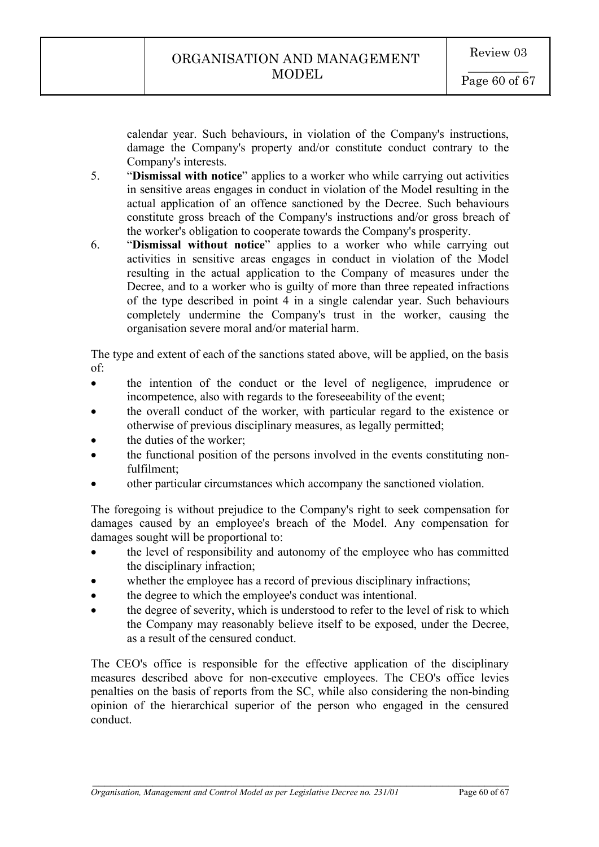calendar year. Such behaviours, in violation of the Company's instructions, damage the Company's property and/or constitute conduct contrary to the Company's interests.

- 5. "**Dismissal with notice**" applies to a worker who while carrying out activities in sensitive areas engages in conduct in violation of the Model resulting in the actual application of an offence sanctioned by the Decree. Such behaviours constitute gross breach of the Company's instructions and/or gross breach of the worker's obligation to cooperate towards the Company's prosperity.
- 6. "**Dismissal without notice**" applies to a worker who while carrying out activities in sensitive areas engages in conduct in violation of the Model resulting in the actual application to the Company of measures under the Decree, and to a worker who is guilty of more than three repeated infractions of the type described in point 4 in a single calendar year. Such behaviours completely undermine the Company's trust in the worker, causing the organisation severe moral and/or material harm.

The type and extent of each of the sanctions stated above, will be applied, on the basis of:

- the intention of the conduct or the level of negligence, imprudence or incompetence, also with regards to the foreseeability of the event;
- the overall conduct of the worker, with particular regard to the existence or otherwise of previous disciplinary measures, as legally permitted;
- the duties of the worker;
- the functional position of the persons involved in the events constituting nonfulfilment;
- other particular circumstances which accompany the sanctioned violation.

The foregoing is without prejudice to the Company's right to seek compensation for damages caused by an employee's breach of the Model. Any compensation for damages sought will be proportional to:

- the level of responsibility and autonomy of the employee who has committed the disciplinary infraction;
- whether the employee has a record of previous disciplinary infractions;
- the degree to which the employee's conduct was intentional.
- the degree of severity, which is understood to refer to the level of risk to which the Company may reasonably believe itself to be exposed, under the Decree, as a result of the censured conduct.

The CEO's office is responsible for the effective application of the disciplinary measures described above for non-executive employees. The CEO's office levies penalties on the basis of reports from the SC, while also considering the non-binding opinion of the hierarchical superior of the person who engaged in the censured conduct.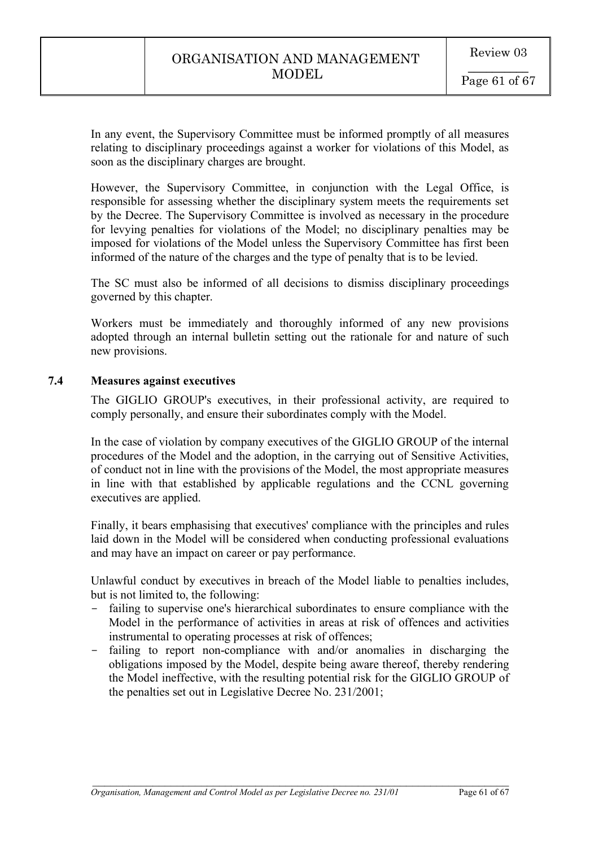In any event, the Supervisory Committee must be informed promptly of all measures relating to disciplinary proceedings against a worker for violations of this Model, as soon as the disciplinary charges are brought.

However, the Supervisory Committee, in conjunction with the Legal Office, is responsible for assessing whether the disciplinary system meets the requirements set by the Decree. The Supervisory Committee is involved as necessary in the procedure for levying penalties for violations of the Model; no disciplinary penalties may be imposed for violations of the Model unless the Supervisory Committee has first been informed of the nature of the charges and the type of penalty that is to be levied.

The SC must also be informed of all decisions to dismiss disciplinary proceedings governed by this chapter.

Workers must be immediately and thoroughly informed of any new provisions adopted through an internal bulletin setting out the rationale for and nature of such new provisions.

# **7.4 Measures against executives**

The GIGLIO GROUP's executives, in their professional activity, are required to comply personally, and ensure their subordinates comply with the Model.

In the case of violation by company executives of the GIGLIO GROUP of the internal procedures of the Model and the adoption, in the carrying out of Sensitive Activities, of conduct not in line with the provisions of the Model, the most appropriate measures in line with that established by applicable regulations and the CCNL governing executives are applied.

Finally, it bears emphasising that executives' compliance with the principles and rules laid down in the Model will be considered when conducting professional evaluations and may have an impact on career or pay performance.

Unlawful conduct by executives in breach of the Model liable to penalties includes, but is not limited to, the following:

- failing to supervise one's hierarchical subordinates to ensure compliance with the Model in the performance of activities in areas at risk of offences and activities instrumental to operating processes at risk of offences;
- failing to report non-compliance with and/or anomalies in discharging the obligations imposed by the Model, despite being aware thereof, thereby rendering the Model ineffective, with the resulting potential risk for the GIGLIO GROUP of the penalties set out in Legislative Decree No. 231/2001;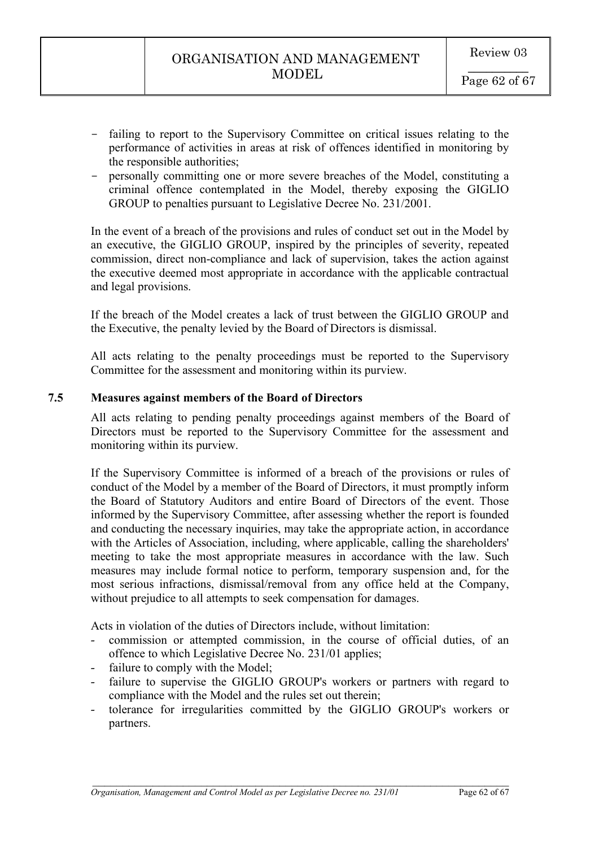- failing to report to the Supervisory Committee on critical issues relating to the performance of activities in areas at risk of offences identified in monitoring by the responsible authorities;
- personally committing one or more severe breaches of the Model, constituting a criminal offence contemplated in the Model, thereby exposing the GIGLIO GROUP to penalties pursuant to Legislative Decree No. 231/2001.

In the event of a breach of the provisions and rules of conduct set out in the Model by an executive, the GIGLIO GROUP, inspired by the principles of severity, repeated commission, direct non-compliance and lack of supervision, takes the action against the executive deemed most appropriate in accordance with the applicable contractual and legal provisions.

If the breach of the Model creates a lack of trust between the GIGLIO GROUP and the Executive, the penalty levied by the Board of Directors is dismissal.

All acts relating to the penalty proceedings must be reported to the Supervisory Committee for the assessment and monitoring within its purview.

# **7.5 Measures against members of the Board of Directors**

All acts relating to pending penalty proceedings against members of the Board of Directors must be reported to the Supervisory Committee for the assessment and monitoring within its purview.

If the Supervisory Committee is informed of a breach of the provisions or rules of conduct of the Model by a member of the Board of Directors, it must promptly inform the Board of Statutory Auditors and entire Board of Directors of the event. Those informed by the Supervisory Committee, after assessing whether the report is founded and conducting the necessary inquiries, may take the appropriate action, in accordance with the Articles of Association, including, where applicable, calling the shareholders' meeting to take the most appropriate measures in accordance with the law. Such measures may include formal notice to perform, temporary suspension and, for the most serious infractions, dismissal/removal from any office held at the Company, without prejudice to all attempts to seek compensation for damages.

Acts in violation of the duties of Directors include, without limitation:

- commission or attempted commission, in the course of official duties, of an offence to which Legislative Decree No. 231/01 applies;
- failure to comply with the Model;
- failure to supervise the GIGLIO GROUP's workers or partners with regard to compliance with the Model and the rules set out therein;
- tolerance for irregularities committed by the GIGLIO GROUP's workers or partners.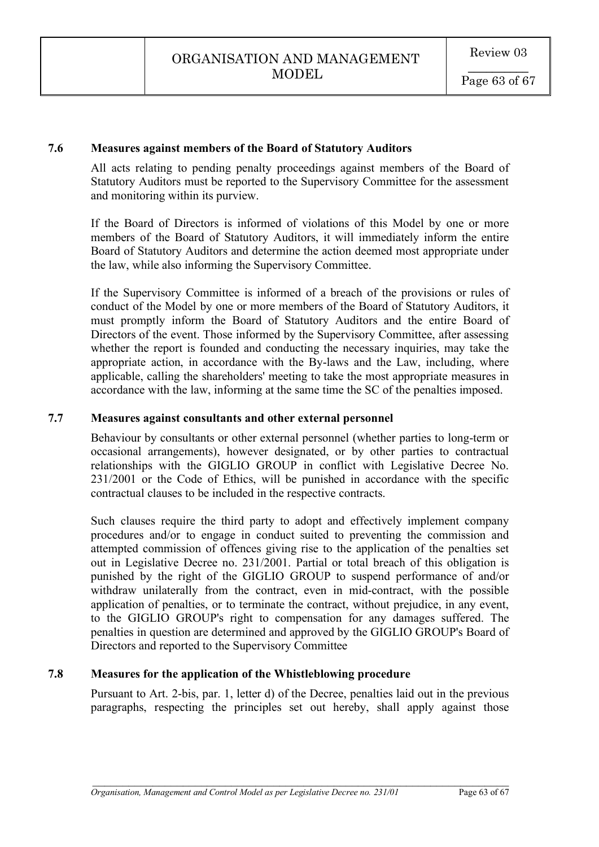### **7.6 Measures against members of the Board of Statutory Auditors**

All acts relating to pending penalty proceedings against members of the Board of Statutory Auditors must be reported to the Supervisory Committee for the assessment and monitoring within its purview.

If the Board of Directors is informed of violations of this Model by one or more members of the Board of Statutory Auditors, it will immediately inform the entire Board of Statutory Auditors and determine the action deemed most appropriate under the law, while also informing the Supervisory Committee.

If the Supervisory Committee is informed of a breach of the provisions or rules of conduct of the Model by one or more members of the Board of Statutory Auditors, it must promptly inform the Board of Statutory Auditors and the entire Board of Directors of the event. Those informed by the Supervisory Committee, after assessing whether the report is founded and conducting the necessary inquiries, may take the appropriate action, in accordance with the By-laws and the Law, including, where applicable, calling the shareholders' meeting to take the most appropriate measures in accordance with the law, informing at the same time the SC of the penalties imposed.

# **7.7 Measures against consultants and other external personnel**

Behaviour by consultants or other external personnel (whether parties to long-term or occasional arrangements), however designated, or by other parties to contractual relationships with the GIGLIO GROUP in conflict with Legislative Decree No. 231/2001 or the Code of Ethics, will be punished in accordance with the specific contractual clauses to be included in the respective contracts.

Such clauses require the third party to adopt and effectively implement company procedures and/or to engage in conduct suited to preventing the commission and attempted commission of offences giving rise to the application of the penalties set out in Legislative Decree no. 231/2001. Partial or total breach of this obligation is punished by the right of the GIGLIO GROUP to suspend performance of and/or withdraw unilaterally from the contract, even in mid-contract, with the possible application of penalties, or to terminate the contract, without prejudice, in any event, to the GIGLIO GROUP's right to compensation for any damages suffered. The penalties in question are determined and approved by the GIGLIO GROUP's Board of Directors and reported to the Supervisory Committee

### **7.8 Measures for the application of the Whistleblowing procedure**

Pursuant to Art. 2-bis, par. 1, letter d) of the Decree, penalties laid out in the previous paragraphs, respecting the principles set out hereby, shall apply against those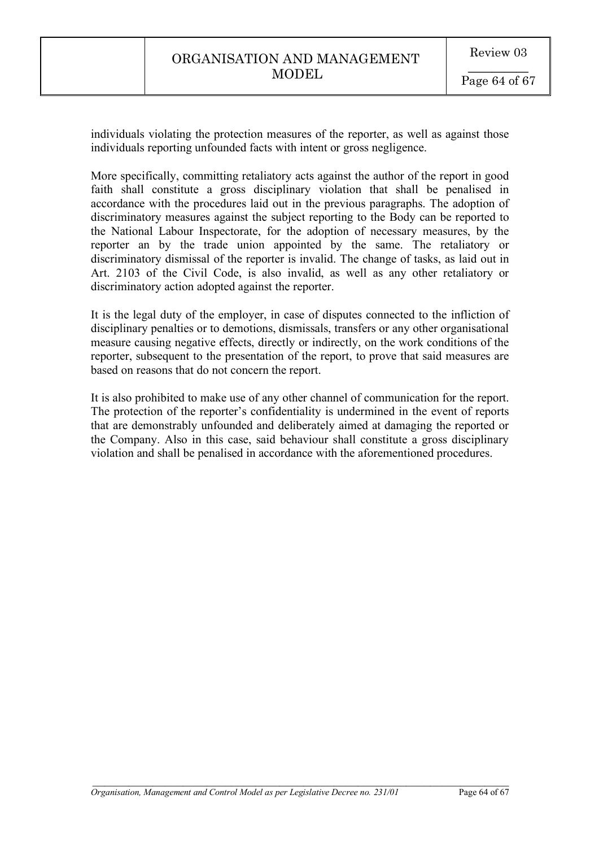individuals violating the protection measures of the reporter, as well as against those individuals reporting unfounded facts with intent or gross negligence.

More specifically, committing retaliatory acts against the author of the report in good faith shall constitute a gross disciplinary violation that shall be penalised in accordance with the procedures laid out in the previous paragraphs. The adoption of discriminatory measures against the subject reporting to the Body can be reported to the National Labour Inspectorate, for the adoption of necessary measures, by the reporter an by the trade union appointed by the same. The retaliatory or discriminatory dismissal of the reporter is invalid. The change of tasks, as laid out in Art. 2103 of the Civil Code, is also invalid, as well as any other retaliatory or discriminatory action adopted against the reporter.

It is the legal duty of the employer, in case of disputes connected to the infliction of disciplinary penalties or to demotions, dismissals, transfers or any other organisational measure causing negative effects, directly or indirectly, on the work conditions of the reporter, subsequent to the presentation of the report, to prove that said measures are based on reasons that do not concern the report.

It is also prohibited to make use of any other channel of communication for the report. The protection of the reporter's confidentiality is undermined in the event of reports that are demonstrably unfounded and deliberately aimed at damaging the reported or the Company. Also in this case, said behaviour shall constitute a gross disciplinary violation and shall be penalised in accordance with the aforementioned procedures.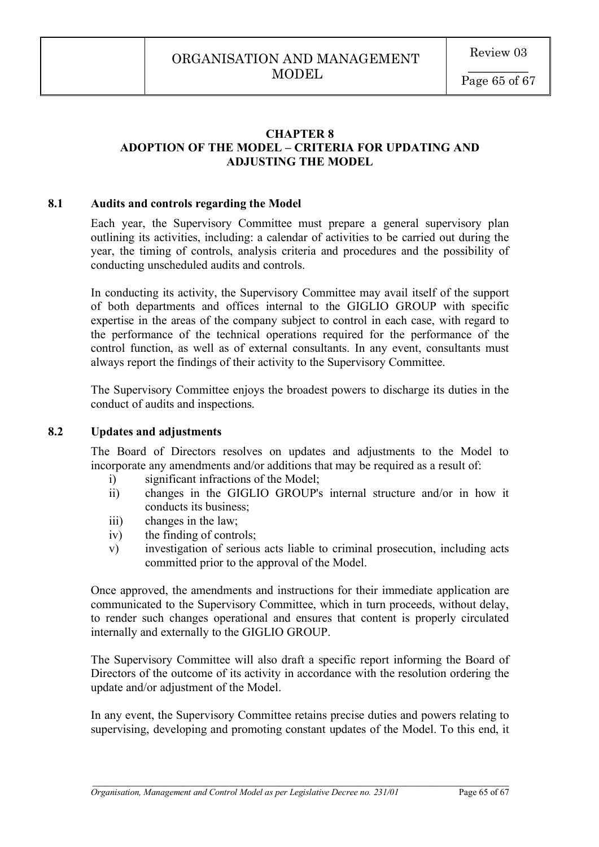# **CHAPTER 8 ADOPTION OF THE MODEL – CRITERIA FOR UPDATING AND ADJUSTING THE MODEL**

### **8.1 Audits and controls regarding the Model**

Each year, the Supervisory Committee must prepare a general supervisory plan outlining its activities, including: a calendar of activities to be carried out during the year, the timing of controls, analysis criteria and procedures and the possibility of conducting unscheduled audits and controls.

In conducting its activity, the Supervisory Committee may avail itself of the support of both departments and offices internal to the GIGLIO GROUP with specific expertise in the areas of the company subject to control in each case, with regard to the performance of the technical operations required for the performance of the control function, as well as of external consultants. In any event, consultants must always report the findings of their activity to the Supervisory Committee.

The Supervisory Committee enjoys the broadest powers to discharge its duties in the conduct of audits and inspections.

### **8.2 Updates and adjustments**

The Board of Directors resolves on updates and adjustments to the Model to incorporate any amendments and/or additions that may be required as a result of:

- i) significant infractions of the Model;
- ii) changes in the GIGLIO GROUP's internal structure and/or in how it conducts its business;
- iii) changes in the law;
- iv) the finding of controls;
- v) investigation of serious acts liable to criminal prosecution, including acts committed prior to the approval of the Model.

Once approved, the amendments and instructions for their immediate application are communicated to the Supervisory Committee, which in turn proceeds, without delay, to render such changes operational and ensures that content is properly circulated internally and externally to the GIGLIO GROUP.

The Supervisory Committee will also draft a specific report informing the Board of Directors of the outcome of its activity in accordance with the resolution ordering the update and/or adjustment of the Model.

In any event, the Supervisory Committee retains precise duties and powers relating to supervising, developing and promoting constant updates of the Model. To this end, it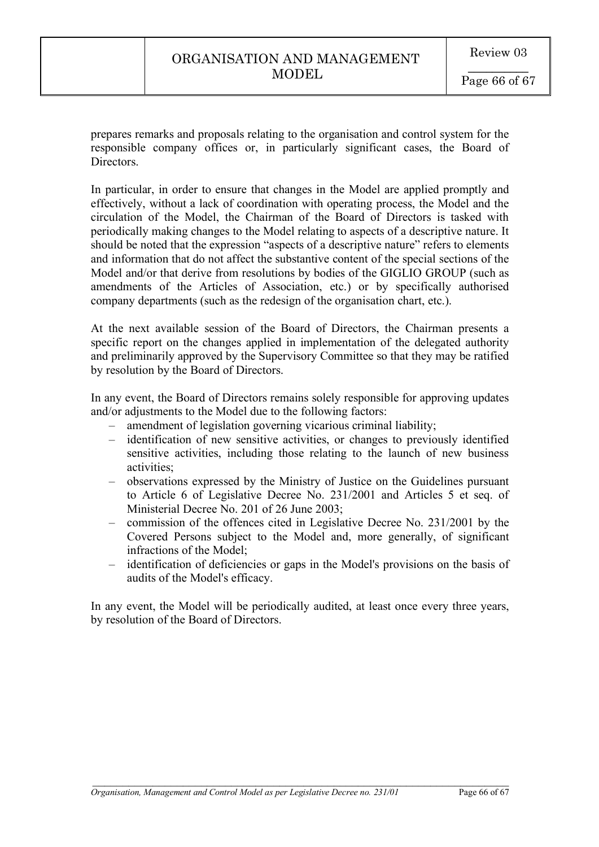prepares remarks and proposals relating to the organisation and control system for the responsible company offices or, in particularly significant cases, the Board of Directors.

In particular, in order to ensure that changes in the Model are applied promptly and effectively, without a lack of coordination with operating process, the Model and the circulation of the Model, the Chairman of the Board of Directors is tasked with periodically making changes to the Model relating to aspects of a descriptive nature. It should be noted that the expression "aspects of a descriptive nature" refers to elements and information that do not affect the substantive content of the special sections of the Model and/or that derive from resolutions by bodies of the GIGLIO GROUP (such as amendments of the Articles of Association, etc.) or by specifically authorised company departments (such as the redesign of the organisation chart, etc.).

At the next available session of the Board of Directors, the Chairman presents a specific report on the changes applied in implementation of the delegated authority and preliminarily approved by the Supervisory Committee so that they may be ratified by resolution by the Board of Directors.

In any event, the Board of Directors remains solely responsible for approving updates and/or adjustments to the Model due to the following factors:

- amendment of legislation governing vicarious criminal liability;
- identification of new sensitive activities, or changes to previously identified sensitive activities, including those relating to the launch of new business activities;
- observations expressed by the Ministry of Justice on the Guidelines pursuant to Article 6 of Legislative Decree No. 231/2001 and Articles 5 et seq. of Ministerial Decree No. 201 of 26 June 2003;
- commission of the offences cited in Legislative Decree No. 231/2001 by the Covered Persons subject to the Model and, more generally, of significant infractions of the Model;
- identification of deficiencies or gaps in the Model's provisions on the basis of audits of the Model's efficacy.

In any event, the Model will be periodically audited, at least once every three years, by resolution of the Board of Directors.